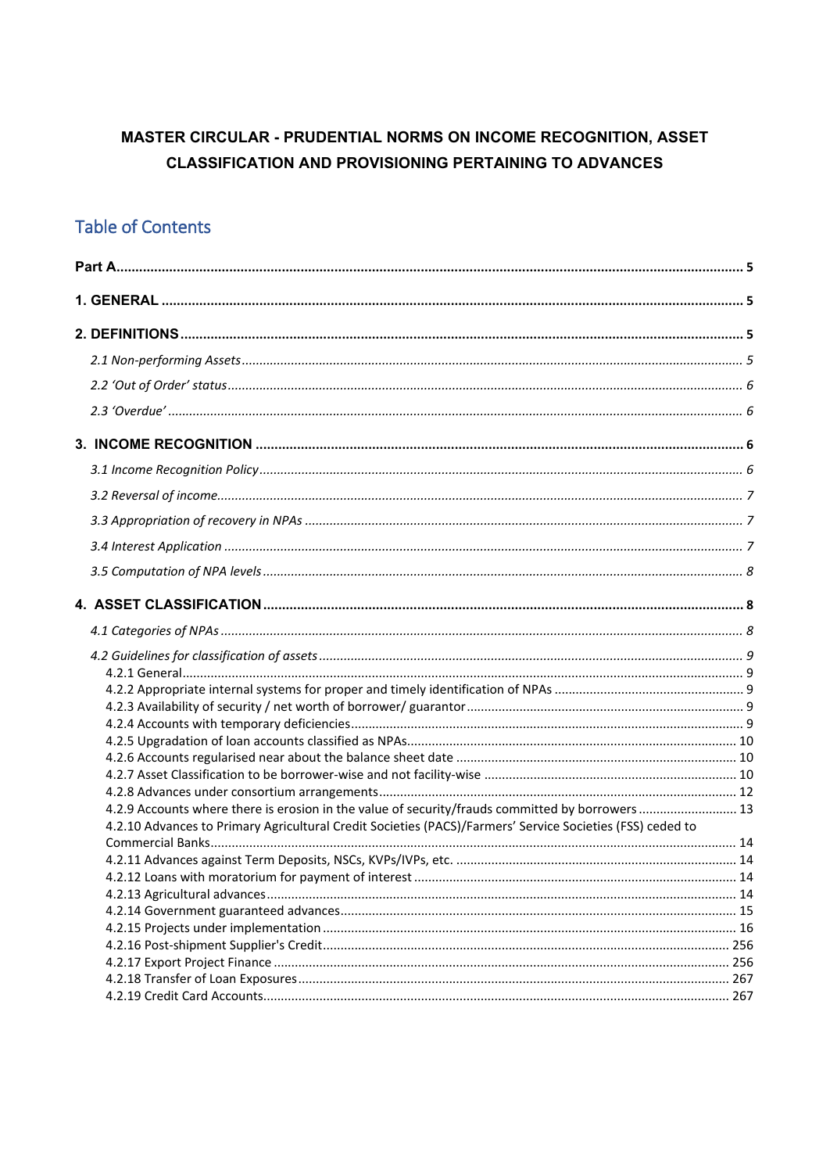# **MASTER CIRCULAR - PRUDENTIAL NORMS ON INCOME RECOGNITION, ASSET CLASSIFICATION AND PROVISIONING PERTAINING TO ADVANCES**

# **Table of Contents**

| 4.2.9 Accounts where there is erosion in the value of security/frauds committed by borrowers 13<br>4.2.10 Advances to Primary Agricultural Credit Societies (PACS)/Farmers' Service Societies (FSS) ceded to |  |  |
|--------------------------------------------------------------------------------------------------------------------------------------------------------------------------------------------------------------|--|--|
|                                                                                                                                                                                                              |  |  |
|                                                                                                                                                                                                              |  |  |
|                                                                                                                                                                                                              |  |  |
|                                                                                                                                                                                                              |  |  |
|                                                                                                                                                                                                              |  |  |
|                                                                                                                                                                                                              |  |  |
|                                                                                                                                                                                                              |  |  |
|                                                                                                                                                                                                              |  |  |
|                                                                                                                                                                                                              |  |  |
|                                                                                                                                                                                                              |  |  |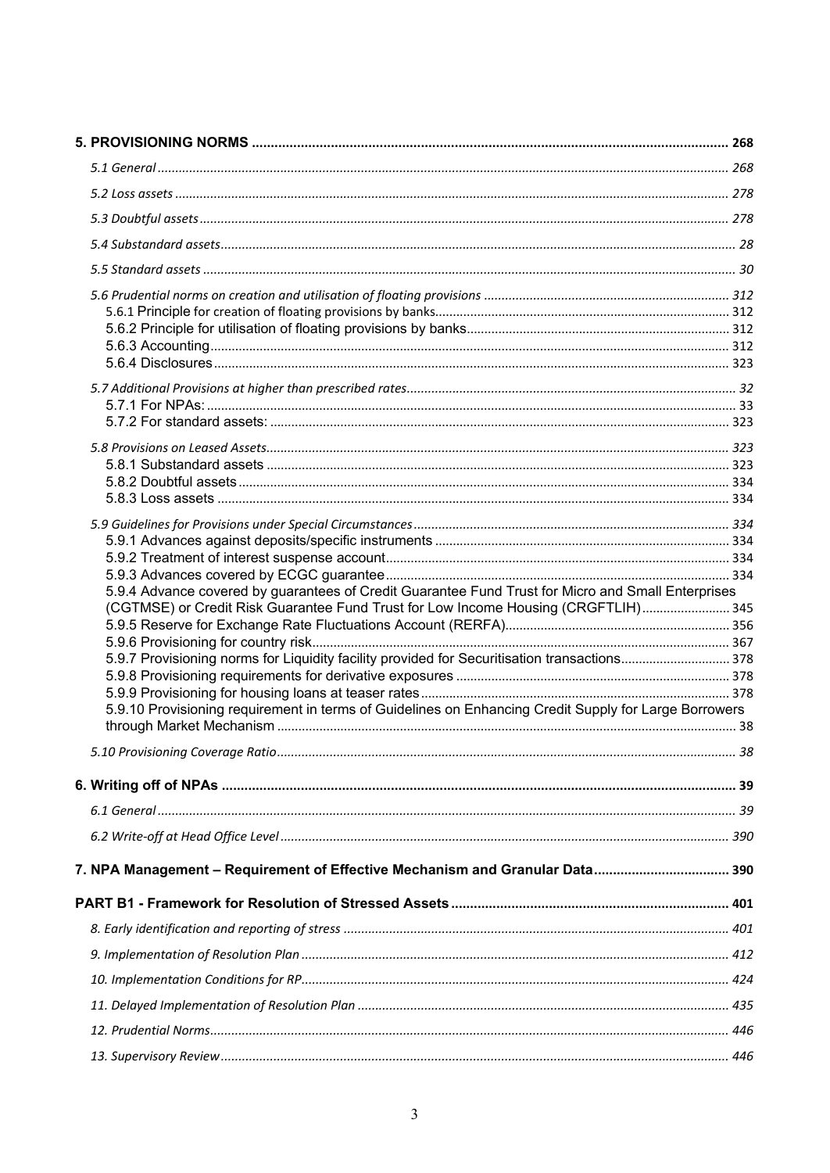| 5.9.4 Advance covered by guarantees of Credit Guarantee Fund Trust for Micro and Small Enterprises    |  |
|-------------------------------------------------------------------------------------------------------|--|
| (CGTMSE) or Credit Risk Guarantee Fund Trust for Low Income Housing (CRGFTLIH)34                      |  |
|                                                                                                       |  |
| 5.9.7 Provisioning norms for Liquidity facility provided for Securitisation transactions37            |  |
|                                                                                                       |  |
|                                                                                                       |  |
| 5.9.10 Provisioning requirement in terms of Guidelines on Enhancing Credit Supply for Large Borrowers |  |
|                                                                                                       |  |
|                                                                                                       |  |
|                                                                                                       |  |
|                                                                                                       |  |
|                                                                                                       |  |
|                                                                                                       |  |
|                                                                                                       |  |
|                                                                                                       |  |
|                                                                                                       |  |
|                                                                                                       |  |
|                                                                                                       |  |
|                                                                                                       |  |
|                                                                                                       |  |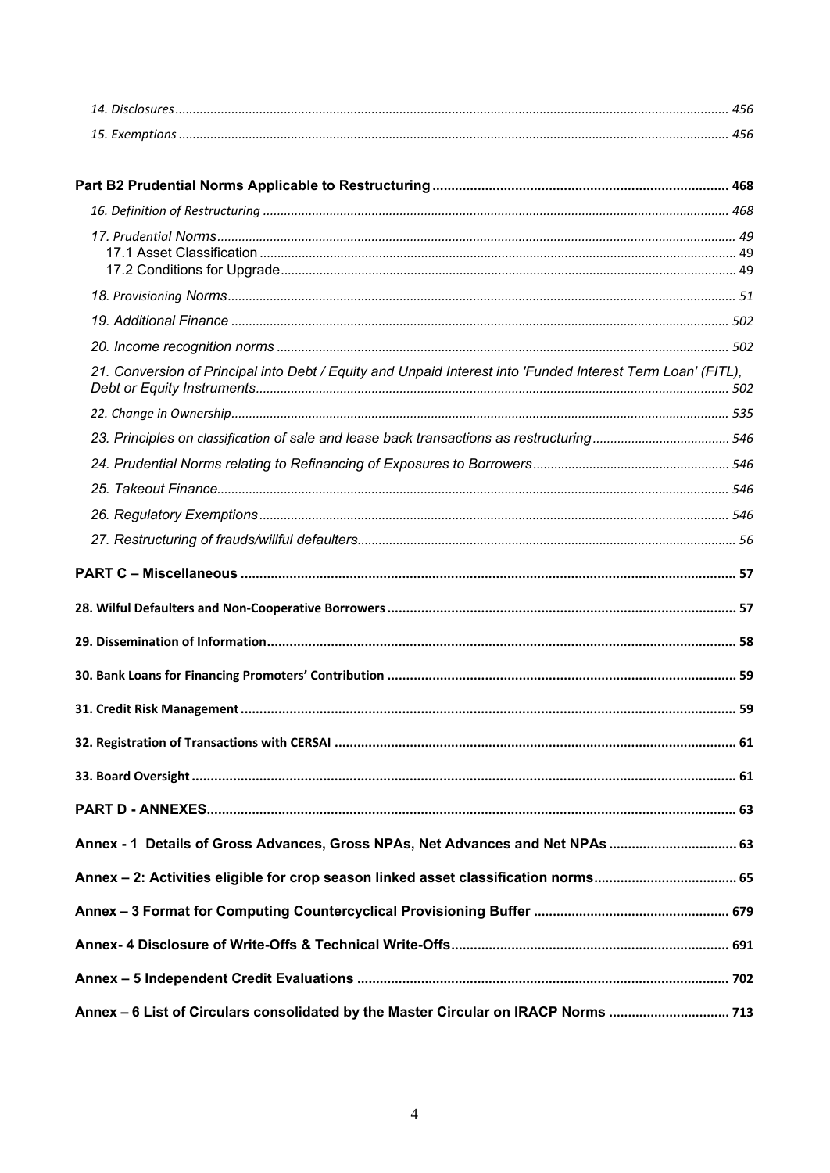| 21. Conversion of Principal into Debt / Equity and Unpaid Interest into 'Funded Interest Term Loan' (FITL), |  |
|-------------------------------------------------------------------------------------------------------------|--|
|                                                                                                             |  |
|                                                                                                             |  |
|                                                                                                             |  |
|                                                                                                             |  |
|                                                                                                             |  |
|                                                                                                             |  |
|                                                                                                             |  |
|                                                                                                             |  |
|                                                                                                             |  |
|                                                                                                             |  |
|                                                                                                             |  |
|                                                                                                             |  |
|                                                                                                             |  |
|                                                                                                             |  |
| Annex - 1 Details of Gross Advances, Gross NPAs, Net Advances and Net NPAs  63                              |  |
| Annex - 2: Activities eligible for crop season linked asset classification norms 65                         |  |
|                                                                                                             |  |
|                                                                                                             |  |
|                                                                                                             |  |
|                                                                                                             |  |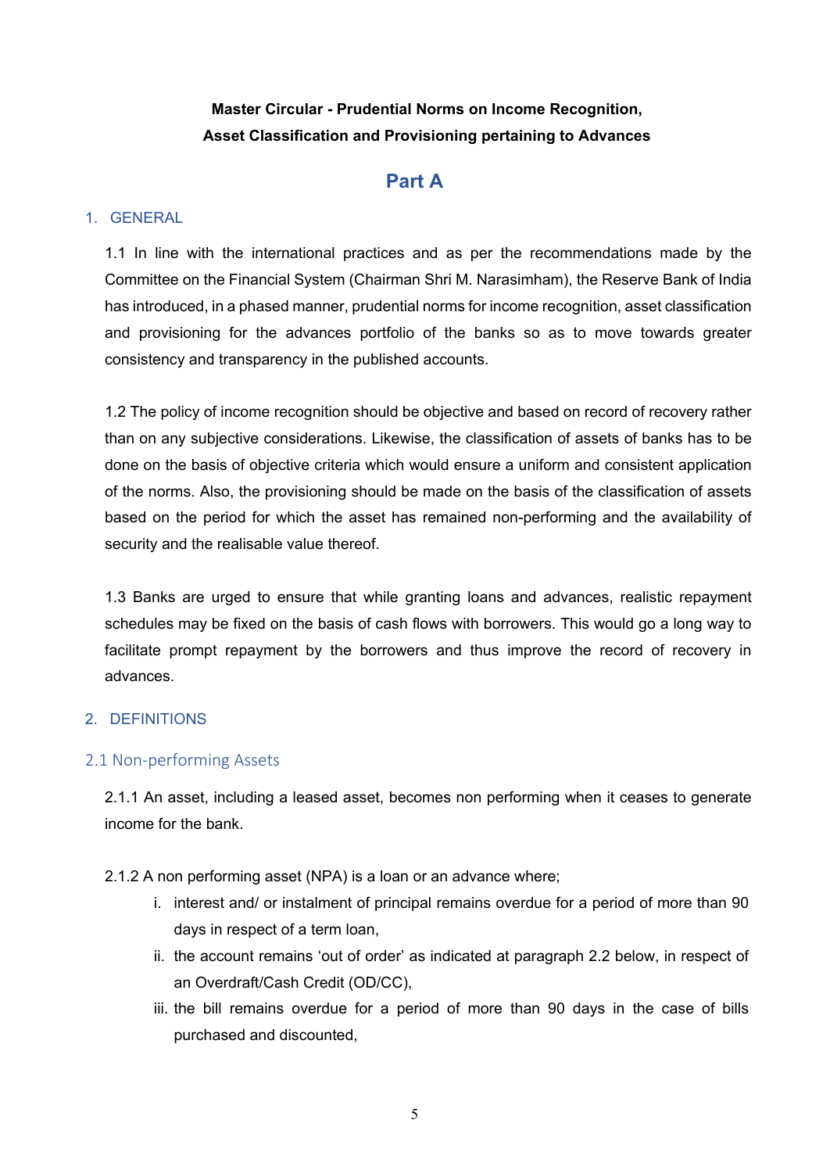# **Master Circular - Prudential Norms on Income Recognition, Asset Classification and Provisioning pertaining to Advances**

# **Part A**

## <span id="page-4-1"></span><span id="page-4-0"></span>1. GENERAL

1.1 In line with the international practices and as per the recommendations made by the Committee on the Financial System (Chairman Shri M. Narasimham), the Reserve Bank of India has introduced, in a phased manner, prudential norms for income recognition, asset classification and provisioning for the advances portfolio of the banks so as to move towards greater consistency and transparency in the published accounts.

1.2 The policy of income recognition should be objective and based on record of recovery rather than on any subjective considerations. Likewise, the classification of assets of banks has to be done on the basis of objective criteria which would ensure a uniform and consistent application of the norms. Also, the provisioning should be made on the basis of the classification of assets based on the period for which the asset has remained non-performing and the availability of security and the realisable value thereof.

1.3 Banks are urged to ensure that while granting loans and advances, realistic repayment schedules may be fixed on the basis of cash flows with borrowers. This would go a long way to facilitate prompt repayment by the borrowers and thus improve the record of recovery in advances.

# <span id="page-4-2"></span>2. DEFINITIONS

# <span id="page-4-3"></span>2.1 Non-performing Assets

2.1.1 An asset, including a leased asset, becomes non performing when it ceases to generate income for the bank.

- 2.1.2 A non performing asset (NPA) is a loan or an advance where;
	- i. interest and/ or instalment of principal remains overdue for a period of more than 90 days in respect of a term loan,
	- ii. the account remains 'out of order' as indicated at paragraph 2.2 below, in respect of an Overdraft/Cash Credit (OD/CC),
	- iii. the bill remains overdue for a period of more than 90 days in the case of bills purchased and discounted,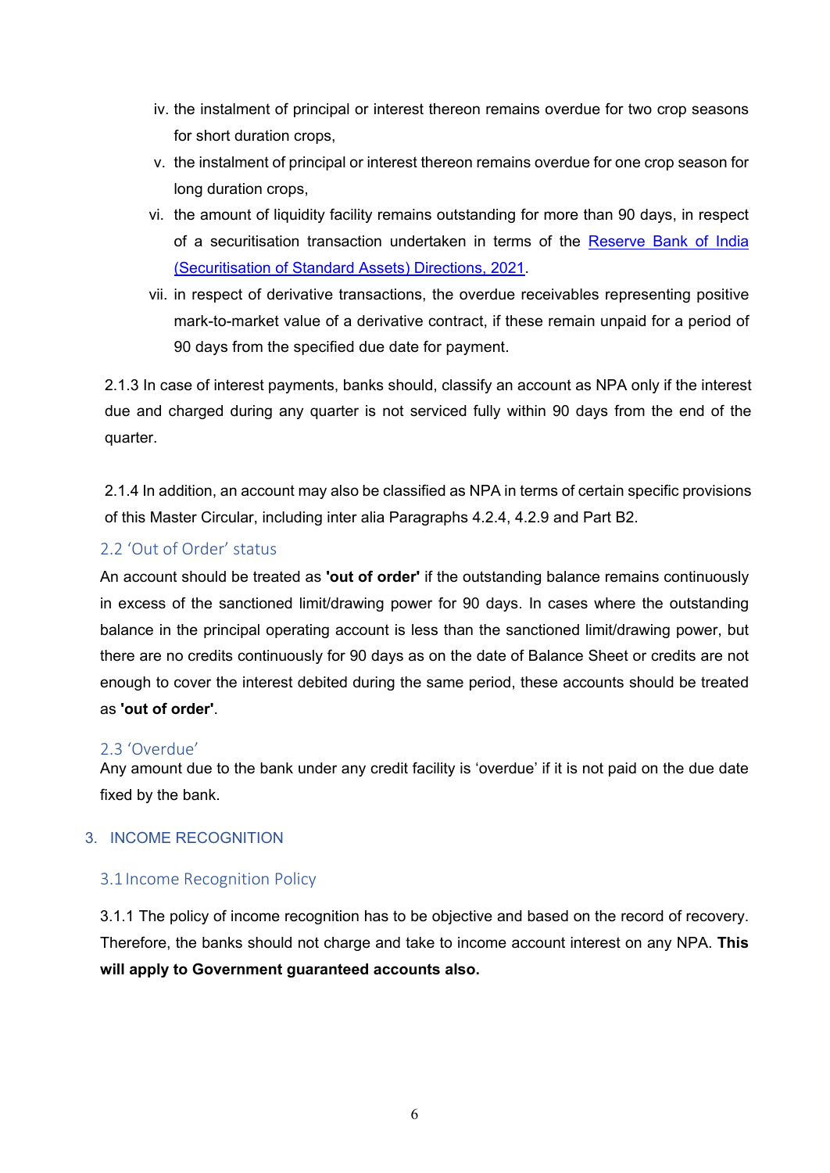- iv. the instalment of principal or interest thereon remains overdue for two crop seasons for short duration crops,
- v. the instalment of principal or interest thereon remains overdue for one crop season for long duration crops,
- vi. the amount of liquidity facility remains outstanding for more than 90 days, in respect of a securitisation transaction undertaken in terms of the [Reserve Bank of India](https://www.rbi.org.in/Scripts/BS_ViewMasDirections.aspx?id=12165)  [\(Securitisation of Standard Assets\) Directions, 2021.](https://www.rbi.org.in/Scripts/BS_ViewMasDirections.aspx?id=12165)
- vii. in respect of derivative transactions, the overdue receivables representing positive mark-to-market value of a derivative contract, if these remain unpaid for a period of 90 days from the specified due date for payment.

2.1.3 In case of interest payments, banks should, classify an account as NPA only if the interest due and charged during any quarter is not serviced fully within 90 days from the end of the quarter.

2.1.4 In addition, an account may also be classified as NPA in terms of certain specific provisions of this Master Circular, including inter alia Paragraphs 4.2.4, 4.2.9 and Part B2.

# <span id="page-5-0"></span>2.2 'Out of Order' status

An account should be treated as **'out of order'** if the outstanding balance remains continuously in excess of the sanctioned limit/drawing power for 90 days. In cases where the outstanding balance in the principal operating account is less than the sanctioned limit/drawing power, but there are no credits continuously for 90 days as on the date of Balance Sheet or credits are not enough to cover the interest debited during the same period, these accounts should be treated as **'out of order'**.

# <span id="page-5-1"></span>2.3 'Overdue'

Any amount due to the bank under any credit facility is 'overdue' if it is not paid on the due date fixed by the bank.

# <span id="page-5-2"></span>3. INCOME RECOGNITION

# <span id="page-5-3"></span>3.1Income Recognition Policy

3.1.1 The policy of income recognition has to be objective and based on the record of recovery. Therefore, the banks should not charge and take to income account interest on any NPA. **This will apply to Government guaranteed accounts also.**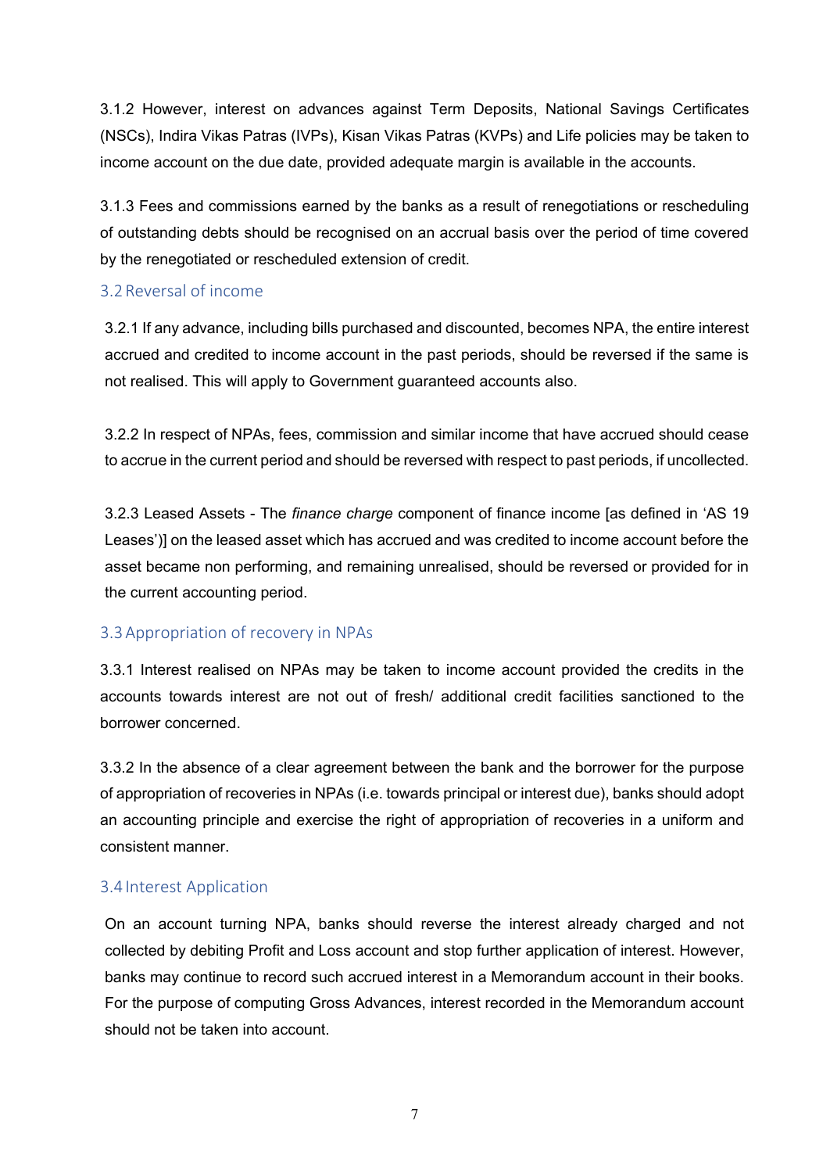3.1.2 However, interest on advances against Term Deposits, National Savings Certificates (NSCs), Indira Vikas Patras (IVPs), Kisan Vikas Patras (KVPs) and Life policies may be taken to income account on the due date, provided adequate margin is available in the accounts.

3.1.3 Fees and commissions earned by the banks as a result of renegotiations or rescheduling of outstanding debts should be recognised on an accrual basis over the period of time covered by the renegotiated or rescheduled extension of credit.

# <span id="page-6-0"></span>3.2Reversal of income

3.2.1 If any advance, including bills purchased and discounted, becomes NPA, the entire interest accrued and credited to income account in the past periods, should be reversed if the same is not realised. This will apply to Government guaranteed accounts also.

3.2.2 In respect of NPAs, fees, commission and similar income that have accrued should cease to accrue in the current period and should be reversed with respect to past periods, if uncollected.

3.2.3 Leased Assets - The *finance charge* component of finance income [as defined in 'AS 19 Leases')] on the leased asset which has accrued and was credited to income account before the asset became non performing, and remaining unrealised, should be reversed or provided for in the current accounting period.

# <span id="page-6-1"></span>3.3Appropriation of recovery in NPAs

3.3.1 Interest realised on NPAs may be taken to income account provided the credits in the accounts towards interest are not out of fresh/ additional credit facilities sanctioned to the borrower concerned.

3.3.2 In the absence of a clear agreement between the bank and the borrower for the purpose of appropriation of recoveries in NPAs (i.e. towards principal or interest due), banks should adopt an accounting principle and exercise the right of appropriation of recoveries in a uniform and consistent manner.

# <span id="page-6-2"></span>3.4Interest Application

On an account turning NPA, banks should reverse the interest already charged and not collected by debiting Profit and Loss account and stop further application of interest. However, banks may continue to record such accrued interest in a Memorandum account in their books. For the purpose of computing Gross Advances, interest recorded in the Memorandum account should not be taken into account.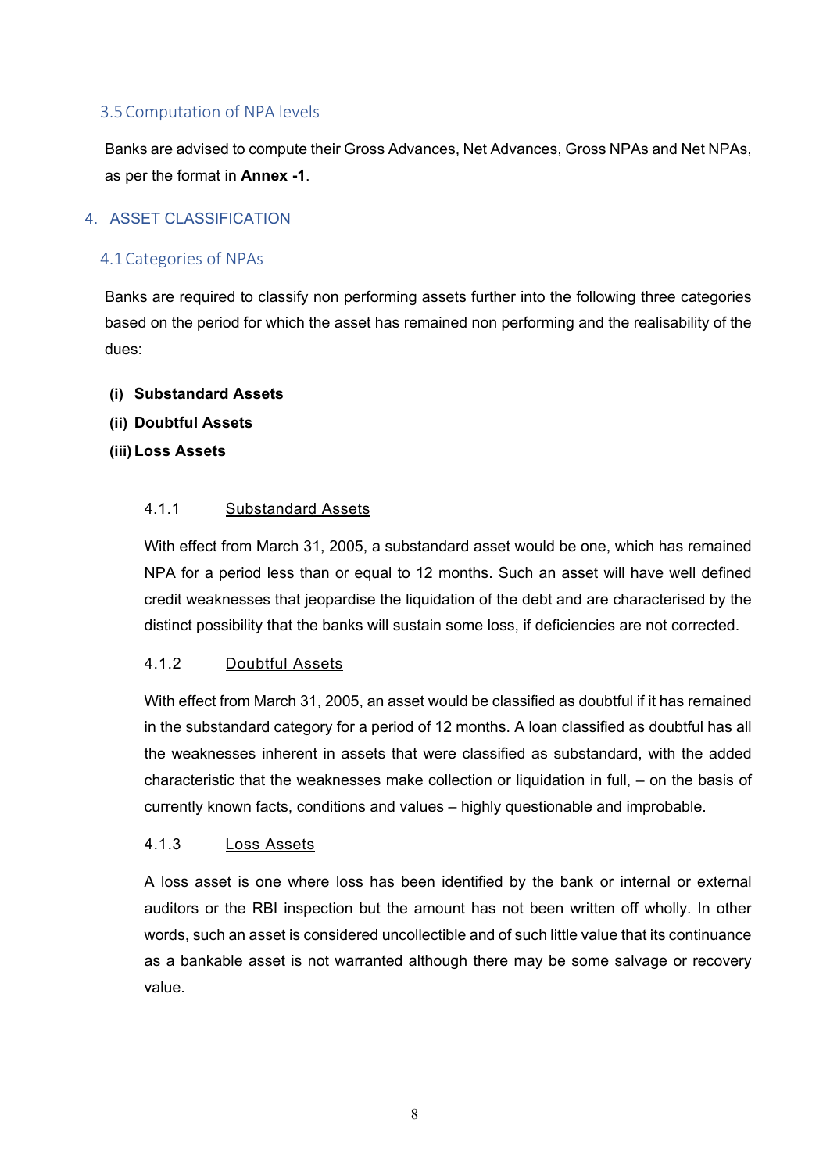# <span id="page-7-0"></span>3.5Computation of NPA levels

Banks are advised to compute their Gross Advances, Net Advances, Gross NPAs and Net NPAs, as per the format in **Annex -1**.

## <span id="page-7-1"></span>4. ASSET CLASSIFICATION

# <span id="page-7-2"></span>4.1Categories of NPAs

Banks are required to classify non performing assets further into the following three categories based on the period for which the asset has remained non performing and the realisability of the dues:

- **(i) Substandard Assets**
- **(ii) Doubtful Assets**
- **(iii) Loss Assets**

## 4.1.1 Substandard Assets

With effect from March 31, 2005, a substandard asset would be one, which has remained NPA for a period less than or equal to 12 months. Such an asset will have well defined credit weaknesses that jeopardise the liquidation of the debt and are characterised by the distinct possibility that the banks will sustain some loss, if deficiencies are not corrected.

### 4.1.2 Doubtful Assets

With effect from March 31, 2005, an asset would be classified as doubtful if it has remained in the substandard category for a period of 12 months. A loan classified as doubtful has all the weaknesses inherent in assets that were classified as substandard, with the added characteristic that the weaknesses make collection or liquidation in full, – on the basis of currently known facts, conditions and values – highly questionable and improbable.

### 4.1.3 Loss Assets

A loss asset is one where loss has been identified by the bank or internal or external auditors or the RBI inspection but the amount has not been written off wholly. In other words, such an asset is considered uncollectible and of such little value that its continuance as a bankable asset is not warranted although there may be some salvage or recovery value.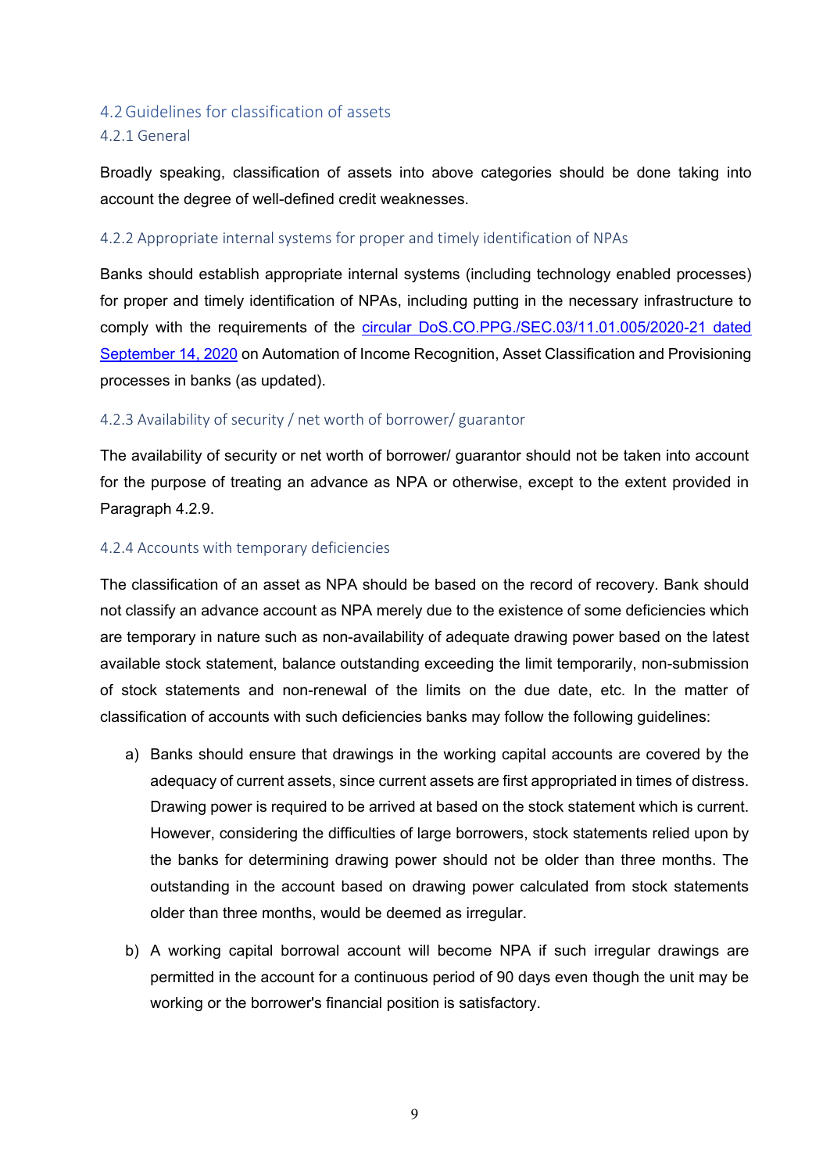# <span id="page-8-1"></span><span id="page-8-0"></span>4.2Guidelines for classification of assets 4.2.1 General

Broadly speaking, classification of assets into above categories should be done taking into account the degree of well-defined credit weaknesses.

## <span id="page-8-2"></span>4.2.2 Appropriate internal systems for proper and timely identification of NPAs

Banks should establish appropriate internal systems (including technology enabled processes) for proper and timely identification of NPAs, including putting in the necessary infrastructure to comply with the requirements of the [circular DoS.CO.PPG./SEC.03/11.01.005/2020-21 dated](https://www.rbi.org.in/Scripts/NotificationUser.aspx?Id=11964&Mode=0)  [September 14, 2020](https://www.rbi.org.in/Scripts/NotificationUser.aspx?Id=11964&Mode=0) on Automation of Income Recognition, Asset Classification and Provisioning processes in banks (as updated).

## <span id="page-8-3"></span>4.2.3 Availability of security / net worth of borrower/ guarantor

The availability of security or net worth of borrower/ guarantor should not be taken into account for the purpose of treating an advance as NPA or otherwise, except to the extent provided in Paragraph 4.2.9.

## <span id="page-8-4"></span>4.2.4 Accounts with temporary deficiencies

The classification of an asset as NPA should be based on the record of recovery. Bank should not classify an advance account as NPA merely due to the existence of some deficiencies which are temporary in nature such as non-availability of adequate drawing power based on the latest available stock statement, balance outstanding exceeding the limit temporarily, non-submission of stock statements and non-renewal of the limits on the due date, etc. In the matter of classification of accounts with such deficiencies banks may follow the following guidelines:

- a) Banks should ensure that drawings in the working capital accounts are covered by the adequacy of current assets, since current assets are first appropriated in times of distress. Drawing power is required to be arrived at based on the stock statement which is current. However, considering the difficulties of large borrowers, stock statements relied upon by the banks for determining drawing power should not be older than three months. The outstanding in the account based on drawing power calculated from stock statements older than three months, would be deemed as irregular.
- b) A working capital borrowal account will become NPA if such irregular drawings are permitted in the account for a continuous period of 90 days even though the unit may be working or the borrower's financial position is satisfactory.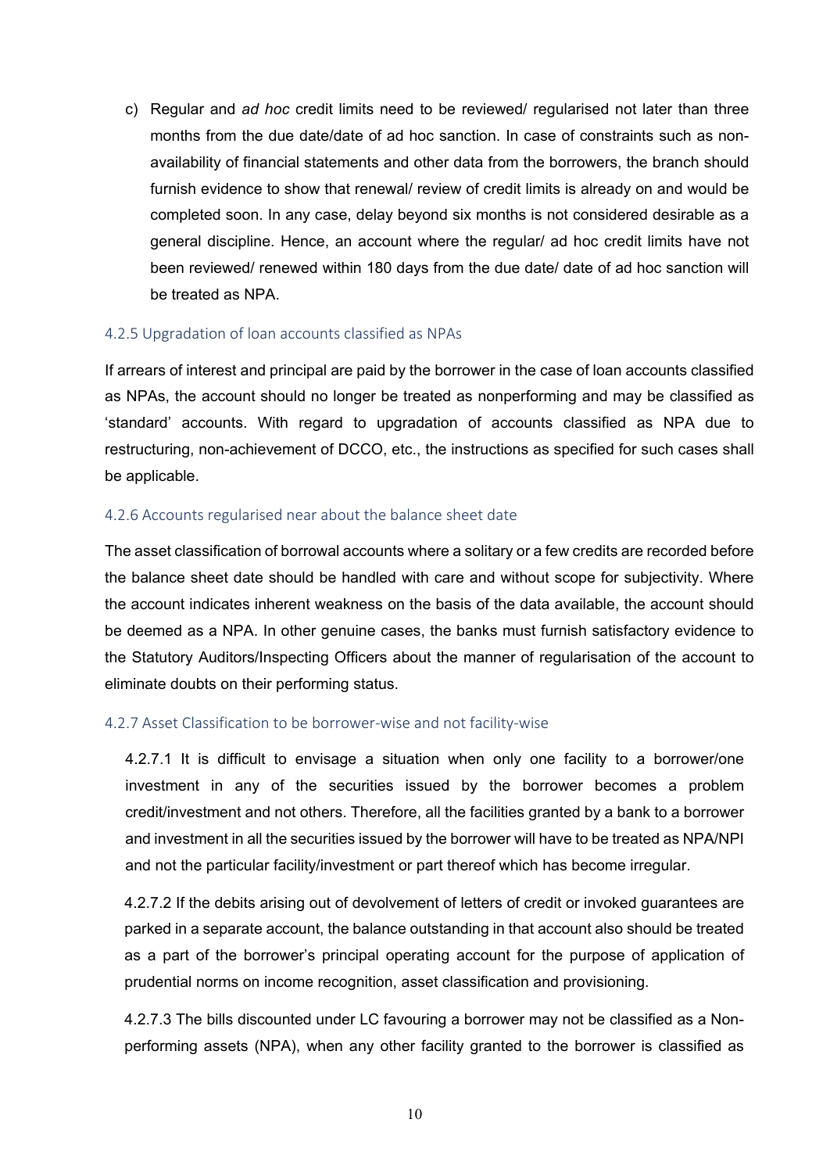c) Regular and *ad hoc* credit limits need to be reviewed/ regularised not later than three months from the due date/date of ad hoc sanction. In case of constraints such as nonavailability of financial statements and other data from the borrowers, the branch should furnish evidence to show that renewal/ review of credit limits is already on and would be completed soon. In any case, delay beyond six months is not considered desirable as a general discipline. Hence, an account where the regular/ ad hoc credit limits have not been reviewed/ renewed within 180 days from the due date/ date of ad hoc sanction will be treated as NPA.

#### <span id="page-9-0"></span>4.2.5 Upgradation of loan accounts classified as NPAs

If arrears of interest and principal are paid by the borrower in the case of loan accounts classified as NPAs, the account should no longer be treated as nonperforming and may be classified as 'standard' accounts. With regard to upgradation of accounts classified as NPA due to restructuring, non-achievement of DCCO, etc., the instructions as specified for such cases shall be applicable.

#### <span id="page-9-1"></span>4.2.6 Accounts regularised near about the balance sheet date

The asset classification of borrowal accounts where a solitary or a few credits are recorded before the balance sheet date should be handled with care and without scope for subjectivity. Where the account indicates inherent weakness on the basis of the data available, the account should be deemed as a NPA. In other genuine cases, the banks must furnish satisfactory evidence to the Statutory Auditors/Inspecting Officers about the manner of regularisation of the account to eliminate doubts on their performing status.

### <span id="page-9-2"></span>4.2.7 Asset Classification to be borrower-wise and not facility-wise

4.2.7.1 It is difficult to envisage a situation when only one facility to a borrower/one investment in any of the securities issued by the borrower becomes a problem credit/investment and not others. Therefore, all the facilities granted by a bank to a borrower and investment in all the securities issued by the borrower will have to be treated as NPA/NPI and not the particular facility/investment or part thereof which has become irregular.

4.2.7.2 If the debits arising out of devolvement of letters of credit or invoked guarantees are parked in a separate account, the balance outstanding in that account also should be treated as a part of the borrower's principal operating account for the purpose of application of prudential norms on income recognition, asset classification and provisioning.

4.2.7.3 The bills discounted under LC favouring a borrower may not be classified as a Nonperforming assets (NPA), when any other facility granted to the borrower is classified as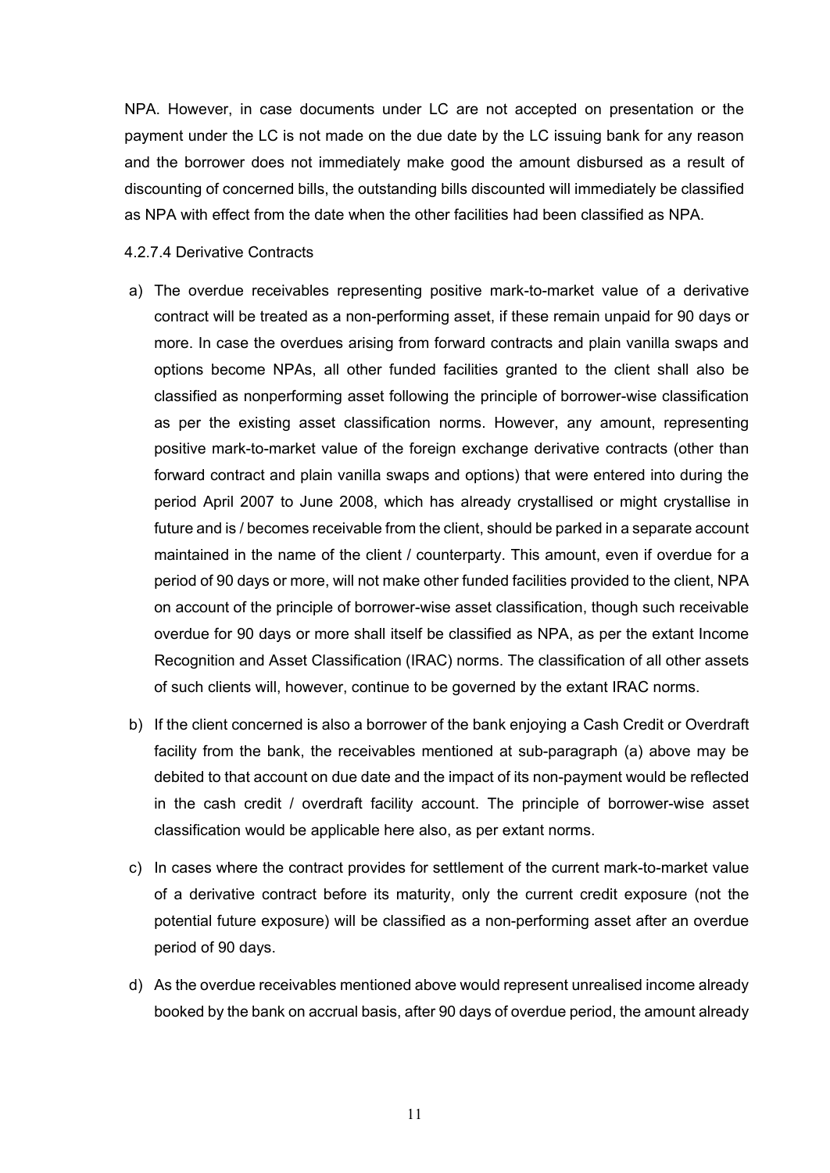NPA. However, in case documents under LC are not accepted on presentation or the payment under the LC is not made on the due date by the LC issuing bank for any reason and the borrower does not immediately make good the amount disbursed as a result of discounting of concerned bills, the outstanding bills discounted will immediately be classified as NPA with effect from the date when the other facilities had been classified as NPA.

#### 4.2.7.4 Derivative Contracts

- a) The overdue receivables representing positive mark-to-market value of a derivative contract will be treated as a non-performing asset, if these remain unpaid for 90 days or more. In case the overdues arising from forward contracts and plain vanilla swaps and options become NPAs, all other funded facilities granted to the client shall also be classified as nonperforming asset following the principle of borrower-wise classification as per the existing asset classification norms. However, any amount, representing positive mark-to-market value of the foreign exchange derivative contracts (other than forward contract and plain vanilla swaps and options) that were entered into during the period April 2007 to June 2008, which has already crystallised or might crystallise in future and is / becomes receivable from the client, should be parked in a separate account maintained in the name of the client / counterparty. This amount, even if overdue for a period of 90 days or more, will not make other funded facilities provided to the client, NPA on account of the principle of borrower-wise asset classification, though such receivable overdue for 90 days or more shall itself be classified as NPA, as per the extant Income Recognition and Asset Classification (IRAC) norms. The classification of all other assets of such clients will, however, continue to be governed by the extant IRAC norms.
- b) If the client concerned is also a borrower of the bank enjoying a Cash Credit or Overdraft facility from the bank, the receivables mentioned at sub-paragraph (a) above may be debited to that account on due date and the impact of its non-payment would be reflected in the cash credit / overdraft facility account. The principle of borrower-wise asset classification would be applicable here also, as per extant norms.
- c) In cases where the contract provides for settlement of the current mark-to-market value of a derivative contract before its maturity, only the current credit exposure (not the potential future exposure) will be classified as a non-performing asset after an overdue period of 90 days.
- d) As the overdue receivables mentioned above would represent unrealised income already booked by the bank on accrual basis, after 90 days of overdue period, the amount already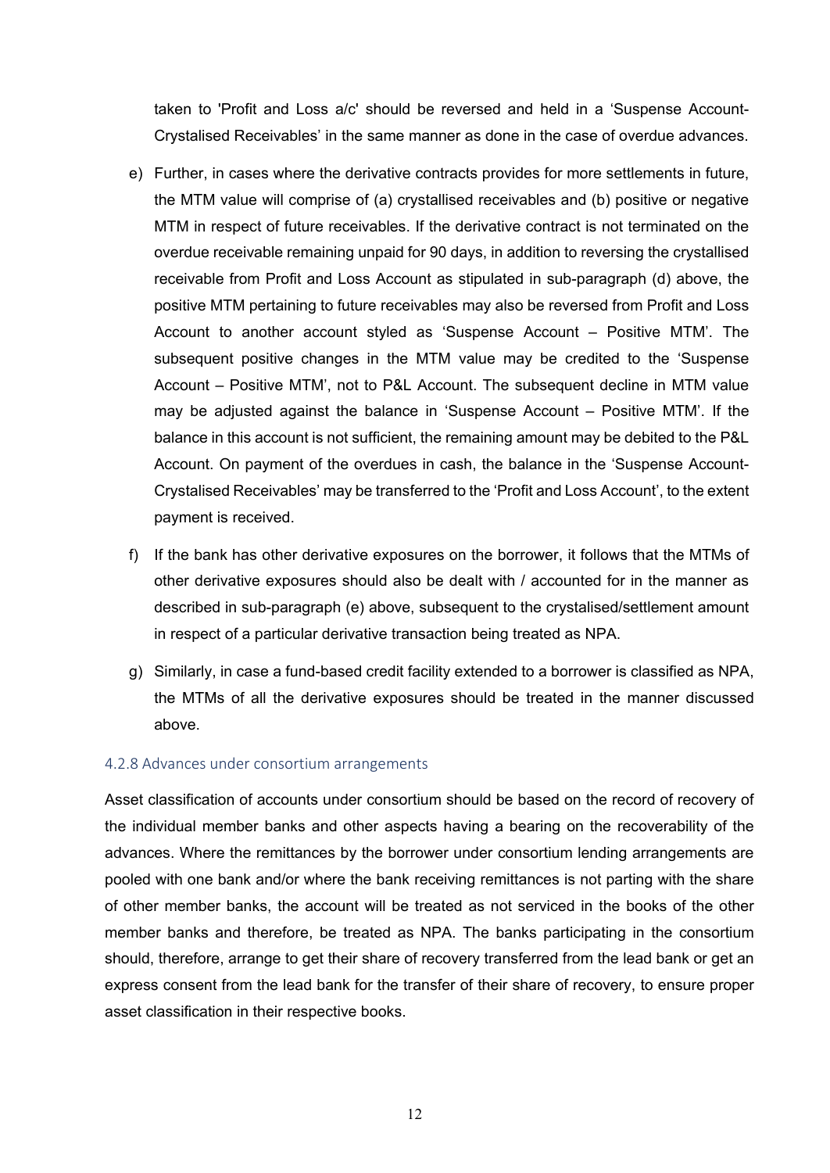taken to 'Profit and Loss a/c' should be reversed and held in a 'Suspense Account-Crystalised Receivables' in the same manner as done in the case of overdue advances.

- e) Further, in cases where the derivative contracts provides for more settlements in future, the MTM value will comprise of (a) crystallised receivables and (b) positive or negative MTM in respect of future receivables. If the derivative contract is not terminated on the overdue receivable remaining unpaid for 90 days, in addition to reversing the crystallised receivable from Profit and Loss Account as stipulated in sub-paragraph (d) above, the positive MTM pertaining to future receivables may also be reversed from Profit and Loss Account to another account styled as 'Suspense Account – Positive MTM'. The subsequent positive changes in the MTM value may be credited to the 'Suspense Account – Positive MTM', not to P&L Account. The subsequent decline in MTM value may be adjusted against the balance in 'Suspense Account – Positive MTM'. If the balance in this account is not sufficient, the remaining amount may be debited to the P&L Account. On payment of the overdues in cash, the balance in the 'Suspense Account-Crystalised Receivables' may be transferred to the 'Profit and Loss Account', to the extent payment is received.
- f) If the bank has other derivative exposures on the borrower, it follows that the MTMs of other derivative exposures should also be dealt with / accounted for in the manner as described in sub-paragraph (e) above, subsequent to the crystalised/settlement amount in respect of a particular derivative transaction being treated as NPA.
- g) Similarly, in case a fund-based credit facility extended to a borrower is classified as NPA, the MTMs of all the derivative exposures should be treated in the manner discussed above.

#### <span id="page-11-0"></span>4.2.8 Advances under consortium arrangements

Asset classification of accounts under consortium should be based on the record of recovery of the individual member banks and other aspects having a bearing on the recoverability of the advances. Where the remittances by the borrower under consortium lending arrangements are pooled with one bank and/or where the bank receiving remittances is not parting with the share of other member banks, the account will be treated as not serviced in the books of the other member banks and therefore, be treated as NPA. The banks participating in the consortium should, therefore, arrange to get their share of recovery transferred from the lead bank or get an express consent from the lead bank for the transfer of their share of recovery, to ensure proper asset classification in their respective books.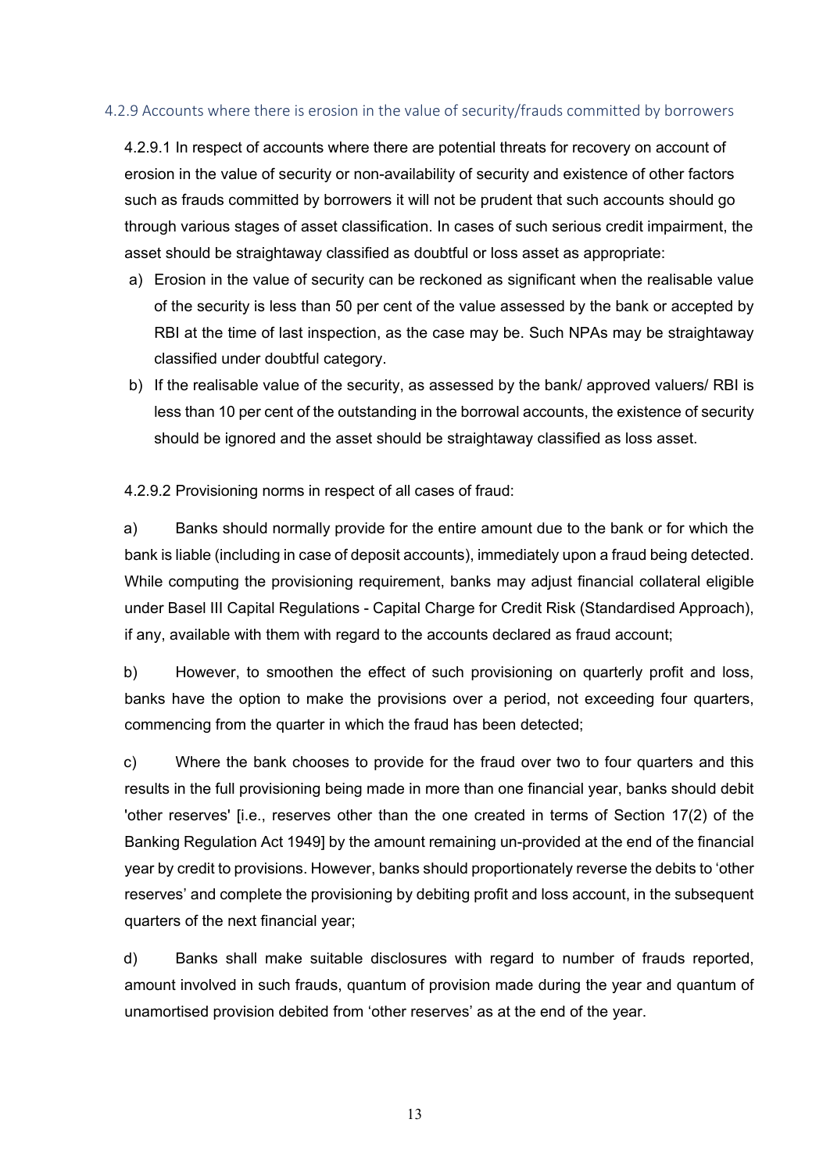### <span id="page-12-0"></span>4.2.9 Accounts where there is erosion in the value of security/frauds committed by borrowers

4.2.9.1 In respect of accounts where there are potential threats for recovery on account of erosion in the value of security or non-availability of security and existence of other factors such as frauds committed by borrowers it will not be prudent that such accounts should go through various stages of asset classification. In cases of such serious credit impairment, the asset should be straightaway classified as doubtful or loss asset as appropriate:

- a) Erosion in the value of security can be reckoned as significant when the realisable value of the security is less than 50 per cent of the value assessed by the bank or accepted by RBI at the time of last inspection, as the case may be. Such NPAs may be straightaway classified under doubtful category.
- b) If the realisable value of the security, as assessed by the bank/ approved valuers/ RBI is less than 10 per cent of the outstanding in the borrowal accounts, the existence of security should be ignored and the asset should be straightaway classified as loss asset.

4.2.9.2 Provisioning norms in respect of all cases of fraud:

a) Banks should normally provide for the entire amount due to the bank or for which the bank is liable (including in case of deposit accounts), immediately upon a fraud being detected. While computing the provisioning requirement, banks may adjust financial collateral eligible under Basel III Capital Regulations - Capital Charge for Credit Risk (Standardised Approach), if any, available with them with regard to the accounts declared as fraud account;

b) However, to smoothen the effect of such provisioning on quarterly profit and loss, banks have the option to make the provisions over a period, not exceeding four quarters, commencing from the quarter in which the fraud has been detected;

c) Where the bank chooses to provide for the fraud over two to four quarters and this results in the full provisioning being made in more than one financial year, banks should debit 'other reserves' [i.e., reserves other than the one created in terms of Section 17(2) of the Banking Regulation Act 1949] by the amount remaining un-provided at the end of the financial year by credit to provisions. However, banks should proportionately reverse the debits to 'other reserves' and complete the provisioning by debiting profit and loss account, in the subsequent quarters of the next financial year;

d) Banks shall make suitable disclosures with regard to number of frauds reported, amount involved in such frauds, quantum of provision made during the year and quantum of unamortised provision debited from 'other reserves' as at the end of the year.

13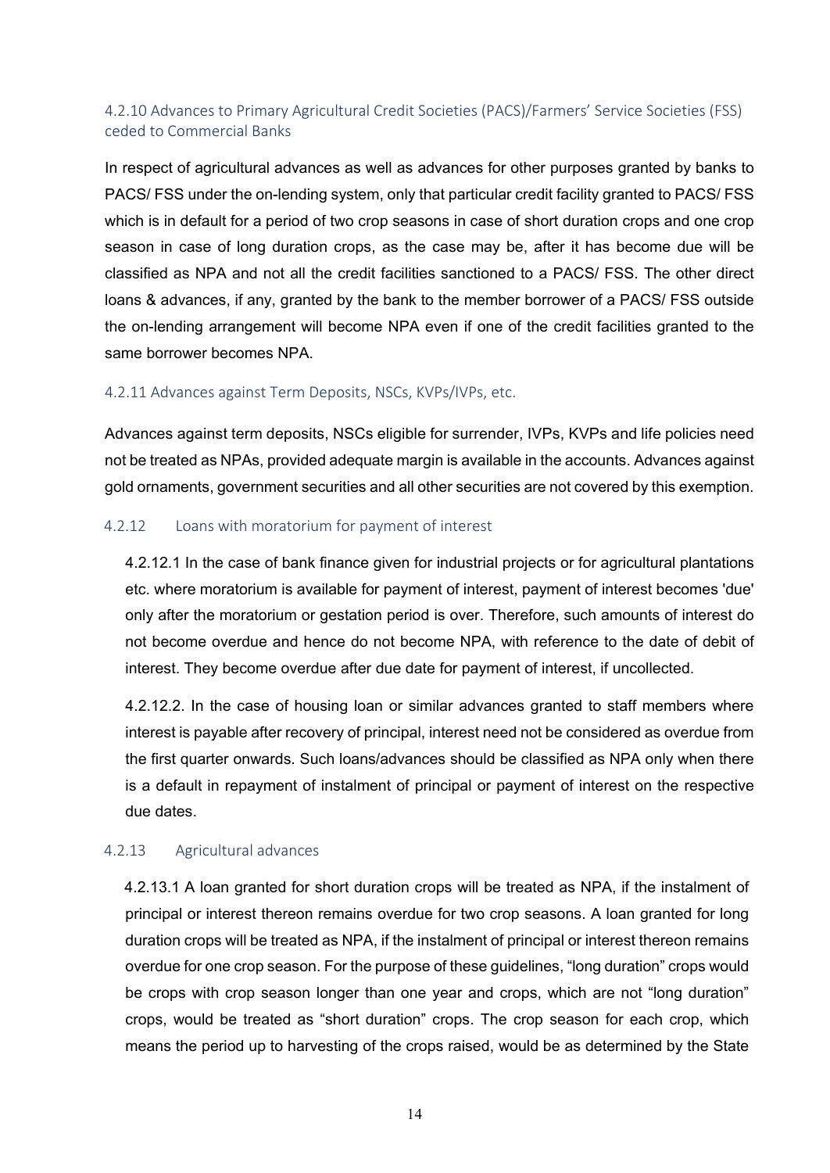# <span id="page-13-0"></span>4.2.10 Advances to Primary Agricultural Credit Societies (PACS)/Farmers' Service Societies (FSS) ceded to Commercial Banks

In respect of agricultural advances as well as advances for other purposes granted by banks to PACS/ FSS under the on-lending system, only that particular credit facility granted to PACS/ FSS which is in default for a period of two crop seasons in case of short duration crops and one crop season in case of long duration crops, as the case may be, after it has become due will be classified as NPA and not all the credit facilities sanctioned to a PACS/ FSS. The other direct loans & advances, if any, granted by the bank to the member borrower of a PACS/ FSS outside the on-lending arrangement will become NPA even if one of the credit facilities granted to the same borrower becomes NPA.

### <span id="page-13-1"></span>4.2.11 Advances against Term Deposits, NSCs, KVPs/IVPs, etc.

Advances against term deposits, NSCs eligible for surrender, IVPs, KVPs and life policies need not be treated as NPAs, provided adequate margin is available in the accounts. Advances against gold ornaments, government securities and all other securities are not covered by this exemption.

#### <span id="page-13-2"></span>4.2.12 Loans with moratorium for payment of interest

4.2.12.1 In the case of bank finance given for industrial projects or for agricultural plantations etc. where moratorium is available for payment of interest, payment of interest becomes 'due' only after the moratorium or gestation period is over. Therefore, such amounts of interest do not become overdue and hence do not become NPA, with reference to the date of debit of interest. They become overdue after due date for payment of interest, if uncollected.

4.2.12.2. In the case of housing loan or similar advances granted to staff members where interest is payable after recovery of principal, interest need not be considered as overdue from the first quarter onwards. Such loans/advances should be classified as NPA only when there is a default in repayment of instalment of principal or payment of interest on the respective due dates.

### <span id="page-13-3"></span>4.2.13 Agricultural advances

4.2.13.1 A loan granted for short duration crops will be treated as NPA, if the instalment of principal or interest thereon remains overdue for two crop seasons. A loan granted for long duration crops will be treated as NPA, if the instalment of principal or interest thereon remains overdue for one crop season. For the purpose of these guidelines, "long duration" crops would be crops with crop season longer than one year and crops, which are not "long duration" crops, would be treated as "short duration" crops. The crop season for each crop, which means the period up to harvesting of the crops raised, would be as determined by the State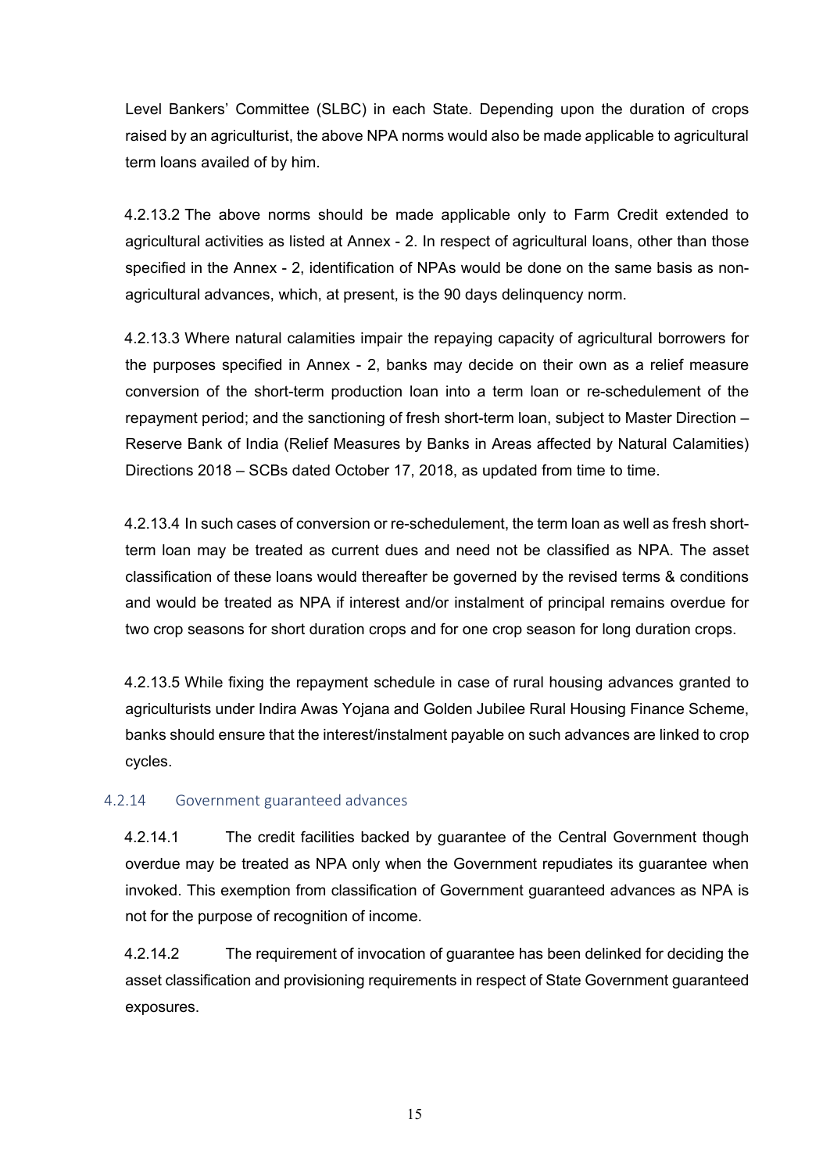Level Bankers' Committee (SLBC) in each State. Depending upon the duration of crops raised by an agriculturist, the above NPA norms would also be made applicable to agricultural term loans availed of by him.

4.2.13.2 The above norms should be made applicable only to Farm Credit extended to agricultural activities as listed at Annex - 2. In respect of agricultural loans, other than those specified in the Annex - 2, identification of NPAs would be done on the same basis as nonagricultural advances, which, at present, is the 90 days delinquency norm.

4.2.13.3 Where natural calamities impair the repaying capacity of agricultural borrowers for the purposes specified in Annex - 2, banks may decide on their own as a relief measure conversion of the short-term production loan into a term loan or re-schedulement of the repayment period; and the sanctioning of fresh short-term loan, subject to Master Direction – Reserve Bank of India (Relief Measures by Banks in Areas affected by Natural Calamities) Directions 2018 – SCBs dated October 17, 2018, as updated from time to time.

4.2.13.4 In such cases of conversion or re-schedulement, the term loan as well as fresh shortterm loan may be treated as current dues and need not be classified as NPA. The asset classification of these loans would thereafter be governed by the revised terms & conditions and would be treated as NPA if interest and/or instalment of principal remains overdue for two crop seasons for short duration crops and for one crop season for long duration crops.

4.2.13.5 While fixing the repayment schedule in case of rural housing advances granted to agriculturists under Indira Awas Yojana and Golden Jubilee Rural Housing Finance Scheme, banks should ensure that the interest/instalment payable on such advances are linked to crop cycles.

### <span id="page-14-0"></span>4.2.14 Government guaranteed advances

4.2.14.1 The credit facilities backed by guarantee of the Central Government though overdue may be treated as NPA only when the Government repudiates its guarantee when invoked. This exemption from classification of Government guaranteed advances as NPA is not for the purpose of recognition of income.

4.2.14.2 The requirement of invocation of guarantee has been delinked for deciding the asset classification and provisioning requirements in respect of State Government guaranteed exposures.

15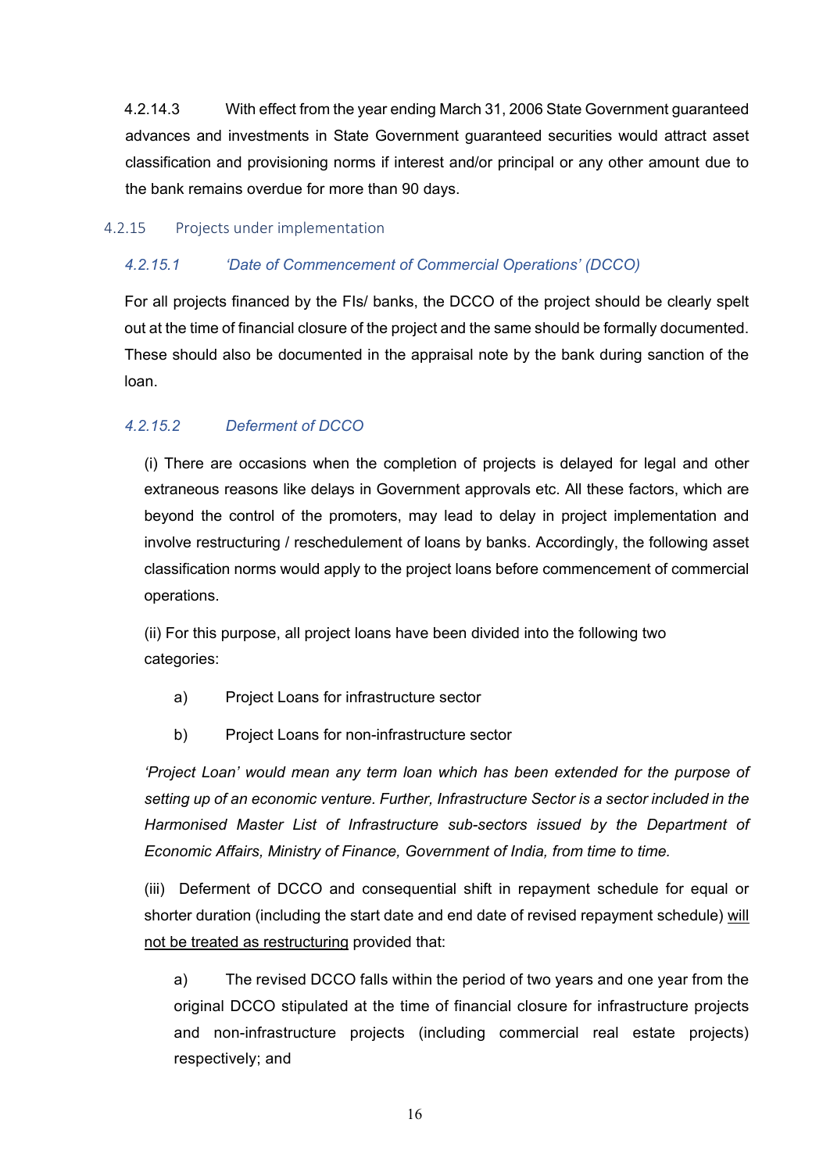4.2.14.3 With effect from the year ending March 31, 2006 State Government guaranteed advances and investments in State Government guaranteed securities would attract asset classification and provisioning norms if interest and/or principal or any other amount due to the bank remains overdue for more than 90 days.

## <span id="page-15-0"></span>4.2.15 Projects under implementation

# *4.2.15.1 'Date of Commencement of Commercial Operations' (DCCO)*

For all projects financed by the FIs/ banks, the DCCO of the project should be clearly spelt out at the time of financial closure of the project and the same should be formally documented. These should also be documented in the appraisal note by the bank during sanction of the loan.

# *4.2.15.2 Deferment of DCCO*

(i) There are occasions when the completion of projects is delayed for legal and other extraneous reasons like delays in Government approvals etc. All these factors, which are beyond the control of the promoters, may lead to delay in project implementation and involve restructuring / reschedulement of loans by banks. Accordingly, the following asset classification norms would apply to the project loans before commencement of commercial operations.

(ii) For this purpose, all project loans have been divided into the following two categories:

- a) Project Loans for infrastructure sector
- b) Project Loans for non-infrastructure sector

*'Project Loan' would mean any term loan which has been extended for the purpose of setting up of an economic venture. Further, Infrastructure Sector is a sector included in the Harmonised Master List of Infrastructure sub-sectors issued by the Department of Economic Affairs, Ministry of Finance, Government of India, from time to time.*

(iii) Deferment of DCCO and consequential shift in repayment schedule for equal or shorter duration (including the start date and end date of revised repayment schedule) will not be treated as restructuring provided that:

a) The revised DCCO falls within the period of two years and one year from the original DCCO stipulated at the time of financial closure for infrastructure projects and non-infrastructure projects (including commercial real estate projects) respectively; and

16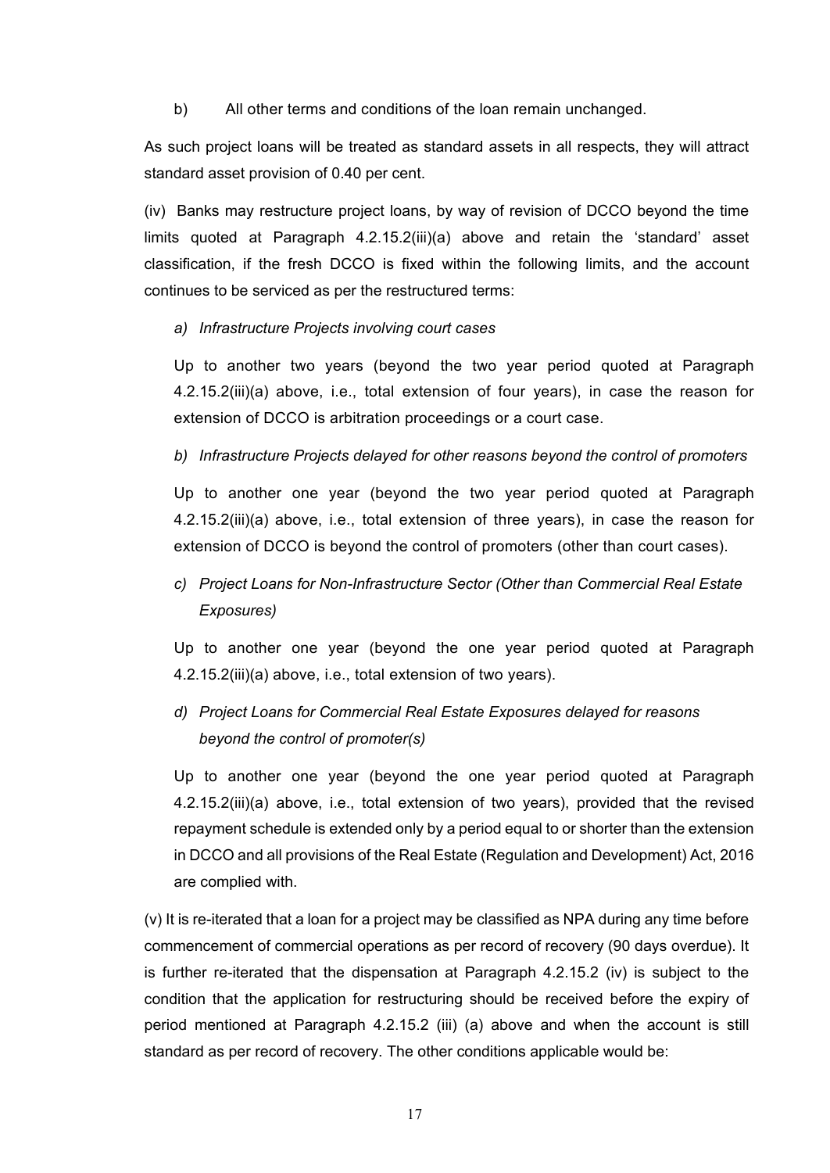b) All other terms and conditions of the loan remain unchanged.

As such project loans will be treated as standard assets in all respects, they will attract standard asset provision of 0.40 per cent.

(iv) Banks may restructure project loans, by way of revision of DCCO beyond the time limits quoted at Paragraph 4.2.15.2(iii)(a) above and retain the 'standard' asset classification, if the fresh DCCO is fixed within the following limits, and the account continues to be serviced as per the restructured terms:

*a) Infrastructure Projects involving court cases*

Up to another two years (beyond the two year period quoted at Paragraph 4.2.15.2(iii)(a) above, i.e., total extension of four years), in case the reason for extension of DCCO is arbitration proceedings or a court case.

*b) Infrastructure Projects delayed for other reasons beyond the control of promoters*

Up to another one year (beyond the two year period quoted at Paragraph 4.2.15.2(iii)(a) above, i.e., total extension of three years), in case the reason for extension of DCCO is beyond the control of promoters (other than court cases).

*c) Project Loans for Non-Infrastructure Sector (Other than Commercial Real Estate Exposures)*

Up to another one year (beyond the one year period quoted at Paragraph 4.2.15.2(iii)(a) above, i.e., total extension of two years).

# *d) Project Loans for Commercial Real Estate Exposures delayed for reasons beyond the control of promoter(s)*

Up to another one year (beyond the one year period quoted at Paragraph 4.2.15.2(iii)(a) above, i.e., total extension of two years), provided that the revised repayment schedule is extended only by a period equal to or shorter than the extension in DCCO and all provisions of the Real Estate (Regulation and Development) Act, 2016 are complied with.

(v) It is re-iterated that a loan for a project may be classified as NPA during any time before commencement of commercial operations as per record of recovery (90 days overdue). It is further re-iterated that the dispensation at Paragraph 4.2.15.2 (iv) is subject to the condition that the application for restructuring should be received before the expiry of period mentioned at Paragraph 4.2.15.2 (iii) (a) above and when the account is still standard as per record of recovery. The other conditions applicable would be: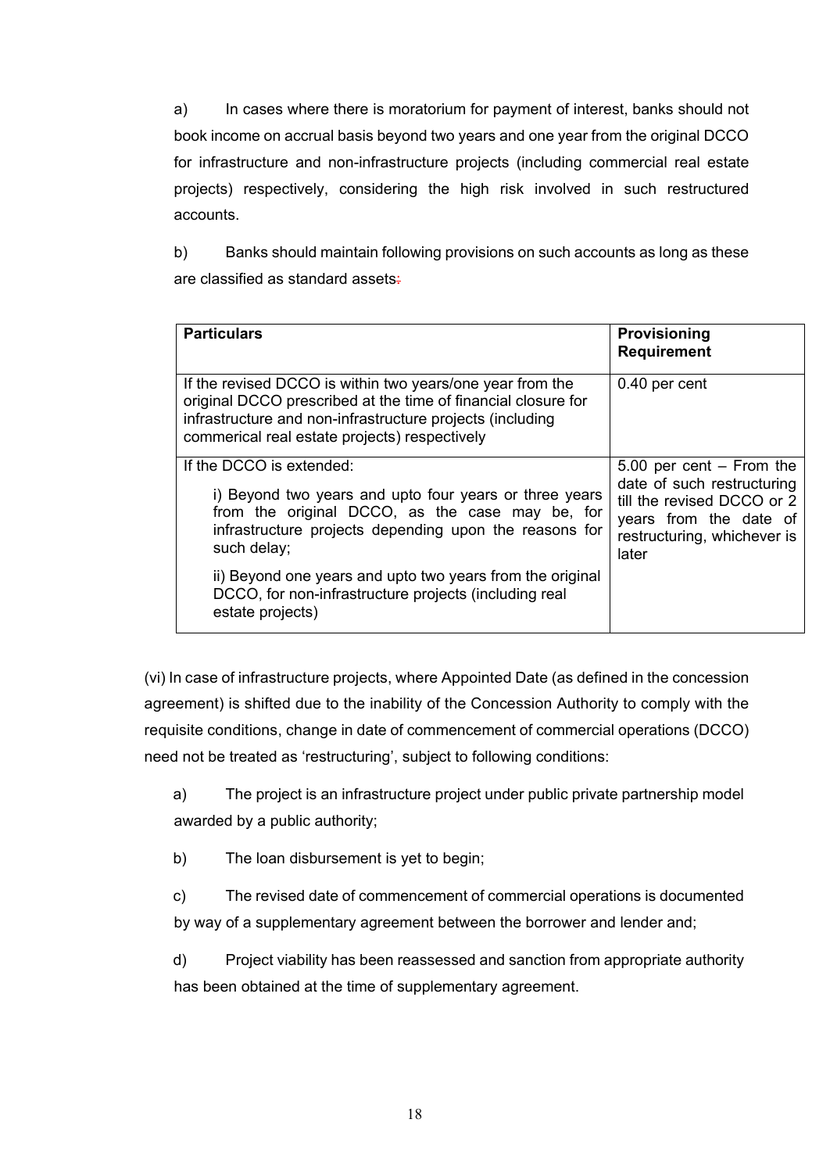a) In cases where there is moratorium for payment of interest, banks should not book income on accrual basis beyond two years and one year from the original DCCO for infrastructure and non-infrastructure projects (including commercial real estate projects) respectively, considering the high risk involved in such restructured accounts.

b) Banks should maintain following provisions on such accounts as long as these are classified as standard assets:

| <b>Particulars</b>                                                                                                                                                                                                                       | <b>Provisioning</b><br><b>Requirement</b>                                                                                                                  |
|------------------------------------------------------------------------------------------------------------------------------------------------------------------------------------------------------------------------------------------|------------------------------------------------------------------------------------------------------------------------------------------------------------|
| If the revised DCCO is within two years/one year from the<br>original DCCO prescribed at the time of financial closure for<br>infrastructure and non-infrastructure projects (including<br>commerical real estate projects) respectively | 0.40 per cent                                                                                                                                              |
| If the DCCO is extended:<br>i) Beyond two years and upto four years or three years<br>from the original DCCO, as the case may be, for<br>infrastructure projects depending upon the reasons for<br>such delay;                           | $5.00$ per cent $-$ From the<br>date of such restructuring<br>till the revised DCCO or 2<br>years from the date of<br>restructuring, whichever is<br>later |
| ii) Beyond one years and upto two years from the original<br>DCCO, for non-infrastructure projects (including real<br>estate projects)                                                                                                   |                                                                                                                                                            |

(vi) In case of infrastructure projects, where Appointed Date (as defined in the concession agreement) is shifted due to the inability of the Concession Authority to comply with the requisite conditions, change in date of commencement of commercial operations (DCCO) need not be treated as 'restructuring', subject to following conditions:

a) The project is an infrastructure project under public private partnership model awarded by a public authority;

b) The loan disbursement is yet to begin;

c) The revised date of commencement of commercial operations is documented by way of a supplementary agreement between the borrower and lender and;

d) Project viability has been reassessed and sanction from appropriate authority has been obtained at the time of supplementary agreement.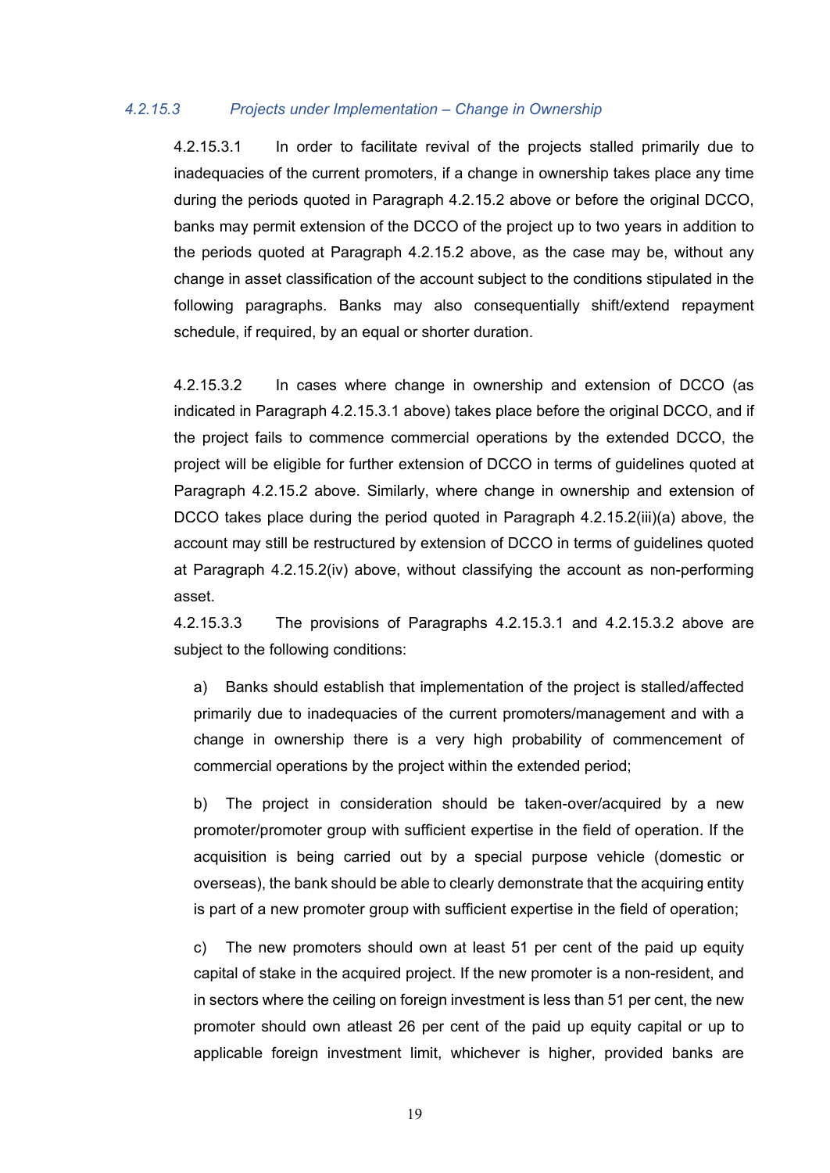#### *4.2.15.3 Projects under Implementation – Change in Ownership*

4.2.15.3.1 In order to facilitate revival of the projects stalled primarily due to inadequacies of the current promoters, if a change in ownership takes place any time during the periods quoted in Paragraph 4.2.15.2 above or before the original DCCO, banks may permit extension of the DCCO of the project up to two years in addition to the periods quoted at Paragraph 4.2.15.2 above, as the case may be, without any change in asset classification of the account subject to the conditions stipulated in the following paragraphs. Banks may also consequentially shift/extend repayment schedule, if required, by an equal or shorter duration.

4.2.15.3.2 In cases where change in ownership and extension of DCCO (as indicated in Paragraph 4.2.15.3.1 above) takes place before the original DCCO, and if the project fails to commence commercial operations by the extended DCCO, the project will be eligible for further extension of DCCO in terms of guidelines quoted at Paragraph 4.2.15.2 above. Similarly, where change in ownership and extension of DCCO takes place during the period quoted in Paragraph 4.2.15.2(iii)(a) above, the account may still be restructured by extension of DCCO in terms of guidelines quoted at Paragraph 4.2.15.2(iv) above, without classifying the account as non-performing asset.

4.2.15.3.3 The provisions of Paragraphs 4.2.15.3.1 and 4.2.15.3.2 above are subject to the following conditions:

a) Banks should establish that implementation of the project is stalled/affected primarily due to inadequacies of the current promoters/management and with a change in ownership there is a very high probability of commencement of commercial operations by the project within the extended period;

b) The project in consideration should be taken-over/acquired by a new promoter/promoter group with sufficient expertise in the field of operation. If the acquisition is being carried out by a special purpose vehicle (domestic or overseas), the bank should be able to clearly demonstrate that the acquiring entity is part of a new promoter group with sufficient expertise in the field of operation;

c) The new promoters should own at least 51 per cent of the paid up equity capital of stake in the acquired project. If the new promoter is a non-resident, and in sectors where the ceiling on foreign investment is less than 51 per cent, the new promoter should own atleast 26 per cent of the paid up equity capital or up to applicable foreign investment limit, whichever is higher, provided banks are

19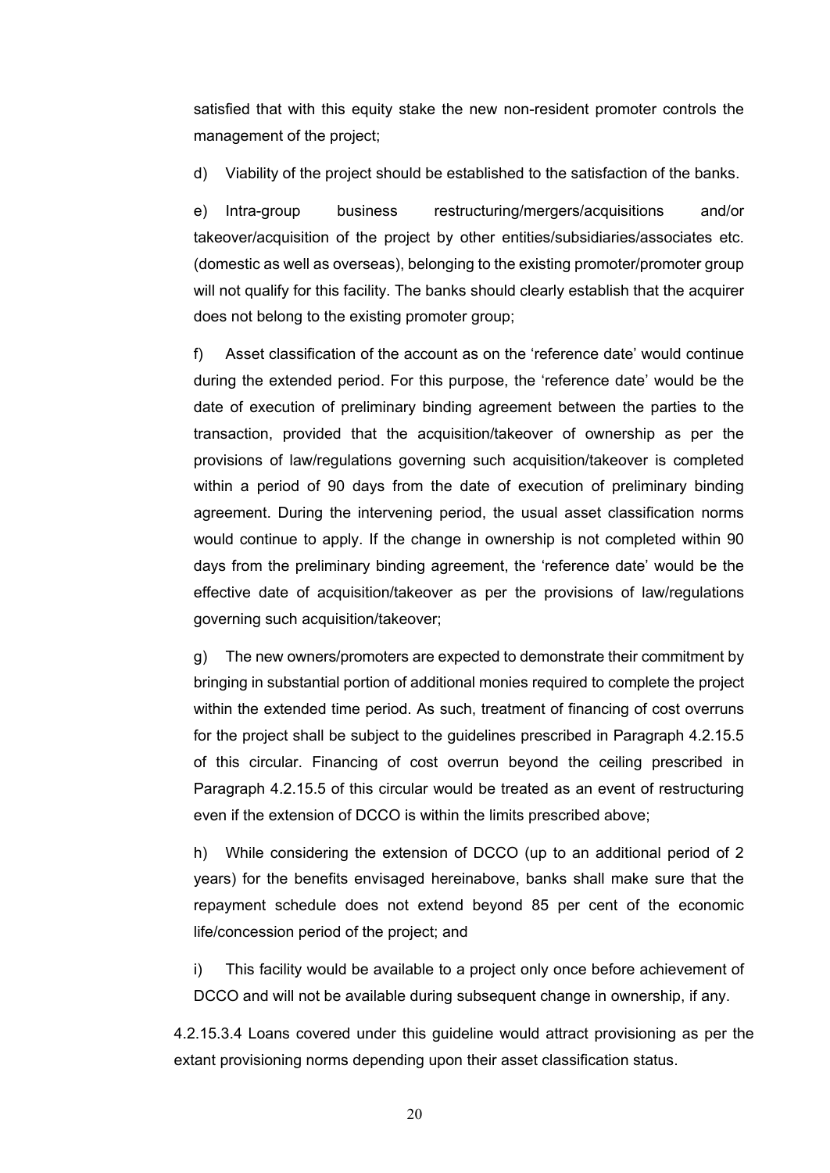satisfied that with this equity stake the new non-resident promoter controls the management of the project;

d) Viability of the project should be established to the satisfaction of the banks.

e) Intra-group business restructuring/mergers/acquisitions and/or takeover/acquisition of the project by other entities/subsidiaries/associates etc. (domestic as well as overseas), belonging to the existing promoter/promoter group will not qualify for this facility. The banks should clearly establish that the acquirer does not belong to the existing promoter group;

f) Asset classification of the account as on the 'reference date' would continue during the extended period. For this purpose, the 'reference date' would be the date of execution of preliminary binding agreement between the parties to the transaction, provided that the acquisition/takeover of ownership as per the provisions of law/regulations governing such acquisition/takeover is completed within a period of 90 days from the date of execution of preliminary binding agreement. During the intervening period, the usual asset classification norms would continue to apply. If the change in ownership is not completed within 90 days from the preliminary binding agreement, the 'reference date' would be the effective date of acquisition/takeover as per the provisions of law/regulations governing such acquisition/takeover;

g) The new owners/promoters are expected to demonstrate their commitment by bringing in substantial portion of additional monies required to complete the project within the extended time period. As such, treatment of financing of cost overruns for the project shall be subject to the guidelines prescribed in Paragraph 4.2.15.5 of this circular. Financing of cost overrun beyond the ceiling prescribed in Paragraph 4.2.15.5 of this circular would be treated as an event of restructuring even if the extension of DCCO is within the limits prescribed above;

h) While considering the extension of DCCO (up to an additional period of 2 years) for the benefits envisaged hereinabove, banks shall make sure that the repayment schedule does not extend beyond 85 per cent of the economic life/concession period of the project; and

i) This facility would be available to a project only once before achievement of DCCO and will not be available during subsequent change in ownership, if any.

4.2.15.3.4 Loans covered under this guideline would attract provisioning as per the extant provisioning norms depending upon their asset classification status.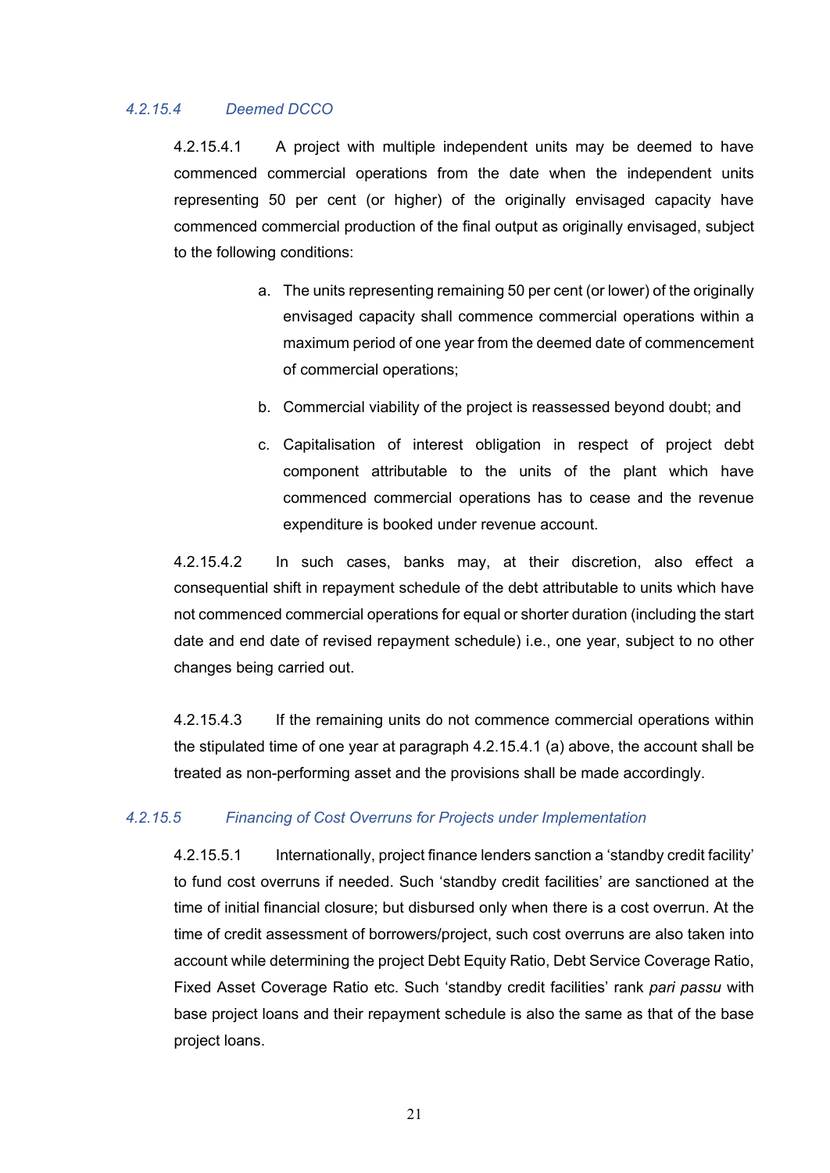### *4.2.15.4 Deemed DCCO*

4.2.15.4.1 A project with multiple independent units may be deemed to have commenced commercial operations from the date when the independent units representing 50 per cent (or higher) of the originally envisaged capacity have commenced commercial production of the final output as originally envisaged, subject to the following conditions:

- a. The units representing remaining 50 per cent (or lower) of the originally envisaged capacity shall commence commercial operations within a maximum period of one year from the deemed date of commencement of commercial operations;
- b. Commercial viability of the project is reassessed beyond doubt; and
- c. Capitalisation of interest obligation in respect of project debt component attributable to the units of the plant which have commenced commercial operations has to cease and the revenue expenditure is booked under revenue account.

4.2.15.4.2 In such cases, banks may, at their discretion, also effect a consequential shift in repayment schedule of the debt attributable to units which have not commenced commercial operations for equal or shorter duration (including the start date and end date of revised repayment schedule) i.e., one year, subject to no other changes being carried out.

4.2.15.4.3 If the remaining units do not commence commercial operations within the stipulated time of one year at paragraph 4.2.15.4.1 (a) above, the account shall be treated as non-performing asset and the provisions shall be made accordingly.

#### *4.2.15.5 Financing of Cost Overruns for Projects under Implementation*

4.2.15.5.1 Internationally, project finance lenders sanction a 'standby credit facility' to fund cost overruns if needed. Such 'standby credit facilities' are sanctioned at the time of initial financial closure; but disbursed only when there is a cost overrun. At the time of credit assessment of borrowers/project, such cost overruns are also taken into account while determining the project Debt Equity Ratio, Debt Service Coverage Ratio, Fixed Asset Coverage Ratio etc. Such 'standby credit facilities' rank *pari passu* with base project loans and their repayment schedule is also the same as that of the base project loans.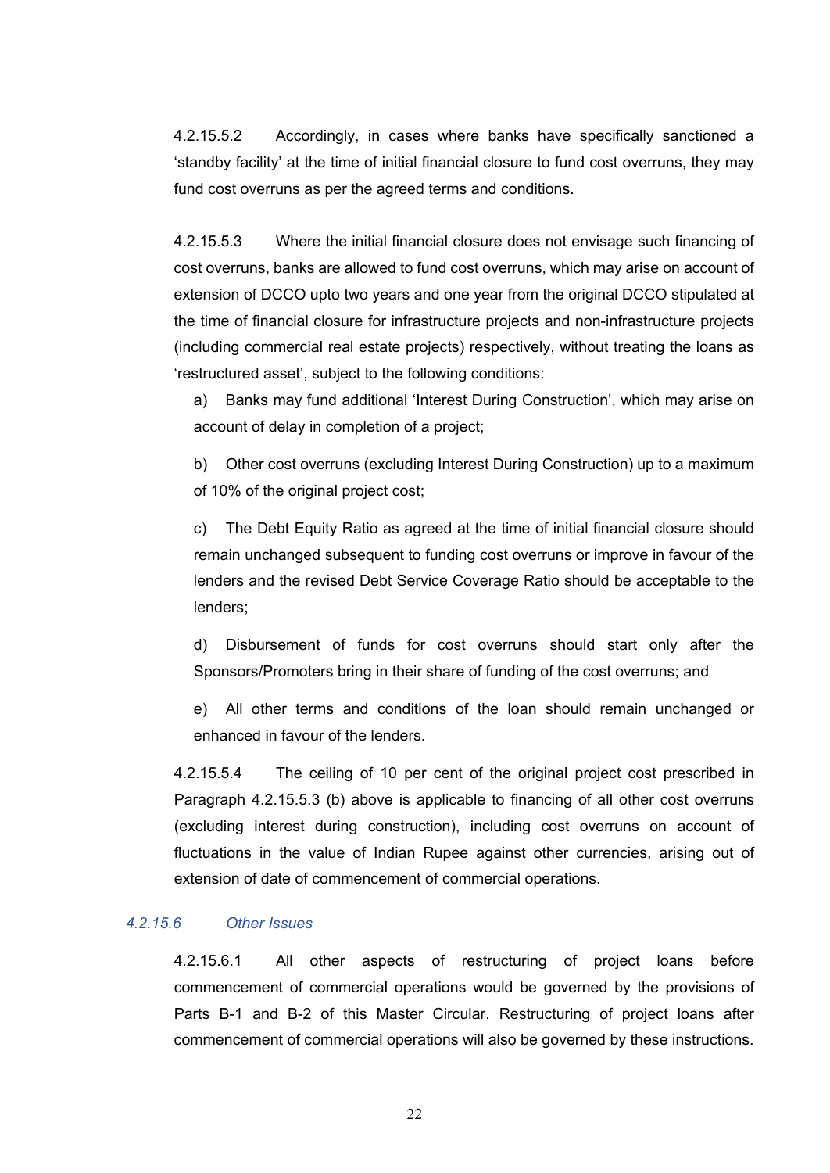4.2.15.5.2 Accordingly, in cases where banks have specifically sanctioned a 'standby facility' at the time of initial financial closure to fund cost overruns, they may fund cost overruns as per the agreed terms and conditions.

4.2.15.5.3 Where the initial financial closure does not envisage such financing of cost overruns, banks are allowed to fund cost overruns, which may arise on account of extension of DCCO upto two years and one year from the original DCCO stipulated at the time of financial closure for infrastructure projects and non-infrastructure projects (including commercial real estate projects) respectively, without treating the loans as 'restructured asset', subject to the following conditions:

a) Banks may fund additional 'Interest During Construction', which may arise on account of delay in completion of a project;

b) Other cost overruns (excluding Interest During Construction) up to a maximum of 10% of the original project cost;

c) The Debt Equity Ratio as agreed at the time of initial financial closure should remain unchanged subsequent to funding cost overruns or improve in favour of the lenders and the revised Debt Service Coverage Ratio should be acceptable to the lenders;

d) Disbursement of funds for cost overruns should start only after the Sponsors/Promoters bring in their share of funding of the cost overruns; and

e) All other terms and conditions of the loan should remain unchanged or enhanced in favour of the lenders.

4.2.15.5.4 The ceiling of 10 per cent of the original project cost prescribed in Paragraph 4.2.15.5.3 (b) above is applicable to financing of all other cost overruns (excluding interest during construction), including cost overruns on account of fluctuations in the value of Indian Rupee against other currencies, arising out of extension of date of commencement of commercial operations.

### *4.2.15.6 Other Issues*

4.2.15.6.1 All other aspects of restructuring of project loans before commencement of commercial operations would be governed by the provisions of Parts B-1 and B-2 of this Master Circular. Restructuring of project loans after commencement of commercial operations will also be governed by these instructions.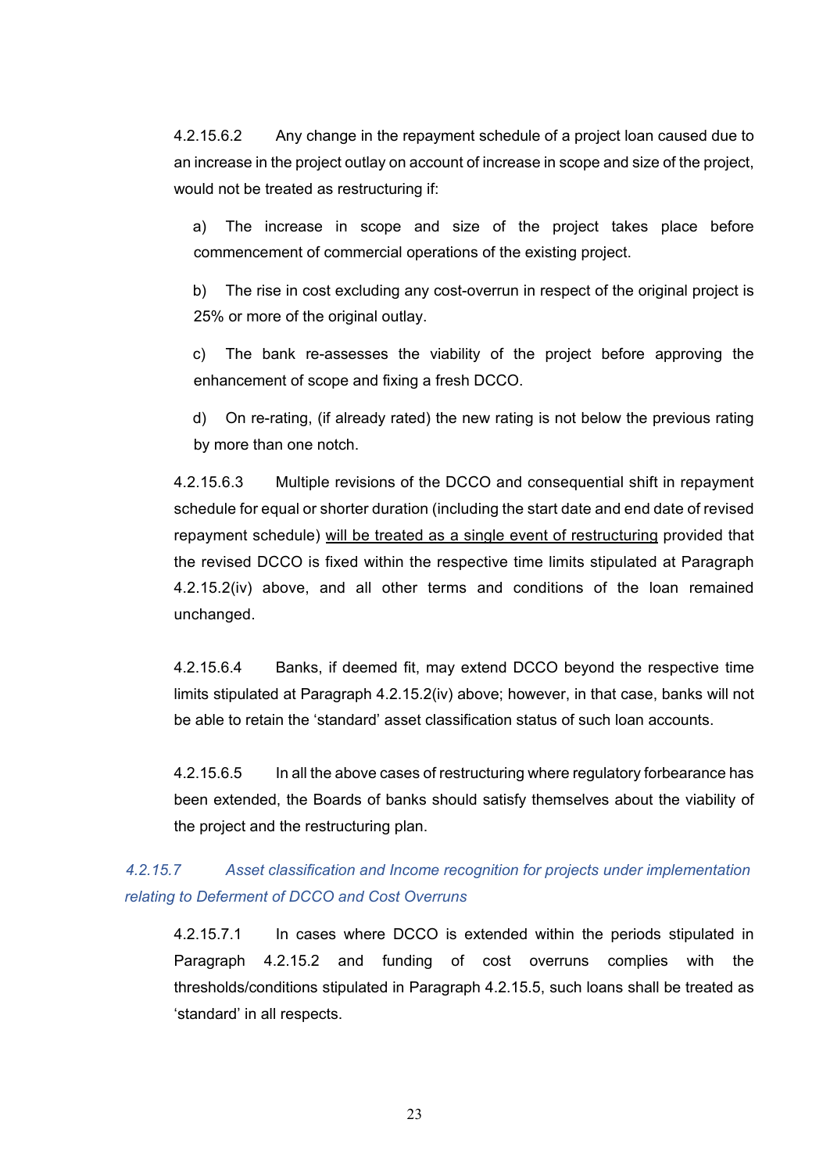4.2.15.6.2 Any change in the repayment schedule of a project loan caused due to an increase in the project outlay on account of increase in scope and size of the project, would not be treated as restructuring if:

a) The increase in scope and size of the project takes place before commencement of commercial operations of the existing project.

b) The rise in cost excluding any cost-overrun in respect of the original project is 25% or more of the original outlay.

c) The bank re-assesses the viability of the project before approving the enhancement of scope and fixing a fresh DCCO.

d) On re-rating, (if already rated) the new rating is not below the previous rating by more than one notch.

4.2.15.6.3 Multiple revisions of the DCCO and consequential shift in repayment schedule for equal or shorter duration (including the start date and end date of revised repayment schedule) will be treated as a single event of restructuring provided that the revised DCCO is fixed within the respective time limits stipulated at Paragraph 4.2.15.2(iv) above, and all other terms and conditions of the loan remained unchanged.

4.2.15.6.4 Banks, if deemed fit, may extend DCCO beyond the respective time limits stipulated at Paragraph 4.2.15.2(iv) above; however, in that case, banks will not be able to retain the 'standard' asset classification status of such loan accounts.

4.2.15.6.5 In all the above cases of restructuring where regulatory forbearance has been extended, the Boards of banks should satisfy themselves about the viability of the project and the restructuring plan.

# *4.2.15.7 Asset classification and Income recognition for projects under implementation relating to Deferment of DCCO and Cost Overruns*

4.2.15.7.1 In cases where DCCO is extended within the periods stipulated in Paragraph 4.2.15.2 and funding of cost overruns complies with the thresholds/conditions stipulated in Paragraph 4.2.15.5, such loans shall be treated as 'standard' in all respects.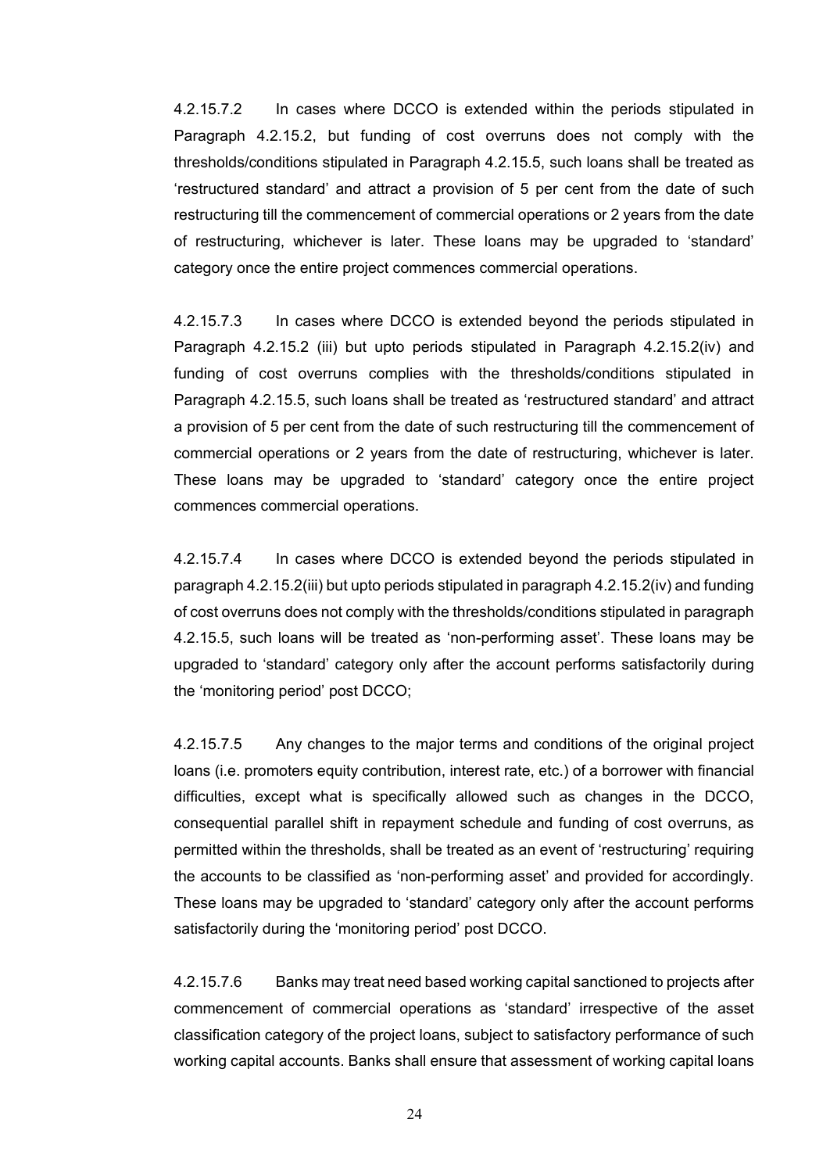4.2.15.7.2 In cases where DCCO is extended within the periods stipulated in Paragraph 4.2.15.2, but funding of cost overruns does not comply with the thresholds/conditions stipulated in Paragraph 4.2.15.5, such loans shall be treated as 'restructured standard' and attract a provision of 5 per cent from the date of such restructuring till the commencement of commercial operations or 2 years from the date of restructuring, whichever is later. These loans may be upgraded to 'standard' category once the entire project commences commercial operations.

4.2.15.7.3 In cases where DCCO is extended beyond the periods stipulated in Paragraph 4.2.15.2 (iii) but upto periods stipulated in Paragraph 4.2.15.2(iv) and funding of cost overruns complies with the thresholds/conditions stipulated in Paragraph 4.2.15.5, such loans shall be treated as 'restructured standard' and attract a provision of 5 per cent from the date of such restructuring till the commencement of commercial operations or 2 years from the date of restructuring, whichever is later. These loans may be upgraded to 'standard' category once the entire project commences commercial operations.

4.2.15.7.4 In cases where DCCO is extended beyond the periods stipulated in paragraph 4.2.15.2(iii) but upto periods stipulated in paragraph 4.2.15.2(iv) and funding of cost overruns does not comply with the thresholds/conditions stipulated in paragraph 4.2.15.5, such loans will be treated as 'non-performing asset'. These loans may be upgraded to 'standard' category only after the account performs satisfactorily during the 'monitoring period' post DCCO;

4.2.15.7.5 Any changes to the major terms and conditions of the original project loans (i.e. promoters equity contribution, interest rate, etc.) of a borrower with financial difficulties, except what is specifically allowed such as changes in the DCCO, consequential parallel shift in repayment schedule and funding of cost overruns, as permitted within the thresholds, shall be treated as an event of 'restructuring' requiring the accounts to be classified as 'non-performing asset' and provided for accordingly. These loans may be upgraded to 'standard' category only after the account performs satisfactorily during the 'monitoring period' post DCCO.

4.2.15.7.6 Banks may treat need based working capital sanctioned to projects after commencement of commercial operations as 'standard' irrespective of the asset classification category of the project loans, subject to satisfactory performance of such working capital accounts. Banks shall ensure that assessment of working capital loans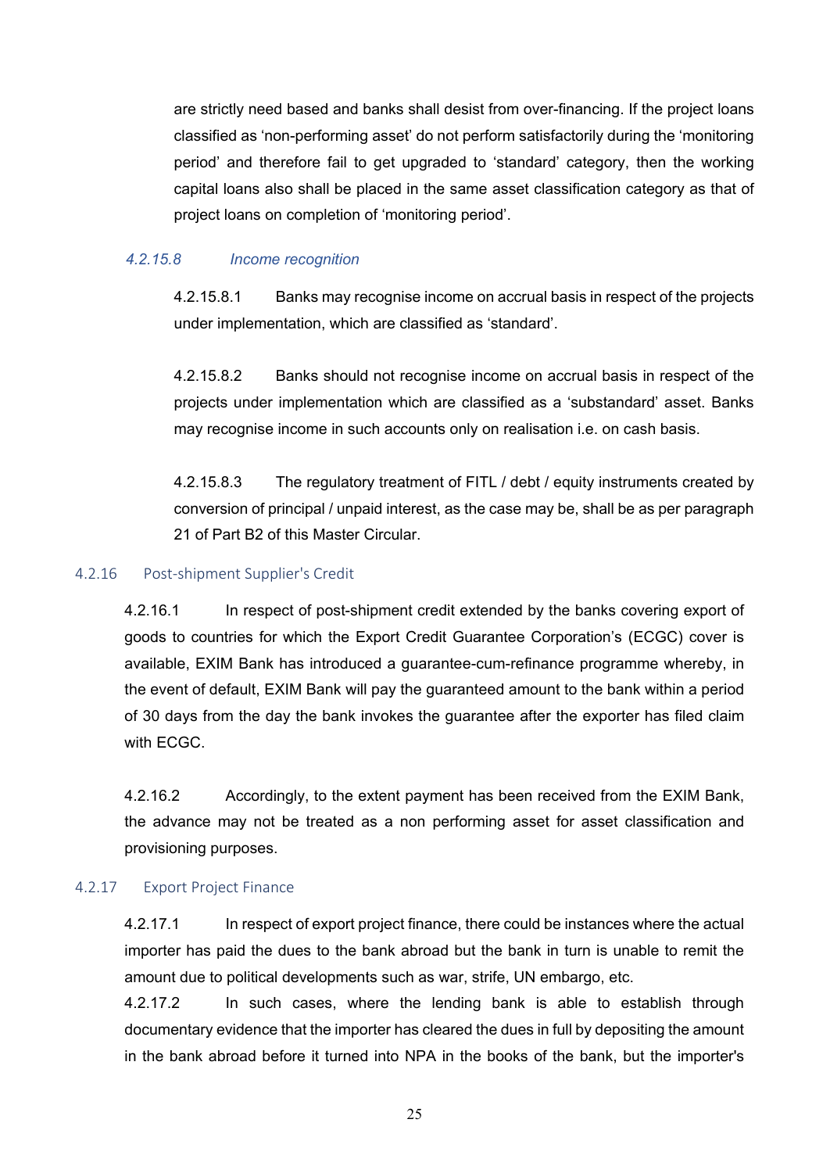are strictly need based and banks shall desist from over-financing. If the project loans classified as 'non-performing asset' do not perform satisfactorily during the 'monitoring period' and therefore fail to get upgraded to 'standard' category, then the working capital loans also shall be placed in the same asset classification category as that of project loans on completion of 'monitoring period'.

# *4.2.15.8 Income recognition*

4.2.15.8.1 Banks may recognise income on accrual basis in respect of the projects under implementation, which are classified as 'standard'.

4.2.15.8.2 Banks should not recognise income on accrual basis in respect of the projects under implementation which are classified as a 'substandard' asset. Banks may recognise income in such accounts only on realisation i.e. on cash basis.

4.2.15.8.3 The regulatory treatment of FITL / debt / equity instruments created by conversion of principal / unpaid interest, as the case may be, shall be as per paragraph 21 of Part B2 of this Master Circular.

#### <span id="page-24-0"></span>4.2.16 Post-shipment Supplier's Credit

4.2.16.1 In respect of post-shipment credit extended by the banks covering export of goods to countries for which the Export Credit Guarantee Corporation's (ECGC) cover is available, EXIM Bank has introduced a guarantee-cum-refinance programme whereby, in the event of default, EXIM Bank will pay the guaranteed amount to the bank within a period of 30 days from the day the bank invokes the guarantee after the exporter has filed claim with **FCGC**.

4.2.16.2 Accordingly, to the extent payment has been received from the EXIM Bank, the advance may not be treated as a non performing asset for asset classification and provisioning purposes.

### <span id="page-24-1"></span>4.2.17 Export Project Finance

4.2.17.1 In respect of export project finance, there could be instances where the actual importer has paid the dues to the bank abroad but the bank in turn is unable to remit the amount due to political developments such as war, strife, UN embargo, etc.

4.2.17.2 In such cases, where the lending bank is able to establish through documentary evidence that the importer has cleared the dues in full by depositing the amount in the bank abroad before it turned into NPA in the books of the bank, but the importer's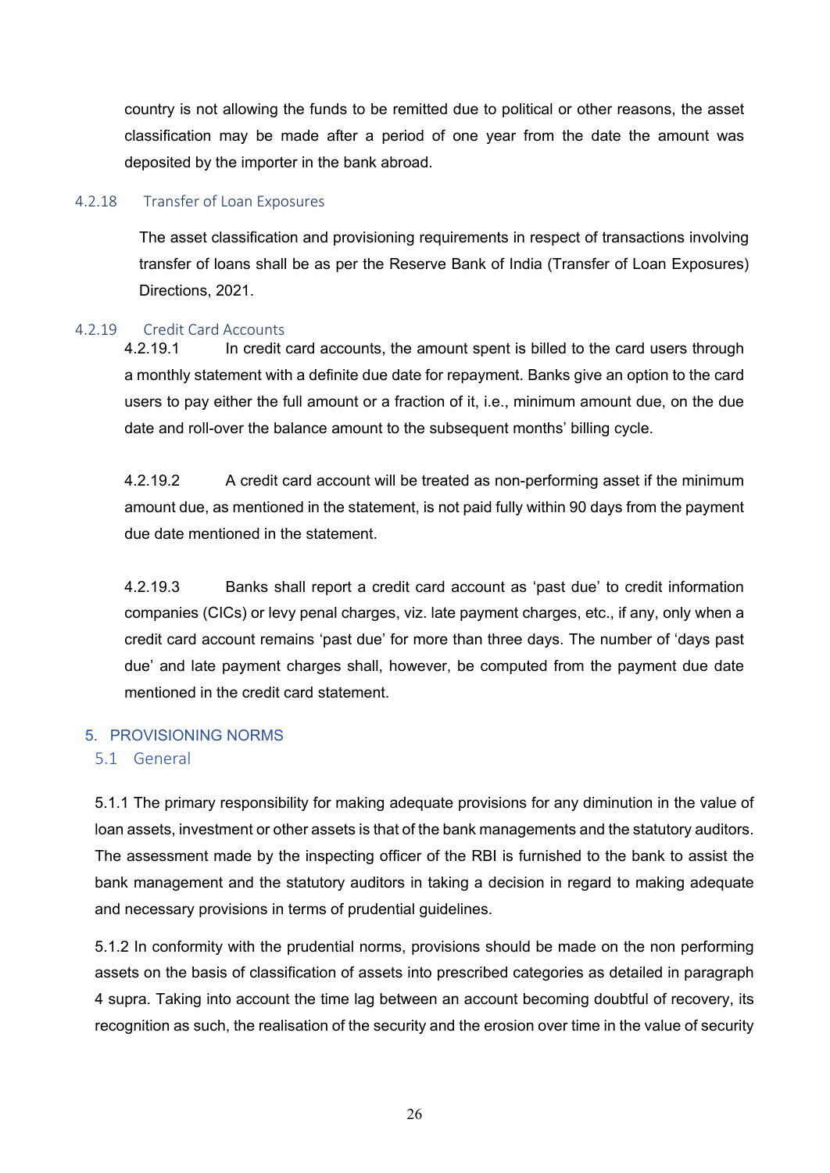country is not allowing the funds to be remitted due to political or other reasons, the asset classification may be made after a period of one year from the date the amount was deposited by the importer in the bank abroad.

## <span id="page-25-0"></span>4.2.18 Transfer of Loan Exposures

The asset classification and provisioning requirements in respect of transactions involving transfer of loans shall be as per the Reserve Bank of India (Transfer of Loan Exposures) Directions, 2021.

## <span id="page-25-1"></span>4.2.19 Credit Card Accounts

4.2.19.1 In credit card accounts, the amount spent is billed to the card users through a monthly statement with a definite due date for repayment. Banks give an option to the card users to pay either the full amount or a fraction of it, i.e., minimum amount due, on the due date and roll-over the balance amount to the subsequent months' billing cycle.

4.2.19.2 A credit card account will be treated as non-performing asset if the minimum amount due, as mentioned in the statement, is not paid fully within 90 days from the payment due date mentioned in the statement.

4.2.19.3 Banks shall report a credit card account as 'past due' to credit information companies (CICs) or levy penal charges, viz. late payment charges, etc., if any, only when a credit card account remains 'past due' for more than three days. The number of 'days past due' and late payment charges shall, however, be computed from the payment due date mentioned in the credit card statement.

# <span id="page-25-3"></span><span id="page-25-2"></span>5. PROVISIONING NORMS

# 5.1 General

5.1.1 The primary responsibility for making adequate provisions for any diminution in the value of loan assets, investment or other assets is that of the bank managements and the statutory auditors. The assessment made by the inspecting officer of the RBI is furnished to the bank to assist the bank management and the statutory auditors in taking a decision in regard to making adequate and necessary provisions in terms of prudential guidelines.

5.1.2 In conformity with the prudential norms, provisions should be made on the non performing assets on the basis of classification of assets into prescribed categories as detailed in paragraph 4 supra. Taking into account the time lag between an account becoming doubtful of recovery, its recognition as such, the realisation of the security and the erosion over time in the value of security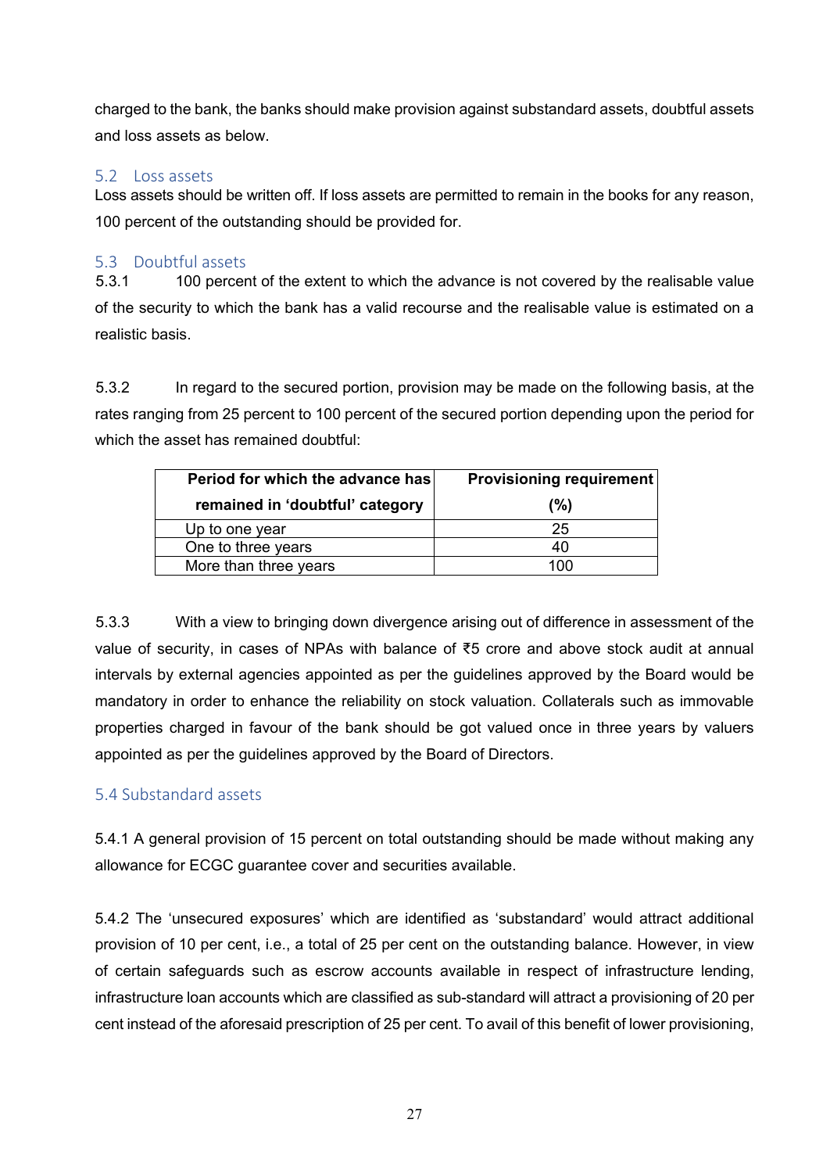charged to the bank, the banks should make provision against substandard assets, doubtful assets and loss assets as below.

# <span id="page-26-0"></span>5.2 Loss assets

Loss assets should be written off. If loss assets are permitted to remain in the books for any reason, 100 percent of the outstanding should be provided for.

# <span id="page-26-1"></span>5.3 Doubtful assets

5.3.1 100 percent of the extent to which the advance is not covered by the realisable value of the security to which the bank has a valid recourse and the realisable value is estimated on a realistic basis.

5.3.2 In regard to the secured portion, provision may be made on the following basis, at the rates ranging from 25 percent to 100 percent of the secured portion depending upon the period for which the asset has remained doubtful:

| Period for which the advance has | <b>Provisioning requirement</b> |
|----------------------------------|---------------------------------|
| remained in 'doubtful' category  | (%)                             |
| Up to one year                   | 25                              |
| One to three years               | 40                              |
| More than three years            | 100                             |

5.3.3 With a view to bringing down divergence arising out of difference in assessment of the value of security, in cases of NPAs with balance of ₹5 crore and above stock audit at annual intervals by external agencies appointed as per the guidelines approved by the Board would be mandatory in order to enhance the reliability on stock valuation. Collaterals such as immovable properties charged in favour of the bank should be got valued once in three years by valuers appointed as per the guidelines approved by the Board of Directors.

# <span id="page-26-2"></span>5.4 Substandard assets

5.4.1 A general provision of 15 percent on total outstanding should be made without making any allowance for ECGC guarantee cover and securities available.

5.4.2 The 'unsecured exposures' which are identified as 'substandard' would attract additional provision of 10 per cent, i.e., a total of 25 per cent on the outstanding balance. However, in view of certain safeguards such as escrow accounts available in respect of infrastructure lending, infrastructure loan accounts which are classified as sub-standard will attract a provisioning of 20 per cent instead of the aforesaid prescription of 25 per cent. To avail of this benefit of lower provisioning,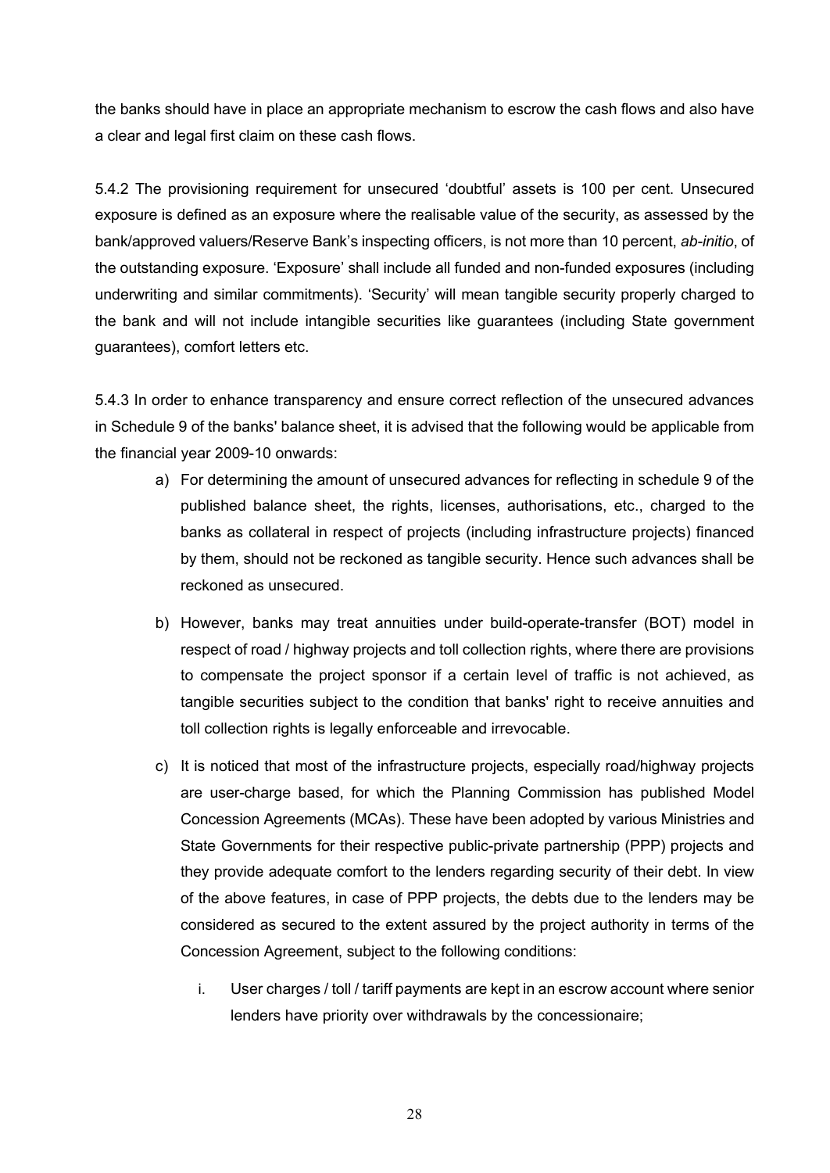the banks should have in place an appropriate mechanism to escrow the cash flows and also have a clear and legal first claim on these cash flows.

5.4.2 The provisioning requirement for unsecured 'doubtful' assets is 100 per cent. Unsecured exposure is defined as an exposure where the realisable value of the security, as assessed by the bank/approved valuers/Reserve Bank's inspecting officers, is not more than 10 percent, *ab-initio*, of the outstanding exposure. 'Exposure' shall include all funded and non-funded exposures (including underwriting and similar commitments). 'Security' will mean tangible security properly charged to the bank and will not include intangible securities like guarantees (including State government guarantees), comfort letters etc.

5.4.3 In order to enhance transparency and ensure correct reflection of the unsecured advances in Schedule 9 of the banks' balance sheet, it is advised that the following would be applicable from the financial year 2009-10 onwards:

- a) For determining the amount of unsecured advances for reflecting in schedule 9 of the published balance sheet, the rights, licenses, authorisations, etc., charged to the banks as collateral in respect of projects (including infrastructure projects) financed by them, should not be reckoned as tangible security. Hence such advances shall be reckoned as unsecured.
- b) However, banks may treat annuities under build-operate-transfer (BOT) model in respect of road / highway projects and toll collection rights, where there are provisions to compensate the project sponsor if a certain level of traffic is not achieved, as tangible securities subject to the condition that banks' right to receive annuities and toll collection rights is legally enforceable and irrevocable.
- c) It is noticed that most of the infrastructure projects, especially road/highway projects are user-charge based, for which the Planning Commission has published Model Concession Agreements (MCAs). These have been adopted by various Ministries and State Governments for their respective public-private partnership (PPP) projects and they provide adequate comfort to the lenders regarding security of their debt. In view of the above features, in case of PPP projects, the debts due to the lenders may be considered as secured to the extent assured by the project authority in terms of the Concession Agreement, subject to the following conditions:
	- i. User charges / toll / tariff payments are kept in an escrow account where senior lenders have priority over withdrawals by the concessionaire;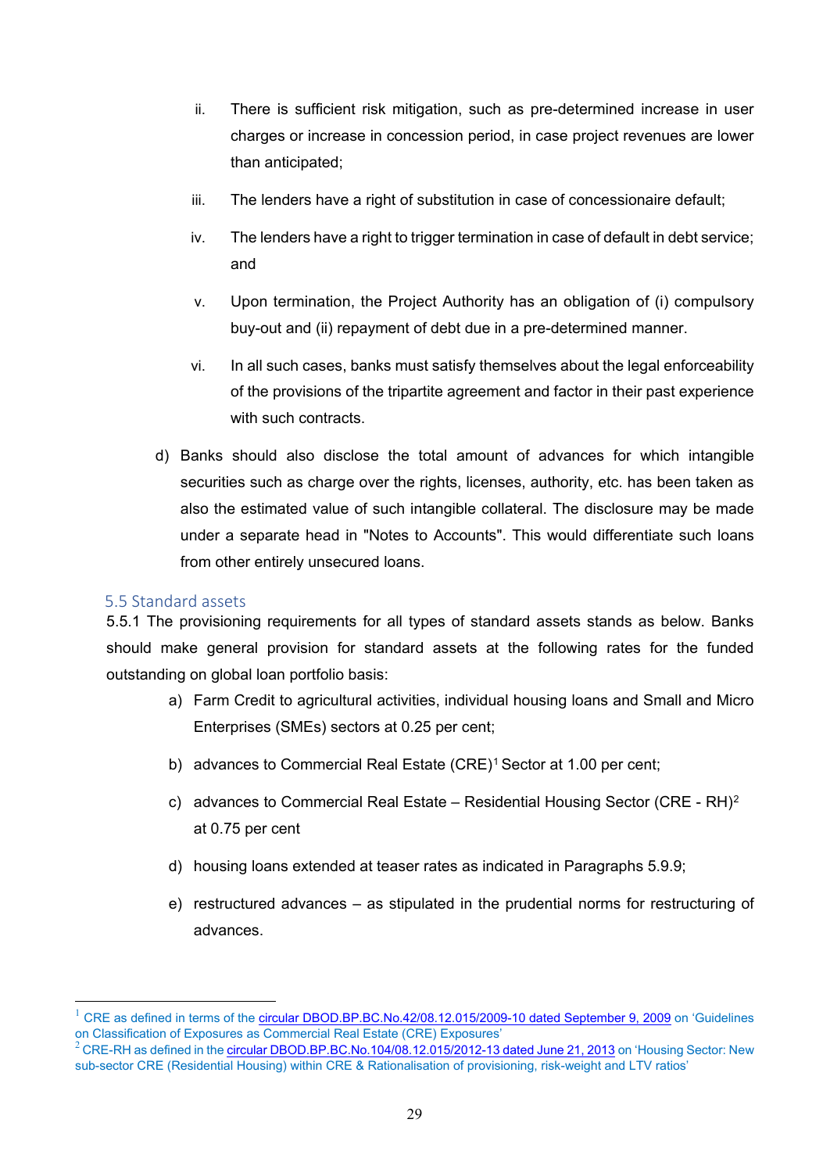- ii. There is sufficient risk mitigation, such as pre-determined increase in user charges or increase in concession period, in case project revenues are lower than anticipated;
- iii. The lenders have a right of substitution in case of concessionaire default;
- iv. The lenders have a right to trigger termination in case of default in debt service; and
- v. Upon termination, the Project Authority has an obligation of (i) compulsory buy-out and (ii) repayment of debt due in a pre-determined manner.
- vi. In all such cases, banks must satisfy themselves about the legal enforceability of the provisions of the tripartite agreement and factor in their past experience with such contracts.
- d) Banks should also disclose the total amount of advances for which intangible securities such as charge over the rights, licenses, authority, etc. has been taken as also the estimated value of such intangible collateral. The disclosure may be made under a separate head in "Notes to Accounts". This would differentiate such loans from other entirely unsecured loans.

### <span id="page-28-0"></span>5.5 Standard assets

5.5.1 The provisioning requirements for all types of standard assets stands as below. Banks should make general provision for standard assets at the following rates for the funded outstanding on global loan portfolio basis:

- a) Farm Credit to agricultural activities, individual housing loans and Small and Micro Enterprises (SMEs) sectors at 0.25 per cent;
- b) advances to Commercial Real Estate (CRE)<sup>[1](#page-28-1)</sup> Sector at 1.00 per cent;
- c) advances to Commercial Real Estate Residential Housing Sector (CRE RH)<sup>[2](#page-28-2)</sup> at 0.75 per cent
- d) housing loans extended at teaser rates as indicated in Paragraphs 5.9.9;
- e) restructured advances as stipulated in the prudential norms for restructuring of advances.

<span id="page-28-1"></span> <sup>1</sup> CRE as defined in terms of the circular [DBOD.BP.BC.No.42/08.12.015/2009-10 dated September 9, 2009](https://www.rbi.org.in/Scripts/NotificationUser.aspx?Id=5261&Mode=0) on 'Guidelines on Classification of Exposures as Commercial Real Estate (CRE) Exposures'

<span id="page-28-2"></span> $^2$  CRE-RH as defined in the [circular DBOD.BP.BC.No.104/08.12.015/2012-13 dated June 21, 2013](https://www.rbi.org.in/Scripts/NotificationUser.aspx?Id=8047&Mode=0) on 'Housing Sector: New sub-sector CRE (Residential Housing) within CRE & Rationalisation of provisioning, risk-weight and LTV ratios'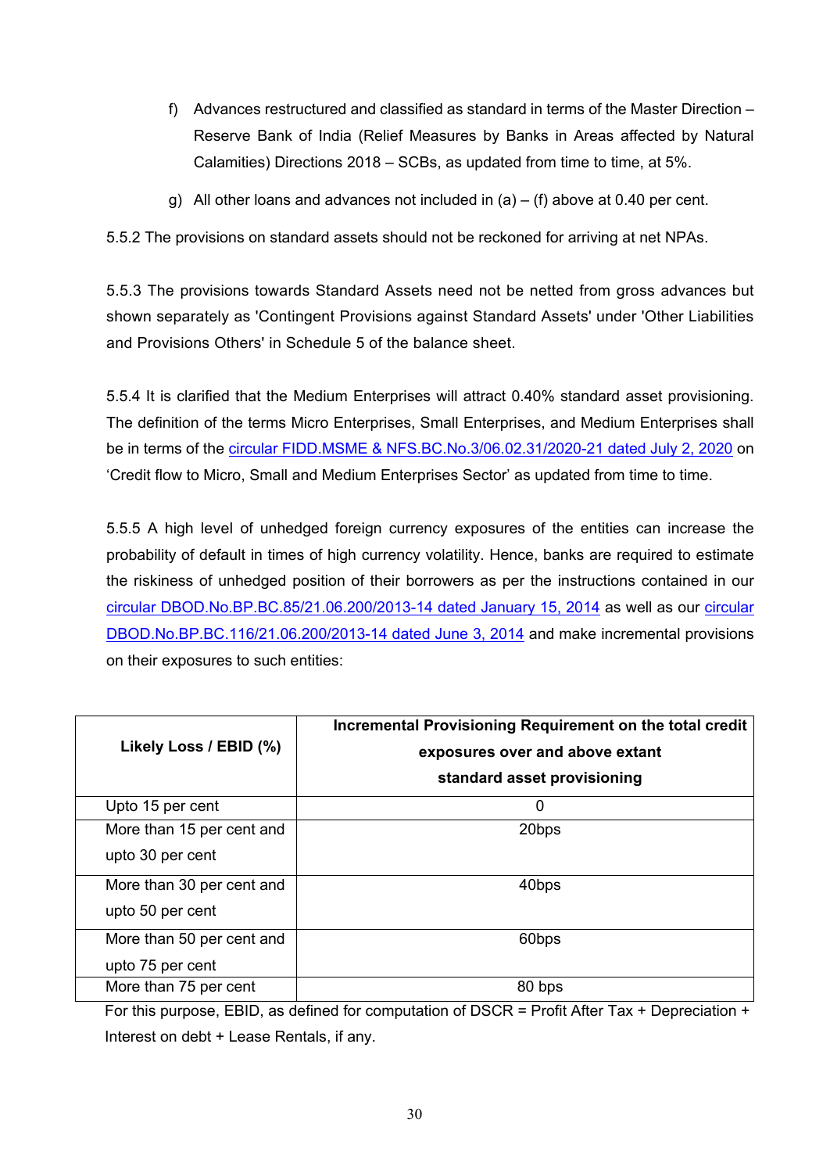- f) Advances restructured and classified as standard in terms of the Master Direction Reserve Bank of India (Relief Measures by Banks in Areas affected by Natural Calamities) Directions 2018 – SCBs, as updated from time to time, at 5%.
- g) All other loans and advances not included in  $(a) (f)$  above at 0.40 per cent.

5.5.2 The provisions on standard assets should not be reckoned for arriving at net NPAs.

5.5.3 The provisions towards Standard Assets need not be netted from gross advances but shown separately as 'Contingent Provisions against Standard Assets' under 'Other Liabilities and Provisions Others' in Schedule 5 of the balance sheet.

5.5.4 It is clarified that the Medium Enterprises will attract 0.40% standard asset provisioning. The definition of the terms Micro Enterprises, Small Enterprises, and Medium Enterprises shall be in terms of the [circular FIDD.MSME & NFS.BC.No.3/06.02.31/2020-21 dated July 2, 2020](https://www.rbi.org.in/Scripts/NotificationUser.aspx?Id=11934&Mode=0) on 'Credit flow to Micro, Small and Medium Enterprises Sector' as updated from time to time.

5.5.5 A high level of unhedged foreign currency exposures of the entities can increase the probability of default in times of high currency volatility. Hence, banks are required to estimate the riskiness of unhedged position of their borrowers as per the instructions contained in our [circular DBOD.No.BP.BC.85/21.06.200/2013-14 dated January 15, 2014](https://www.rbi.org.in/Scripts/NotificationUser.aspx?Id=8694&Mode=0) as well as our [circular](https://www.rbi.org.in/Scripts/NotificationUser.aspx?Id=8914&Mode=0)  [DBOD.No.BP.BC.116/21.06.200/2013-14 dated June 3, 2014](https://www.rbi.org.in/Scripts/NotificationUser.aspx?Id=8914&Mode=0) and make incremental provisions on their exposures to such entities:

| Likely Loss / EBID (%)    | Incremental Provisioning Requirement on the total credit<br>exposures over and above extant |
|---------------------------|---------------------------------------------------------------------------------------------|
|                           | standard asset provisioning                                                                 |
|                           |                                                                                             |
| Upto 15 per cent          | 0                                                                                           |
| More than 15 per cent and | 20bps                                                                                       |
| upto 30 per cent          |                                                                                             |
| More than 30 per cent and | 40bps                                                                                       |
| upto 50 per cent          |                                                                                             |
| More than 50 per cent and | 60 <sub>bps</sub>                                                                           |
| upto 75 per cent          |                                                                                             |
| More than 75 per cent     | 80 bps                                                                                      |

For this purpose, EBID, as defined for computation of DSCR = Profit After Tax + Depreciation + Interest on debt + Lease Rentals, if any.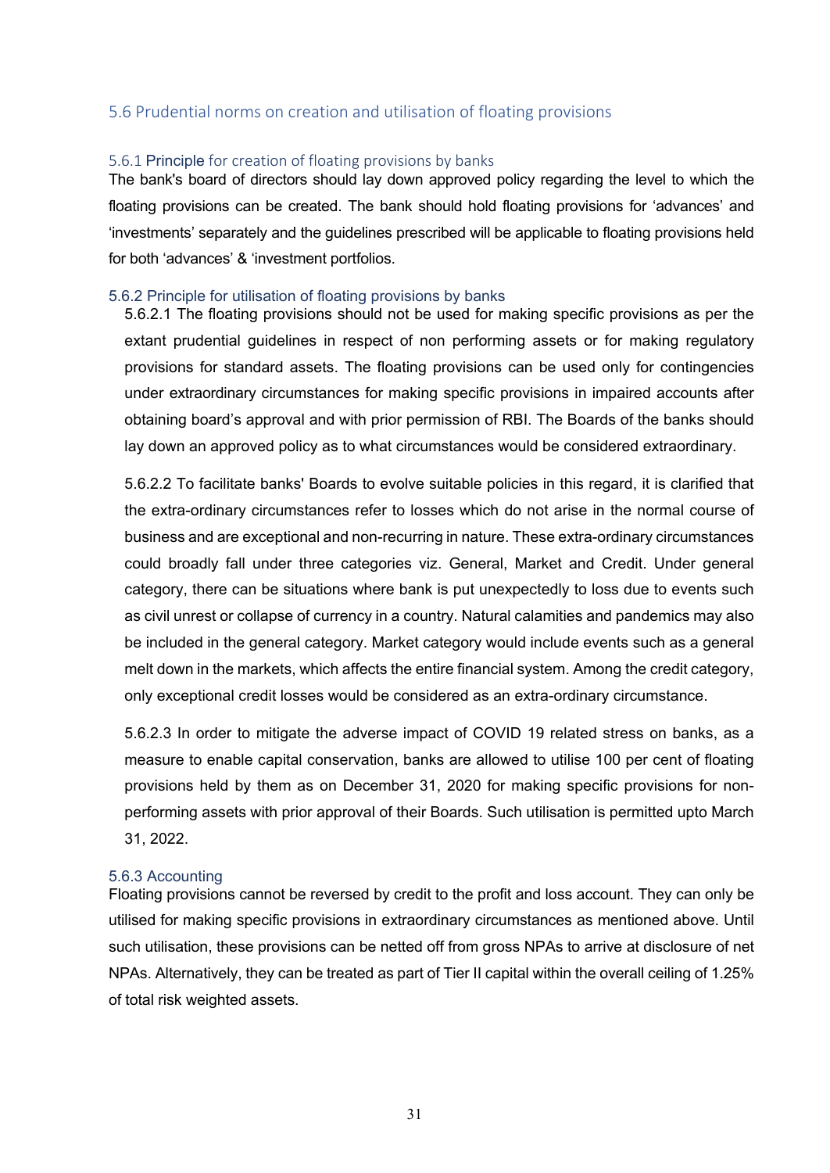# <span id="page-30-0"></span>5.6 Prudential norms on creation and utilisation of floating provisions

#### <span id="page-30-1"></span>5.6.1 Principle for creation of floating provisions by banks

The bank's board of directors should lay down approved policy regarding the level to which the floating provisions can be created. The bank should hold floating provisions for 'advances' and 'investments' separately and the guidelines prescribed will be applicable to floating provisions held for both 'advances' & 'investment portfolios.

#### <span id="page-30-2"></span>5.6.2 Principle for utilisation of floating provisions by banks

5.6.2.1 The floating provisions should not be used for making specific provisions as per the extant prudential guidelines in respect of non performing assets or for making regulatory provisions for standard assets. The floating provisions can be used only for contingencies under extraordinary circumstances for making specific provisions in impaired accounts after obtaining board's approval and with prior permission of RBI. The Boards of the banks should lay down an approved policy as to what circumstances would be considered extraordinary.

5.6.2.2 To facilitate banks' Boards to evolve suitable policies in this regard, it is clarified that the extra-ordinary circumstances refer to losses which do not arise in the normal course of business and are exceptional and non-recurring in nature. These extra-ordinary circumstances could broadly fall under three categories viz. General, Market and Credit. Under general category, there can be situations where bank is put unexpectedly to loss due to events such as civil unrest or collapse of currency in a country. Natural calamities and pandemics may also be included in the general category. Market category would include events such as a general melt down in the markets, which affects the entire financial system. Among the credit category, only exceptional credit losses would be considered as an extra-ordinary circumstance.

5.6.2.3 In order to mitigate the adverse impact of COVID 19 related stress on banks, as a measure to enable capital conservation, banks are allowed to utilise 100 per cent of floating provisions held by them as on December 31, 2020 for making specific provisions for nonperforming assets with prior approval of their Boards. Such utilisation is permitted upto March 31, 2022.

#### <span id="page-30-3"></span>5.6.3 Accounting

Floating provisions cannot be reversed by credit to the profit and loss account. They can only be utilised for making specific provisions in extraordinary circumstances as mentioned above. Until such utilisation, these provisions can be netted off from gross NPAs to arrive at disclosure of net NPAs. Alternatively, they can be treated as part of Tier II capital within the overall ceiling of 1.25% of total risk weighted assets.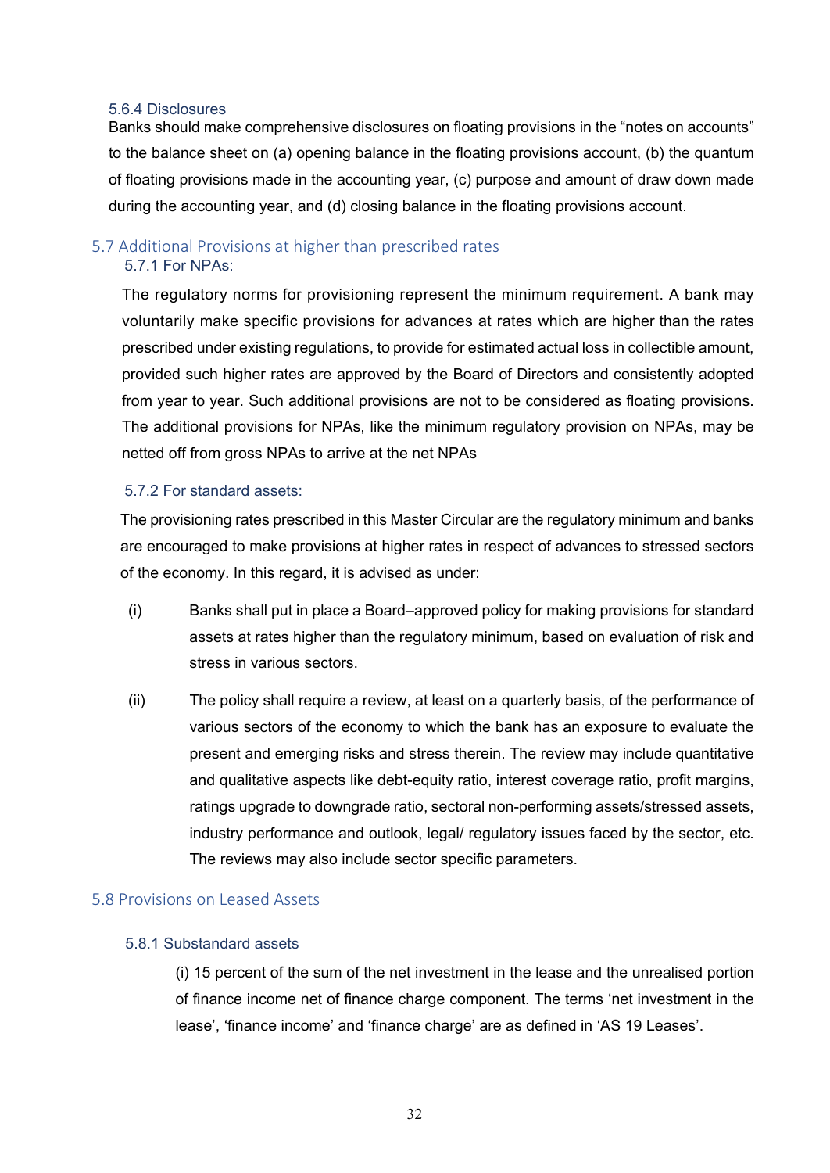#### <span id="page-31-0"></span>5.6.4 Disclosures

Banks should make comprehensive disclosures on floating provisions in the "notes on accounts" to the balance sheet on (a) opening balance in the floating provisions account, (b) the quantum of floating provisions made in the accounting year, (c) purpose and amount of draw down made during the accounting year, and (d) closing balance in the floating provisions account.

# <span id="page-31-2"></span><span id="page-31-1"></span>5.7 Additional Provisions at higher than prescribed rates 5.7.1 For NPAs:

The regulatory norms for provisioning represent the minimum requirement. A bank may voluntarily make specific provisions for advances at rates which are higher than the rates prescribed under existing regulations, to provide for estimated actual loss in collectible amount, provided such higher rates are approved by the Board of Directors and consistently adopted from year to year. Such additional provisions are not to be considered as floating provisions. The additional provisions for NPAs, like the minimum regulatory provision on NPAs, may be netted off from gross NPAs to arrive at the net NPAs

### <span id="page-31-3"></span>5.7.2 For standard assets:

The provisioning rates prescribed in this Master Circular are the regulatory minimum and banks are encouraged to make provisions at higher rates in respect of advances to stressed sectors of the economy. In this regard, it is advised as under:

- (i) Banks shall put in place a Board–approved policy for making provisions for standard assets at rates higher than the regulatory minimum, based on evaluation of risk and stress in various sectors.
- (ii) The policy shall require a review, at least on a quarterly basis, of the performance of various sectors of the economy to which the bank has an exposure to evaluate the present and emerging risks and stress therein. The review may include quantitative and qualitative aspects like debt-equity ratio, interest coverage ratio, profit margins, ratings upgrade to downgrade ratio, sectoral non-performing assets/stressed assets, industry performance and outlook, legal/ regulatory issues faced by the sector, etc. The reviews may also include sector specific parameters.

# <span id="page-31-5"></span><span id="page-31-4"></span>5.8 Provisions on Leased Assets

### 5.8.1 Substandard assets

(i) 15 percent of the sum of the net investment in the lease and the unrealised portion of finance income net of finance charge component. The terms 'net investment in the lease', 'finance income' and 'finance charge' are as defined in 'AS 19 Leases'.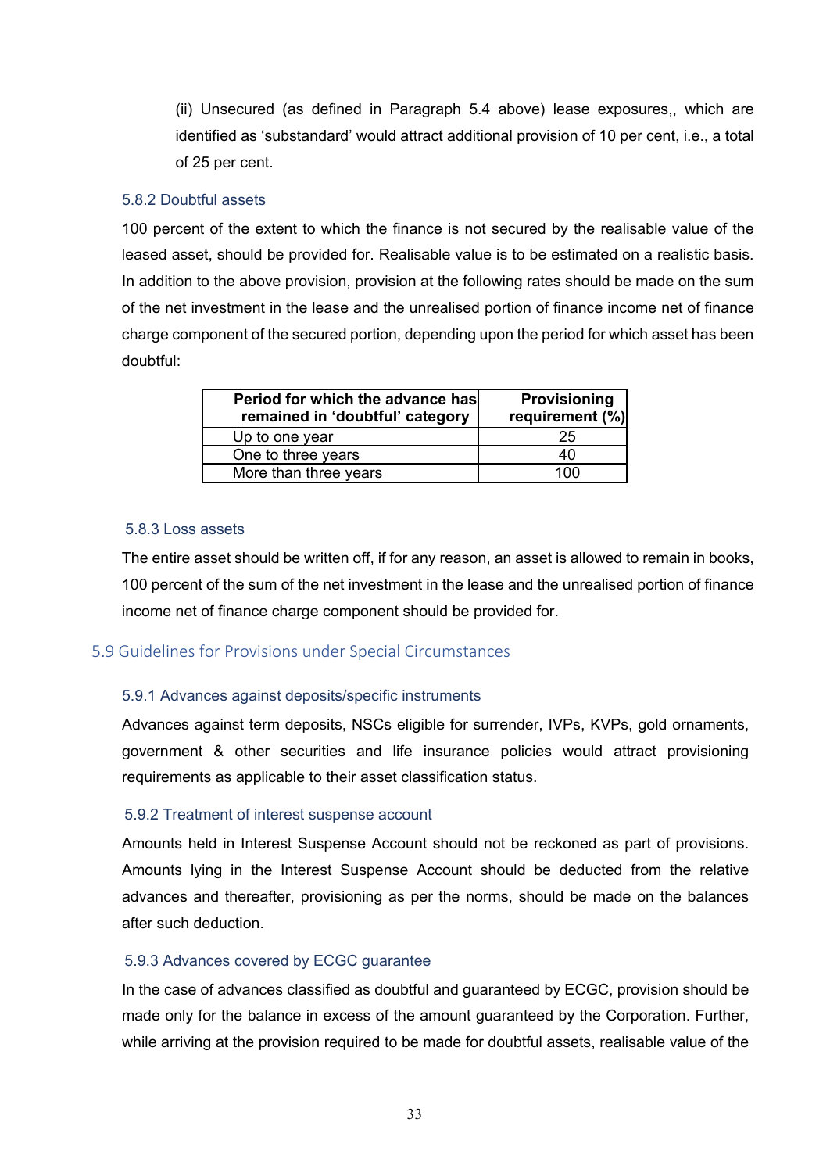(ii) Unsecured (as defined in Paragraph 5.4 above) lease exposures,, which are identified as 'substandard' would attract additional provision of 10 per cent, i.e., a total of 25 per cent.

### <span id="page-32-0"></span>5.8.2 Doubtful assets

100 percent of the extent to which the finance is not secured by the realisable value of the leased asset, should be provided for. Realisable value is to be estimated on a realistic basis. In addition to the above provision, provision at the following rates should be made on the sum of the net investment in the lease and the unrealised portion of finance income net of finance charge component of the secured portion, depending upon the period for which asset has been doubtful:

| Period for which the advance has<br>remained in 'doubtful' category | <b>Provisioning</b><br>requirement (%) |
|---------------------------------------------------------------------|----------------------------------------|
| Up to one year                                                      | 25                                     |
| One to three years                                                  | 40                                     |
| More than three years                                               | 100                                    |

#### <span id="page-32-1"></span>5.8.3 Loss assets

The entire asset should be written off, if for any reason, an asset is allowed to remain in books, 100 percent of the sum of the net investment in the lease and the unrealised portion of finance income net of finance charge component should be provided for.

### <span id="page-32-3"></span><span id="page-32-2"></span>5.9 Guidelines for Provisions under Special Circumstances

### 5.9.1 Advances against deposits/specific instruments

Advances against term deposits, NSCs eligible for surrender, IVPs, KVPs, gold ornaments, government & other securities and life insurance policies would attract provisioning requirements as applicable to their asset classification status.

### <span id="page-32-4"></span>5.9.2 Treatment of interest suspense account

Amounts held in Interest Suspense Account should not be reckoned as part of provisions. Amounts lying in the Interest Suspense Account should be deducted from the relative advances and thereafter, provisioning as per the norms, should be made on the balances after such deduction.

### <span id="page-32-5"></span>5.9.3 Advances covered by ECGC guarantee

In the case of advances classified as doubtful and guaranteed by ECGC, provision should be made only for the balance in excess of the amount guaranteed by the Corporation. Further, while arriving at the provision required to be made for doubtful assets, realisable value of the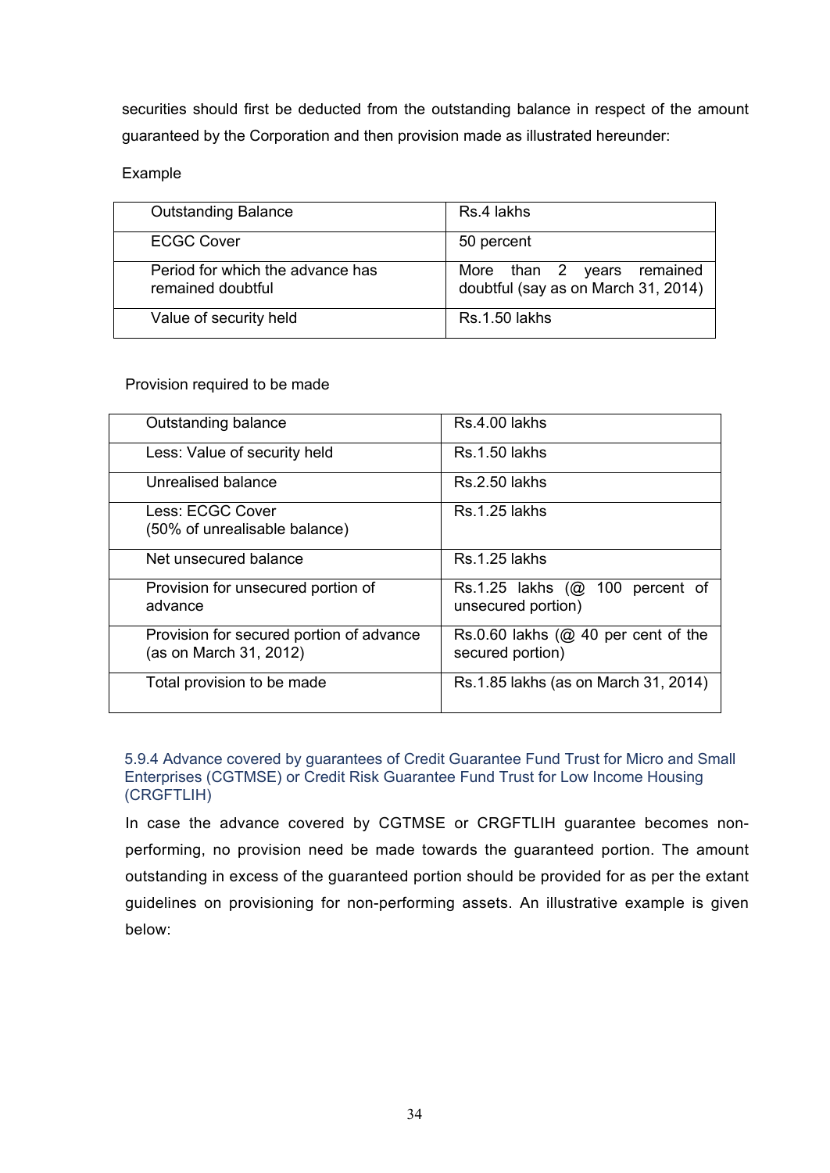securities should first be deducted from the outstanding balance in respect of the amount guaranteed by the Corporation and then provision made as illustrated hereunder:

Example

| <b>Outstanding Balance</b>                            | Rs 4 lakhs                                                        |
|-------------------------------------------------------|-------------------------------------------------------------------|
| <b>ECGC Cover</b>                                     | 50 percent                                                        |
| Period for which the advance has<br>remained doubtful | More than 2 years remained<br>doubtful (say as on March 31, 2014) |
| Value of security held                                | $Rs 1.50$ lakhs                                                   |

Provision required to be made

| Outstanding balance                                                | Rs.4.00 lakhs                                                 |
|--------------------------------------------------------------------|---------------------------------------------------------------|
| Less: Value of security held                                       | <b>Rs.1.50 lakhs</b>                                          |
| Unrealised balance                                                 | $Rs.2.50$ lakhs                                               |
| Less: ECGC Cover                                                   | <b>Rs.1.25 lakhs</b>                                          |
| (50% of unrealisable balance)                                      |                                                               |
| Net unsecured balance                                              | <b>Rs.1.25 lakhs</b>                                          |
| Provision for unsecured portion of<br>advance                      | Rs.1.25 lakhs $(\omega)$ 100 percent of<br>unsecured portion) |
| Provision for secured portion of advance<br>(as on March 31, 2012) | Rs.0.60 lakhs ( $@$ 40 per cent of the<br>secured portion)    |
| Total provision to be made                                         | Rs.1.85 lakhs (as on March 31, 2014)                          |

### <span id="page-33-0"></span>5.9.4 Advance covered by guarantees of Credit Guarantee Fund Trust for Micro and Small Enterprises (CGTMSE) or Credit Risk Guarantee Fund Trust for Low Income Housing (CRGFTLIH)

In case the advance covered by CGTMSE or CRGFTLIH guarantee becomes nonperforming, no provision need be made towards the guaranteed portion. The amount outstanding in excess of the guaranteed portion should be provided for as per the extant guidelines on provisioning for non-performing assets. An illustrative example is given below: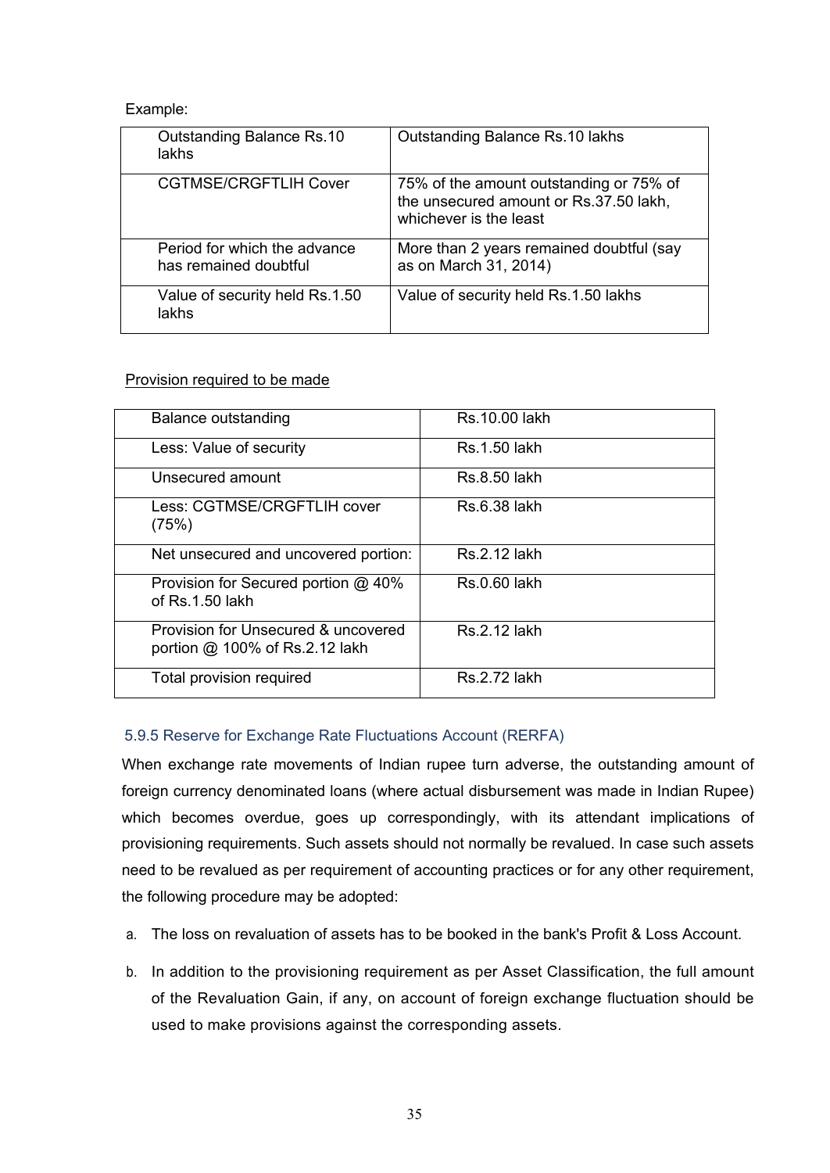### Example:

| <b>Outstanding Balance Rs.10</b><br>lakhs             | Outstanding Balance Rs.10 lakhs                                                                             |
|-------------------------------------------------------|-------------------------------------------------------------------------------------------------------------|
| <b>CGTMSE/CRGFTLIH Cover</b>                          | 75% of the amount outstanding or 75% of<br>the unsecured amount or Rs.37.50 lakh,<br>whichever is the least |
| Period for which the advance<br>has remained doubtful | More than 2 years remained doubtful (say<br>as on March 31, 2014)                                           |
| Value of security held Rs.1.50<br>lakhs               | Value of security held Rs.1.50 lakhs                                                                        |

### Provision required to be made

| <b>Balance outstanding</b>                                              | Rs.10.00 lakh       |
|-------------------------------------------------------------------------|---------------------|
| Less: Value of security                                                 | <b>Rs.1.50 lakh</b> |
| Unsecured amount                                                        | Rs.8.50 lakh        |
| Less: CGTMSE/CRGFTLIH cover<br>(75%)                                    | Rs.6.38 lakh        |
| Net unsecured and uncovered portion:                                    | Rs.2.12 lakh        |
| Provision for Secured portion $@$ 40%<br>of $Rs.1.50$ lakh              | Rs.0.60 lakh        |
| Provision for Unsecured & uncovered<br>portion $@$ 100% of Rs.2.12 lakh | Rs. 2.12 lakh       |
| Total provision required                                                | <b>Rs.2.72 lakh</b> |

# <span id="page-34-0"></span>5.9.5 Reserve for Exchange Rate Fluctuations Account (RERFA)

When exchange rate movements of Indian rupee turn adverse, the outstanding amount of foreign currency denominated loans (where actual disbursement was made in Indian Rupee) which becomes overdue, goes up correspondingly, with its attendant implications of provisioning requirements. Such assets should not normally be revalued. In case such assets need to be revalued as per requirement of accounting practices or for any other requirement, the following procedure may be adopted:

- a. The loss on revaluation of assets has to be booked in the bank's Profit & Loss Account.
- b. In addition to the provisioning requirement as per Asset Classification, the full amount of the Revaluation Gain, if any, on account of foreign exchange fluctuation should be used to make provisions against the corresponding assets.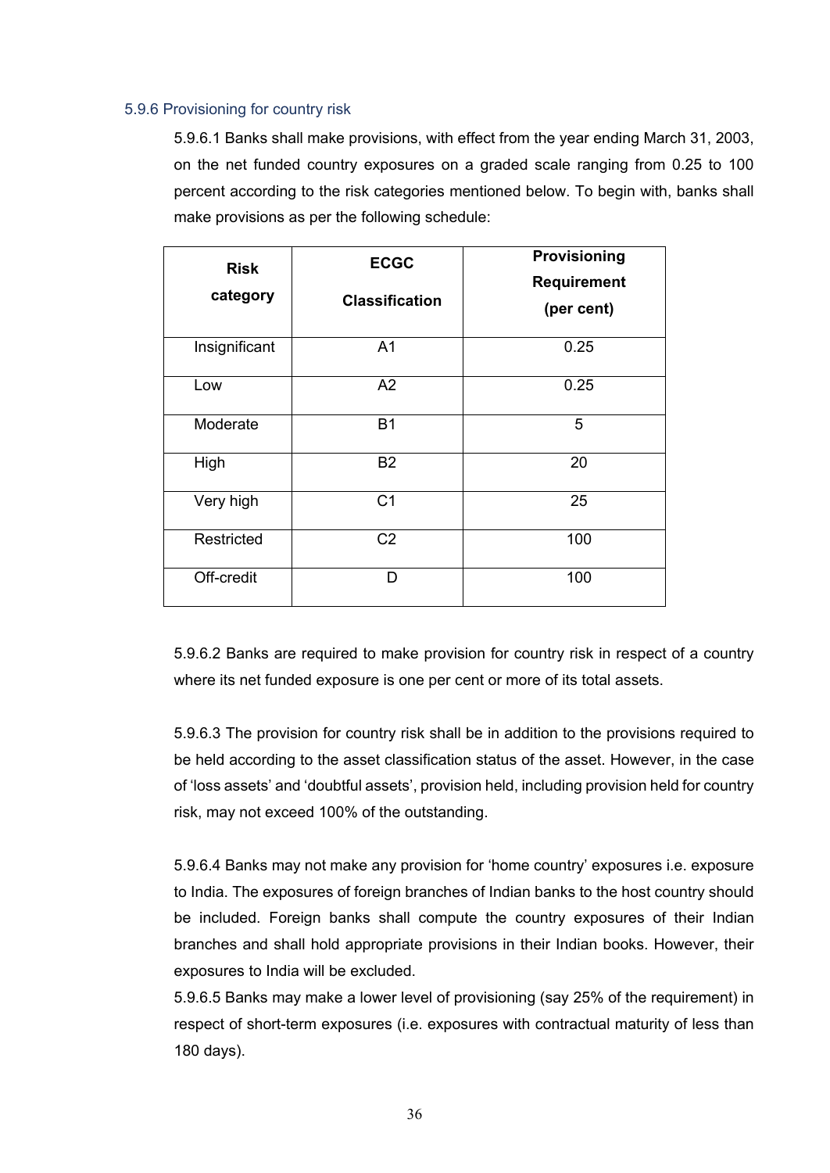#### <span id="page-35-0"></span>5.9.6 Provisioning for country risk

5.9.6.1 Banks shall make provisions, with effect from the year ending March 31, 2003, on the net funded country exposures on a graded scale ranging from 0.25 to 100 percent according to the risk categories mentioned below. To begin with, banks shall make provisions as per the following schedule:

| <b>Risk</b><br>category | <b>ECGC</b><br><b>Classification</b> | Provisioning<br><b>Requirement</b><br>(per cent) |
|-------------------------|--------------------------------------|--------------------------------------------------|
| Insignificant           | A <sub>1</sub>                       | 0.25                                             |
| Low                     | A2                                   | 0.25                                             |
| Moderate                | <b>B1</b>                            | 5                                                |
| High                    | B <sub>2</sub>                       | 20                                               |
| Very high               | C <sub>1</sub>                       | 25                                               |
| Restricted              | C <sub>2</sub>                       | 100                                              |
| Off-credit              | D                                    | 100                                              |

5.9.6.2 Banks are required to make provision for country risk in respect of a country where its net funded exposure is one per cent or more of its total assets.

5.9.6.3 The provision for country risk shall be in addition to the provisions required to be held according to the asset classification status of the asset. However, in the case of 'loss assets' and 'doubtful assets', provision held, including provision held for country risk, may not exceed 100% of the outstanding.

5.9.6.4 Banks may not make any provision for 'home country' exposures i.e. exposure to India. The exposures of foreign branches of Indian banks to the host country should be included. Foreign banks shall compute the country exposures of their Indian branches and shall hold appropriate provisions in their Indian books. However, their exposures to India will be excluded.

5.9.6.5 Banks may make a lower level of provisioning (say 25% of the requirement) in respect of short-term exposures (i.e. exposures with contractual maturity of less than 180 days).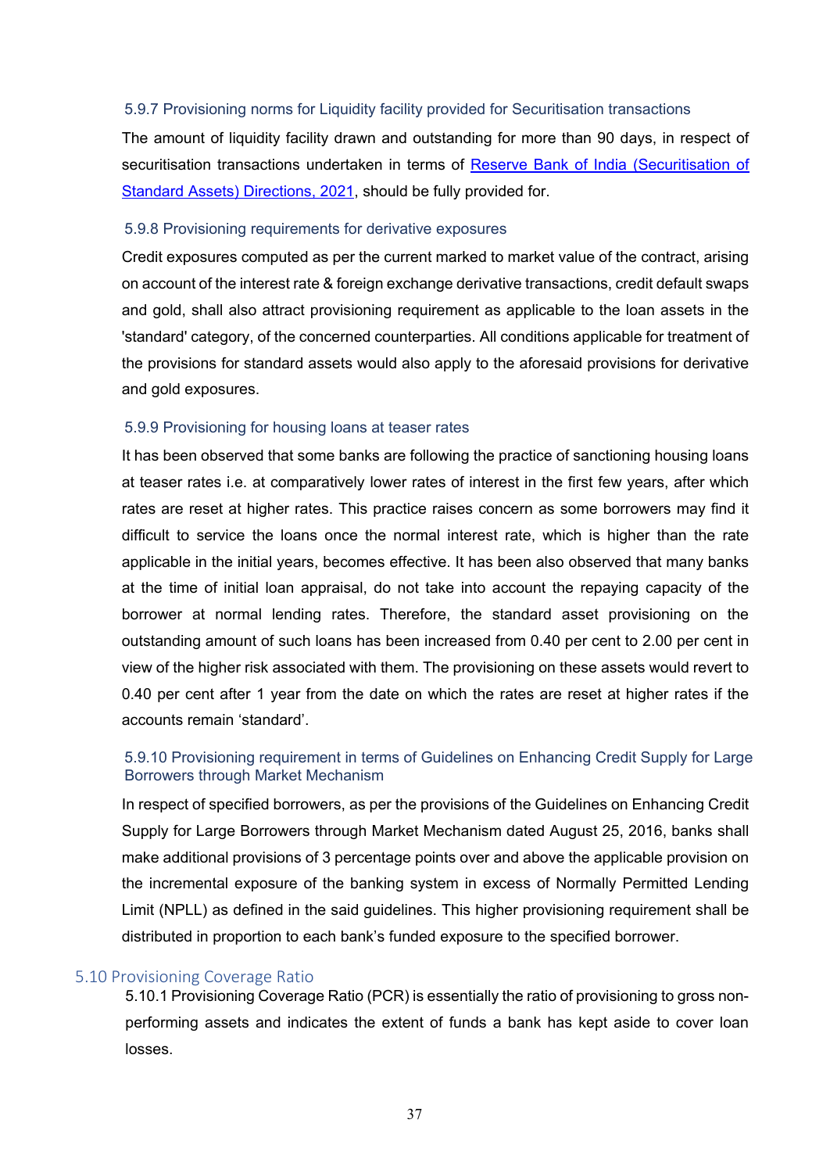#### 5.9.7 Provisioning norms for Liquidity facility provided for Securitisation transactions

The amount of liquidity facility drawn and outstanding for more than 90 days, in respect of securitisation transactions undertaken in terms of [Reserve Bank of India \(Securitisation of](https://www.rbi.org.in/Scripts/NotificationUser.aspx?Id=12165&Mode=0)  [Standard Assets\) Directions, 2021,](https://www.rbi.org.in/Scripts/NotificationUser.aspx?Id=12165&Mode=0) should be fully provided for.

#### 5.9.8 Provisioning requirements for derivative exposures

Credit exposures computed as per the current marked to market value of the contract, arising on account of the interest rate & foreign exchange derivative transactions, credit default swaps and gold, shall also attract provisioning requirement as applicable to the loan assets in the 'standard' category, of the concerned counterparties. All conditions applicable for treatment of the provisions for standard assets would also apply to the aforesaid provisions for derivative and gold exposures.

#### 5.9.9 Provisioning for housing loans at teaser rates

It has been observed that some banks are following the practice of sanctioning housing loans at teaser rates i.e. at comparatively lower rates of interest in the first few years, after which rates are reset at higher rates. This practice raises concern as some borrowers may find it difficult to service the loans once the normal interest rate, which is higher than the rate applicable in the initial years, becomes effective. It has been also observed that many banks at the time of initial loan appraisal, do not take into account the repaying capacity of the borrower at normal lending rates. Therefore, the standard asset provisioning on the outstanding amount of such loans has been increased from 0.40 per cent to 2.00 per cent in view of the higher risk associated with them. The provisioning on these assets would revert to 0.40 per cent after 1 year from the date on which the rates are reset at higher rates if the accounts remain 'standard'.

### 5.9.10 Provisioning requirement in terms of Guidelines on Enhancing Credit Supply for Large Borrowers through Market Mechanism

In respect of specified borrowers, as per the provisions of the Guidelines on Enhancing Credit Supply for Large Borrowers through Market Mechanism dated August 25, 2016, banks shall make additional provisions of 3 percentage points over and above the applicable provision on the incremental exposure of the banking system in excess of Normally Permitted Lending Limit (NPLL) as defined in the said guidelines. This higher provisioning requirement shall be distributed in proportion to each bank's funded exposure to the specified borrower.

#### 5.10 Provisioning Coverage Ratio

5.10.1 Provisioning Coverage Ratio (PCR) is essentially the ratio of provisioning to gross nonperforming assets and indicates the extent of funds a bank has kept aside to cover loan losses.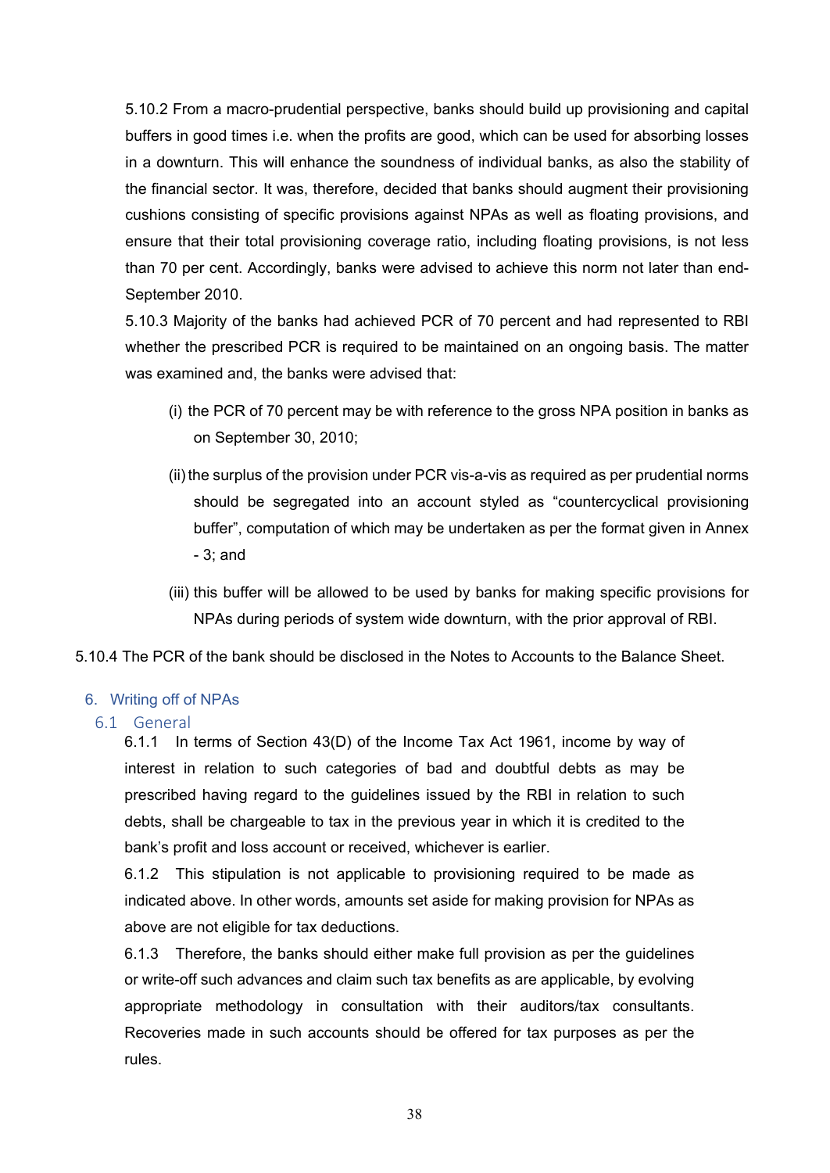5.10.2 From a macro-prudential perspective, banks should build up provisioning and capital buffers in good times i.e. when the profits are good, which can be used for absorbing losses in a downturn. This will enhance the soundness of individual banks, as also the stability of the financial sector. It was, therefore, decided that banks should augment their provisioning cushions consisting of specific provisions against NPAs as well as floating provisions, and ensure that their total provisioning coverage ratio, including floating provisions, is not less than 70 per cent. Accordingly, banks were advised to achieve this norm not later than end-September 2010.

5.10.3 Majority of the banks had achieved PCR of 70 percent and had represented to RBI whether the prescribed PCR is required to be maintained on an ongoing basis. The matter was examined and, the banks were advised that:

- (i) the PCR of 70 percent may be with reference to the gross NPA position in banks as on September 30, 2010;
- (ii) the surplus of the provision under PCR vis-a-vis as required as per prudential norms should be segregated into an account styled as "countercyclical provisioning buffer", computation of which may be undertaken as per the format given in Annex - 3; and
- (iii) this buffer will be allowed to be used by banks for making specific provisions for NPAs during periods of system wide downturn, with the prior approval of RBI.

5.10.4 The PCR of the bank should be disclosed in the Notes to Accounts to the Balance Sheet.

### 6. Writing off of NPAs

### 6.1 General

6.1.1 In terms of Section 43(D) of the Income Tax Act 1961, income by way of interest in relation to such categories of bad and doubtful debts as may be prescribed having regard to the guidelines issued by the RBI in relation to such debts, shall be chargeable to tax in the previous year in which it is credited to the bank's profit and loss account or received, whichever is earlier.

6.1.2 This stipulation is not applicable to provisioning required to be made as indicated above. In other words, amounts set aside for making provision for NPAs as above are not eligible for tax deductions.

6.1.3 Therefore, the banks should either make full provision as per the guidelines or write-off such advances and claim such tax benefits as are applicable, by evolving appropriate methodology in consultation with their auditors/tax consultants. Recoveries made in such accounts should be offered for tax purposes as per the rules.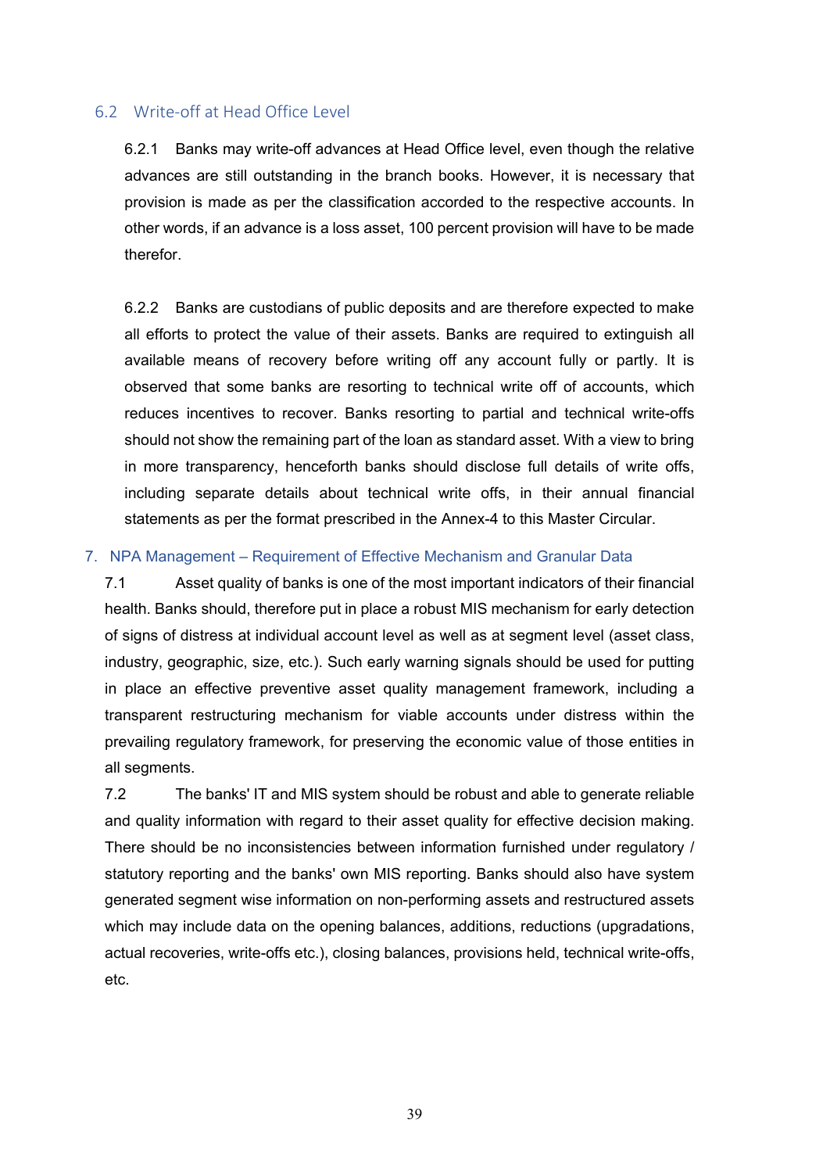### 6.2 Write-off at Head Office Level

6.2.1 Banks may write-off advances at Head Office level, even though the relative advances are still outstanding in the branch books. However, it is necessary that provision is made as per the classification accorded to the respective accounts. In other words, if an advance is a loss asset, 100 percent provision will have to be made therefor.

6.2.2 Banks are custodians of public deposits and are therefore expected to make all efforts to protect the value of their assets. Banks are required to extinguish all available means of recovery before writing off any account fully or partly. It is observed that some banks are resorting to technical write off of accounts, which reduces incentives to recover. Banks resorting to partial and technical write-offs should not show the remaining part of the loan as standard asset. With a view to bring in more transparency, henceforth banks should disclose full details of write offs, including separate details about technical write offs, in their annual financial statements as per the format prescribed in the Annex-4 to this Master Circular.

#### 7. NPA Management – Requirement of Effective Mechanism and Granular Data

7.1 Asset quality of banks is one of the most important indicators of their financial health. Banks should, therefore put in place a robust MIS mechanism for early detection of signs of distress at individual account level as well as at segment level (asset class, industry, geographic, size, etc.). Such early warning signals should be used for putting in place an effective preventive asset quality management framework, including a transparent restructuring mechanism for viable accounts under distress within the prevailing regulatory framework, for preserving the economic value of those entities in all segments.

7.2 The banks' IT and MIS system should be robust and able to generate reliable and quality information with regard to their asset quality for effective decision making. There should be no inconsistencies between information furnished under regulatory / statutory reporting and the banks' own MIS reporting. Banks should also have system generated segment wise information on non-performing assets and restructured assets which may include data on the opening balances, additions, reductions (upgradations, actual recoveries, write-offs etc.), closing balances, provisions held, technical write-offs, etc.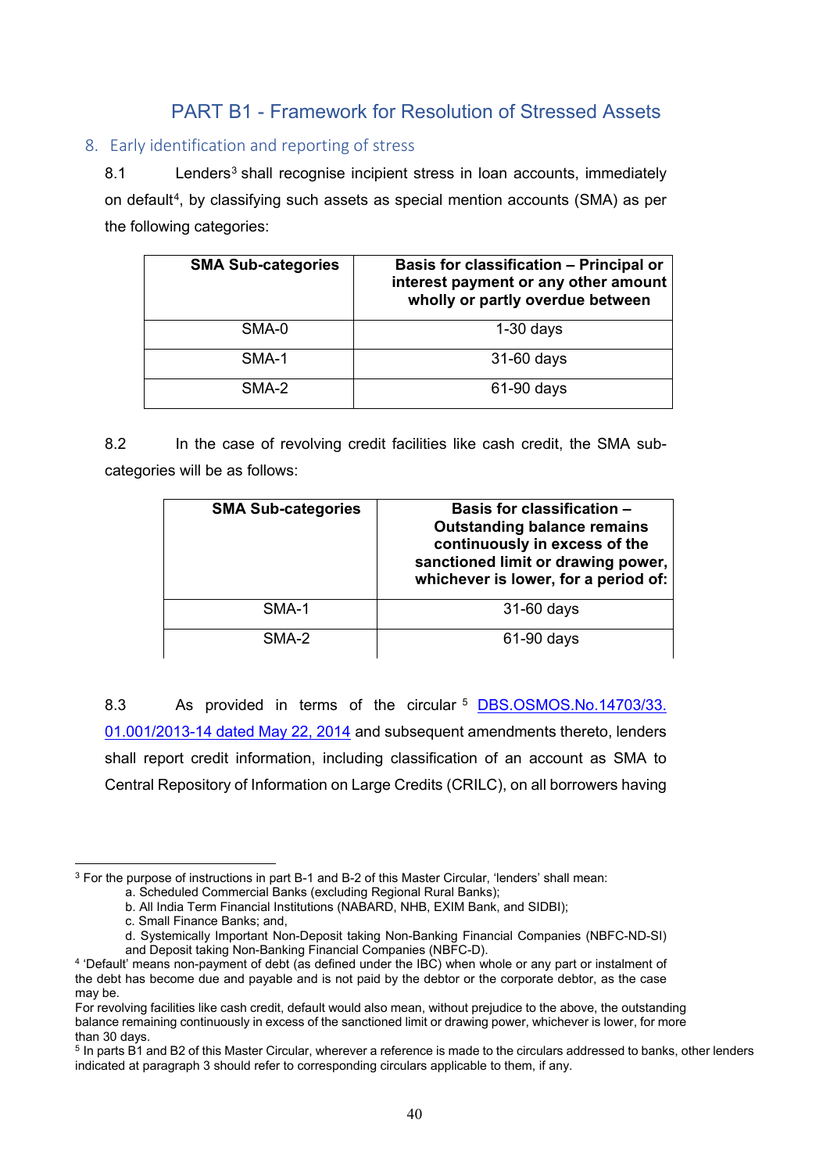# PART B1 - Framework for Resolution of Stressed Assets

## 8. Early identification and reporting of stress

8.1 Lenders<sup>[3](#page-39-0)</sup> shall recognise incipient stress in loan accounts, immediately on default[4,](#page-39-1) by classifying such assets as special mention accounts (SMA) as per the following categories:

| <b>SMA Sub-categories</b> | <b>Basis for classification - Principal or</b><br>interest payment or any other amount<br>wholly or partly overdue between |
|---------------------------|----------------------------------------------------------------------------------------------------------------------------|
| SMA-0                     | $1-30$ days                                                                                                                |
| SMA-1                     | 31-60 days                                                                                                                 |
| SMA-2                     | 61-90 days                                                                                                                 |

8.2 In the case of revolving credit facilities like cash credit, the SMA subcategories will be as follows:

| <b>SMA Sub-categories</b> | <b>Basis for classification -</b><br><b>Outstanding balance remains</b><br>continuously in excess of the<br>sanctioned limit or drawing power,<br>whichever is lower, for a period of: |
|---------------------------|----------------------------------------------------------------------------------------------------------------------------------------------------------------------------------------|
| SMA-1                     | 31-60 days                                                                                                                                                                             |
| SMA-2                     | $61-90$ days                                                                                                                                                                           |

8.3 As provided in terms of the circular <sup>[5](#page-39-2)</sup> [DBS.OSMOS.No.14703/33.](https://www.rbi.org.in/Scripts/NotificationUser.aspx?Id=8894&Mode=0) [01.001/2013-14 dated May 22, 2014](https://www.rbi.org.in/Scripts/NotificationUser.aspx?Id=8894&Mode=0) and subsequent amendments thereto, lenders shall report credit information, including classification of an account as SMA to Central Repository of Information on Large Credits (CRILC), on all borrowers having

<span id="page-39-0"></span><sup>&</sup>lt;u>.</u> <sup>3</sup> For the purpose of instructions in part B-1 and B-2 of this Master Circular, 'lenders' shall mean:

a. Scheduled Commercial Banks (excluding Regional Rural Banks);

b. All India Term Financial Institutions (NABARD, NHB, EXIM Bank, and SIDBI);

c. Small Finance Banks; and,

d. Systemically Important Non-Deposit taking Non-Banking Financial Companies (NBFC-ND-SI) and Deposit taking Non-Banking Financial Companies (NBFC-D).

<span id="page-39-1"></span><sup>4</sup> 'Default' means non-payment of debt (as defined under the IBC) when whole or any part or instalment of the debt has become due and payable and is not paid by the debtor or the corporate debtor, as the case may be.

For revolving facilities like cash credit, default would also mean, without prejudice to the above, the outstanding balance remaining continuously in excess of the sanctioned limit or drawing power, whichever is lower, for more than 30 days.

<span id="page-39-2"></span><sup>5</sup> In parts B1 and B2 of this Master Circular, wherever a reference is made to the circulars addressed to banks, other lenders indicated at paragraph 3 should refer to corresponding circulars applicable to them, if any.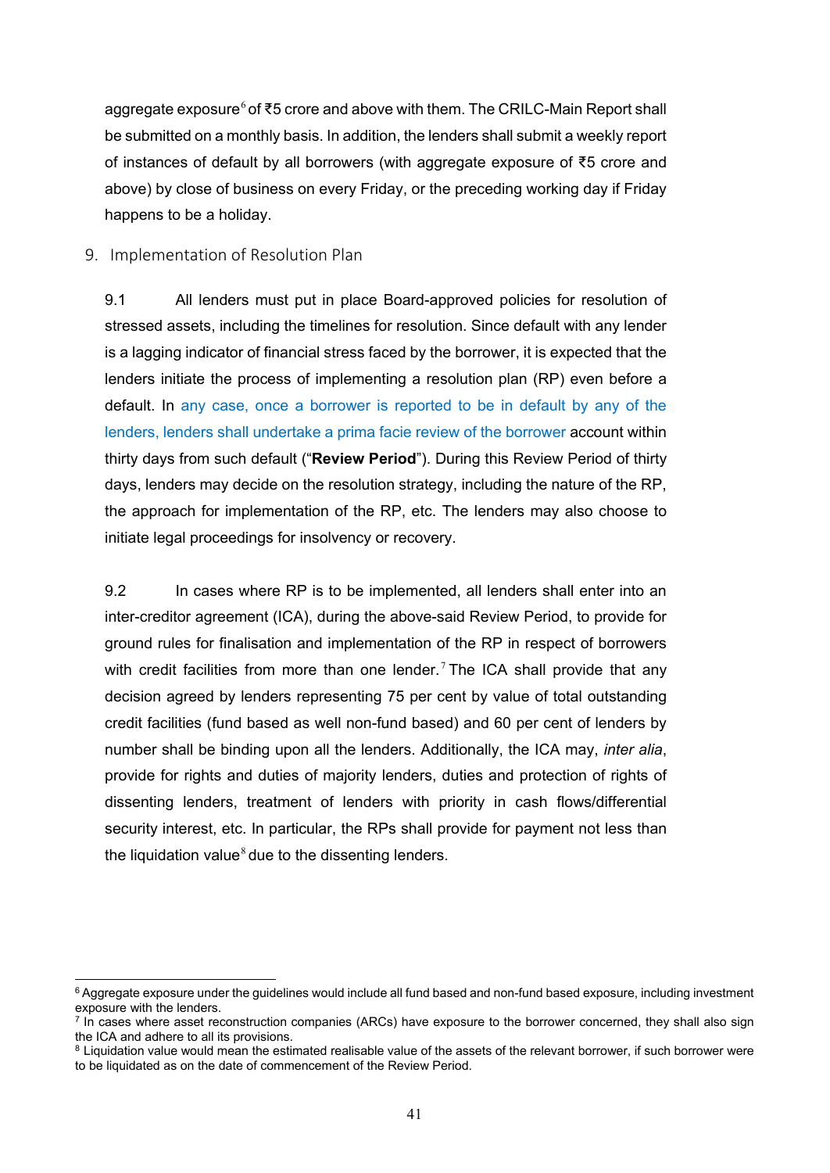aggregate exposure<sup>[6](#page-40-0)</sup> of ₹5 crore and above with them. The CRILC-Main Report shall be submitted on a monthly basis. In addition, the lenders shall submit a weekly report of instances of default by all borrowers (with aggregate exposure of ₹5 crore and above) by close of business on every Friday, or the preceding working day if Friday happens to be a holiday.

#### 9. Implementation of Resolution Plan

<u>.</u>

9.1 All lenders must put in place Board-approved policies for resolution of stressed assets, including the timelines for resolution. Since default with any lender is a lagging indicator of financial stress faced by the borrower, it is expected that the lenders initiate the process of implementing a resolution plan (RP) even before a default. In any case, once a borrower is reported to be in default by any of the lenders, lenders shall undertake a prima facie review of the borrower account within thirty days from such default ("**Review Period**"). During this Review Period of thirty days, lenders may decide on the resolution strategy, including the nature of the RP, the approach for implementation of the RP, etc. The lenders may also choose to initiate legal proceedings for insolvency or recovery.

9.2 In cases where RP is to be implemented, all lenders shall enter into an inter-creditor agreement (ICA), during the above-said Review Period, to provide for ground rules for finalisation and implementation of the RP in respect of borrowers with credit facilities from more than one lender.<sup>[7](#page-40-1)</sup> The ICA shall provide that any decision agreed by lenders representing 75 per cent by value of total outstanding credit facilities (fund based as well non-fund based) and 60 per cent of lenders by number shall be binding upon all the lenders. Additionally, the ICA may, *inter alia*, provide for rights and duties of majority lenders, duties and protection of rights of dissenting lenders, treatment of lenders with priority in cash flows/differential security interest, etc. In particular, the RPs shall provide for payment not less than the liquidation value $^8$  $^8$  due to the dissenting lenders.

<span id="page-40-0"></span> $6$  Aggregate exposure under the guidelines would include all fund based and non-fund based exposure, including investment exposure with the lenders.

<span id="page-40-1"></span> $7$  In cases where asset reconstruction companies (ARCs) have exposure to the borrower concerned, they shall also sign the ICA and adhere to all its provisions.

<span id="page-40-2"></span><sup>&</sup>lt;sup>8</sup> Liquidation value would mean the estimated realisable value of the assets of the relevant borrower, if such borrower were to be liquidated as on the date of commencement of the Review Period.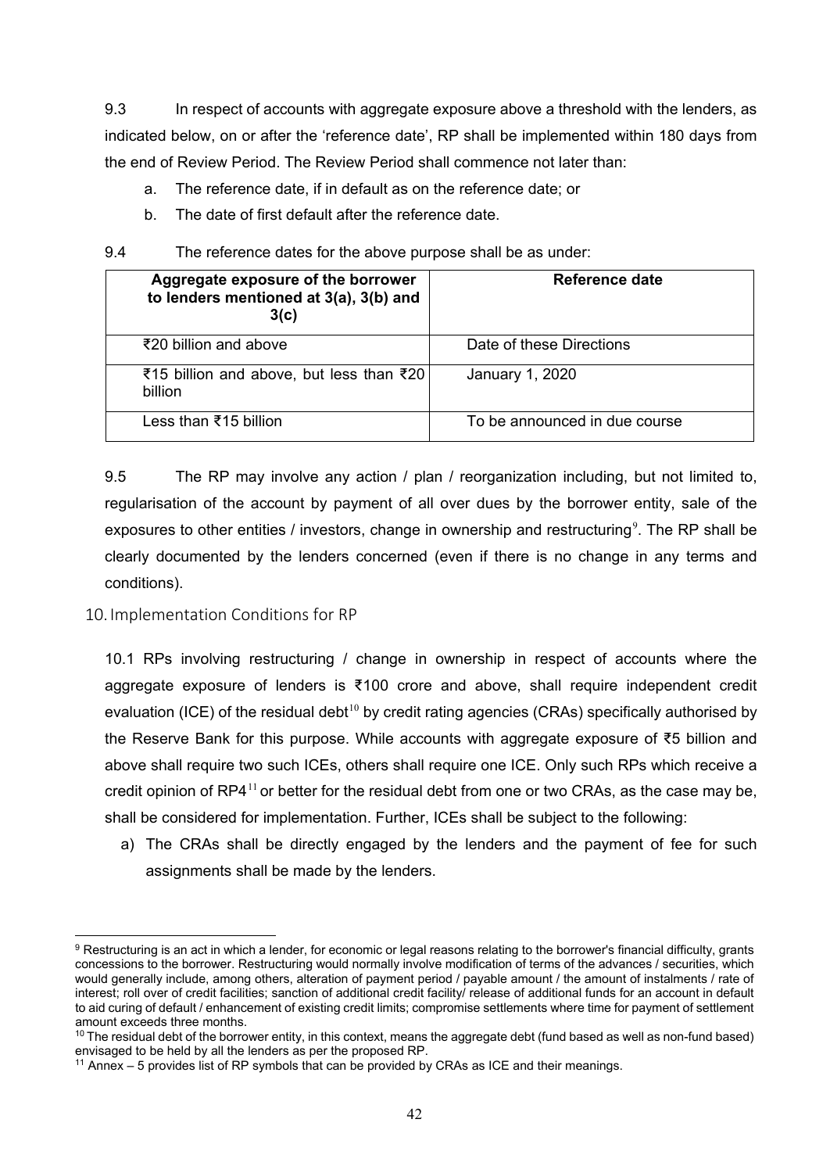9.3 In respect of accounts with aggregate exposure above a threshold with the lenders, as indicated below, on or after the 'reference date', RP shall be implemented within 180 days from the end of Review Period. The Review Period shall commence not later than:

- a. The reference date, if in default as on the reference date; or
- b. The date of first default after the reference date.

## 9.4 The reference dates for the above purpose shall be as under:

| Aggregate exposure of the borrower<br>to lenders mentioned at 3(a), 3(b) and<br>3(c) | Reference date                |
|--------------------------------------------------------------------------------------|-------------------------------|
| ₹20 billion and above                                                                | Date of these Directions      |
| ₹15 billion and above, but less than ₹20<br>billion                                  | January 1, 2020               |
| Less than ₹15 billion.                                                               | To be announced in due course |

9.5 The RP may involve any action / plan / reorganization including, but not limited to, regularisation of the account by payment of all over dues by the borrower entity, sale of the exposures to other entities / investors, change in ownership and restructuring<sup>[9](#page-41-0)</sup>. The RP shall be clearly documented by the lenders concerned (even if there is no change in any terms and conditions).

10. Implementation Conditions for RP

10.1 RPs involving restructuring / change in ownership in respect of accounts where the aggregate exposure of lenders is ₹100 crore and above, shall require independent credit evaluation (ICE) of the residual debt<sup>[10](#page-41-1)</sup> by credit rating agencies (CRAs) specifically authorised by the Reserve Bank for this purpose. While accounts with aggregate exposure of ₹5 billion and above shall require two such ICEs, others shall require one ICE. Only such RPs which receive a credit opinion of  $\mathsf{RP4}^{11}$  $\mathsf{RP4}^{11}$  $\mathsf{RP4}^{11}$  or better for the residual debt from one or two CRAs, as the case may be, shall be considered for implementation. Further, ICEs shall be subject to the following:

a) The CRAs shall be directly engaged by the lenders and the payment of fee for such assignments shall be made by the lenders.

<span id="page-41-0"></span><sup>&</sup>lt;u>.</u> 9 Restructuring is an act in which a lender, for economic or legal reasons relating to the borrower's financial difficulty, grants concessions to the borrower. Restructuring would normally involve modification of terms of the advances / securities, which would generally include, among others, alteration of payment period / payable amount / the amount of instalments / rate of interest; roll over of credit facilities; sanction of additional credit facility/ release of additional funds for an account in default to aid curing of default / enhancement of existing credit limits; compromise settlements where time for payment of settlement amount exceeds three months.

<span id="page-41-1"></span> $10$  The residual debt of the borrower entity, in this context, means the aggregate debt (fund based as well as non-fund based) envisaged to be held by all the lenders as per the proposed RP.

<span id="page-41-2"></span> $11$  Annex  $-5$  provides list of RP symbols that can be provided by CRAs as ICE and their meanings.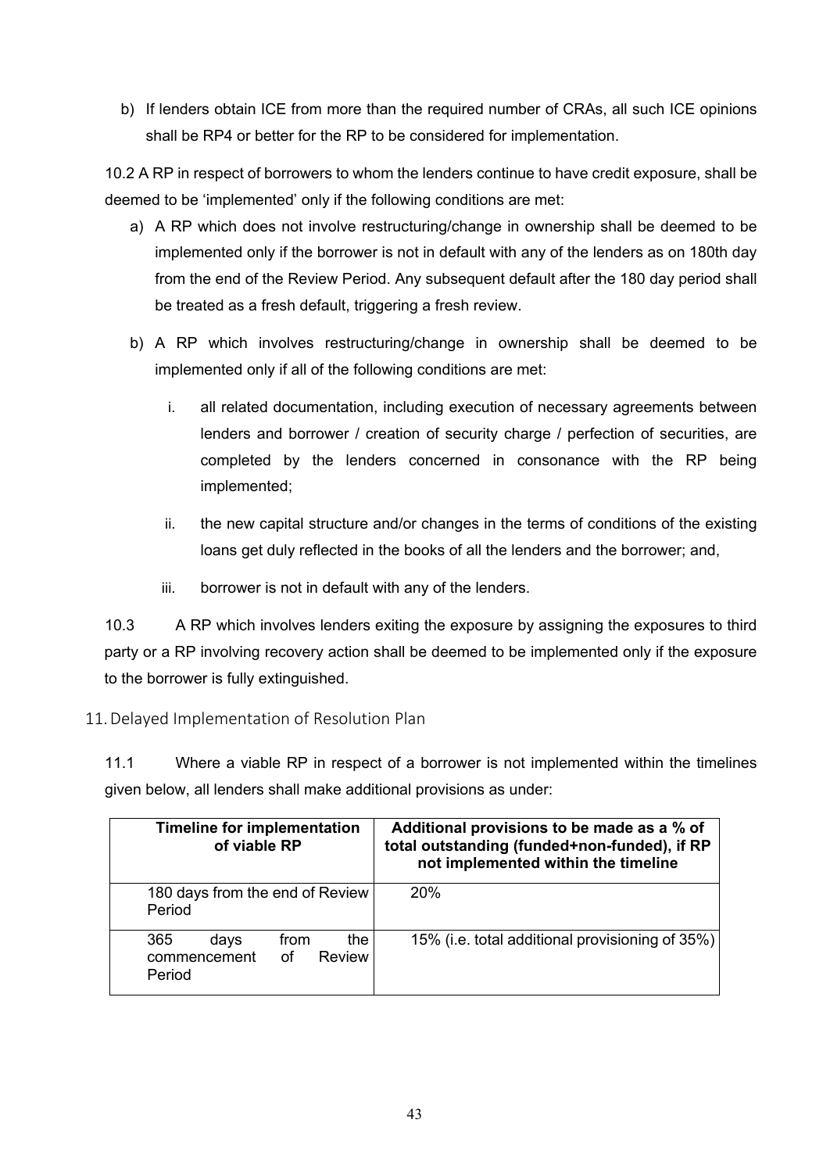b) If lenders obtain ICE from more than the required number of CRAs, all such ICE opinions shall be RP4 or better for the RP to be considered for implementation.

10.2 A RP in respect of borrowers to whom the lenders continue to have credit exposure, shall be deemed to be 'implemented' only if the following conditions are met:

- a) A RP which does not involve restructuring/change in ownership shall be deemed to be implemented only if the borrower is not in default with any of the lenders as on 180th day from the end of the Review Period. Any subsequent default after the 180 day period shall be treated as a fresh default, triggering a fresh review.
- b) A RP which involves restructuring/change in ownership shall be deemed to be implemented only if all of the following conditions are met:
	- i. all related documentation, including execution of necessary agreements between lenders and borrower / creation of security charge / perfection of securities, are completed by the lenders concerned in consonance with the RP being implemented;
	- ii. the new capital structure and/or changes in the terms of conditions of the existing loans get duly reflected in the books of all the lenders and the borrower; and,
	- iii. borrower is not in default with any of the lenders.

10.3 A RP which involves lenders exiting the exposure by assigning the exposures to third party or a RP involving recovery action shall be deemed to be implemented only if the exposure to the borrower is fully extinguished.

11.Delayed Implementation of Resolution Plan

11.1 Where a viable RP in respect of a borrower is not implemented within the timelines given below, all lenders shall make additional provisions as under:

| <b>Timeline for implementation</b><br>of viable RP                   | Additional provisions to be made as a % of<br>total outstanding (funded+non-funded), if RP<br>not implemented within the timeline |
|----------------------------------------------------------------------|-----------------------------------------------------------------------------------------------------------------------------------|
| 180 days from the end of Review<br>Period                            | <b>20%</b>                                                                                                                        |
| 365<br>the<br>from<br>days<br>Review<br>commencement<br>∩f<br>Period | 15% (i.e. total additional provisioning of 35%)                                                                                   |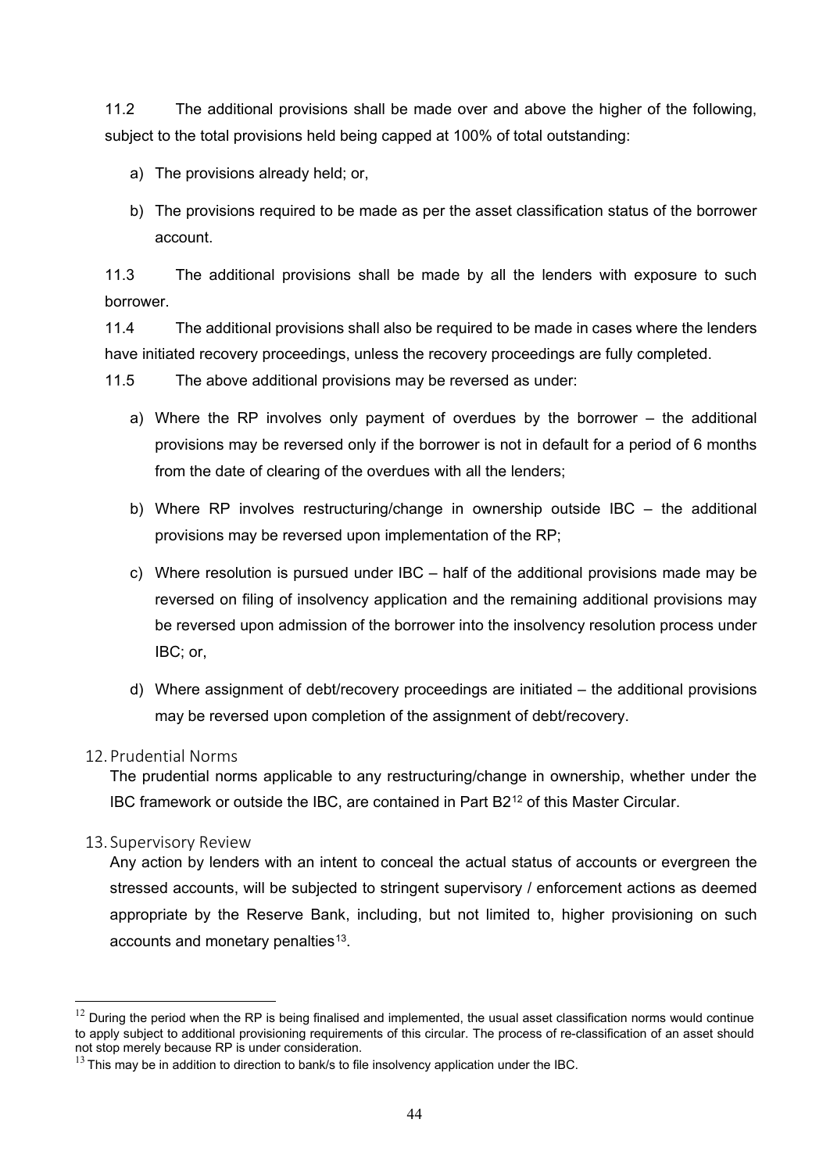11.2 The additional provisions shall be made over and above the higher of the following, subject to the total provisions held being capped at 100% of total outstanding:

- a) The provisions already held; or,
- b) The provisions required to be made as per the asset classification status of the borrower account.

11.3 The additional provisions shall be made by all the lenders with exposure to such borrower.

11.4 The additional provisions shall also be required to be made in cases where the lenders have initiated recovery proceedings, unless the recovery proceedings are fully completed.

11.5 The above additional provisions may be reversed as under:

- a) Where the RP involves only payment of overdues by the borrower the additional provisions may be reversed only if the borrower is not in default for a period of 6 months from the date of clearing of the overdues with all the lenders;
- b) Where RP involves restructuring/change in ownership outside IBC the additional provisions may be reversed upon implementation of the RP;
- c) Where resolution is pursued under IBC half of the additional provisions made may be reversed on filing of insolvency application and the remaining additional provisions may be reversed upon admission of the borrower into the insolvency resolution process under IBC; or,
- d) Where assignment of debt/recovery proceedings are initiated the additional provisions may be reversed upon completion of the assignment of debt/recovery.

### 12.Prudential Norms

The prudential norms applicable to any restructuring/change in ownership, whether under the IBC framework or outside the IBC, are contained in Part B2[12](#page-43-0) of this Master Circular.

13. Supervisory Review

Any action by lenders with an intent to conceal the actual status of accounts or evergreen the stressed accounts, will be subjected to stringent supervisory / enforcement actions as deemed appropriate by the Reserve Bank, including, but not limited to, higher provisioning on such accounts and monetary penalties<sup>13</sup>.

<span id="page-43-0"></span> $12$  During the period when the RP is being finalised and implemented, the usual asset classification norms would continue to apply subject to additional provisioning requirements of this circular. The process of re-classification of an asset should not stop merely because RP is under consideration.

<span id="page-43-1"></span> $13$  This may be in addition to direction to bank/s to file insolvency application under the IBC.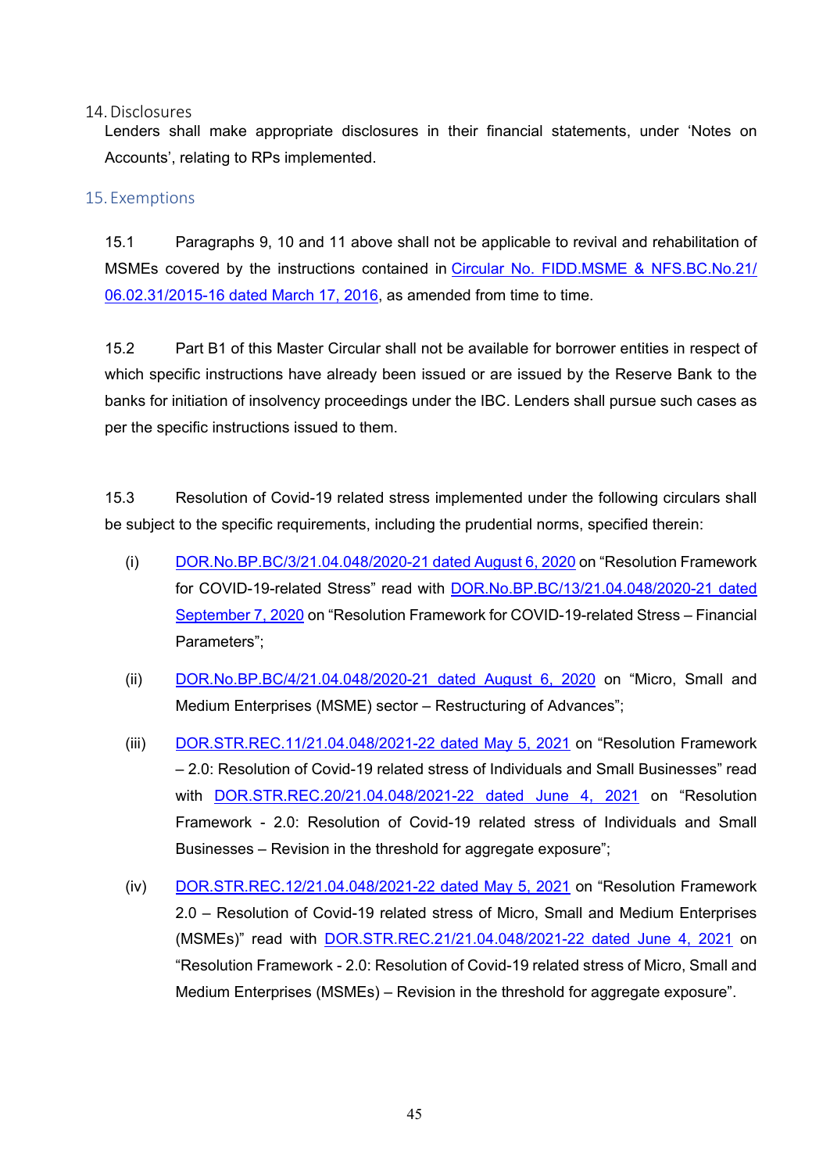14.Disclosures

Lenders shall make appropriate disclosures in their financial statements, under 'Notes on Accounts', relating to RPs implemented.

## 15. Exemptions

15.1 Paragraphs 9, 10 and 11 above shall not be applicable to revival and rehabilitation of MSMEs covered by the instructions contained in [Circular No. FIDD.MSME & NFS.BC.No.21/](https://www.rbi.org.in/Scripts/NotificationUser.aspx?Id=10304&Mode=0)  [06.02.31/2015-16 dated March 17, 2016,](https://www.rbi.org.in/Scripts/NotificationUser.aspx?Id=10304&Mode=0) as amended from time to time.

15.2 Part B1 of this Master Circular shall not be available for borrower entities in respect of which specific instructions have already been issued or are issued by the Reserve Bank to the banks for initiation of insolvency proceedings under the IBC. Lenders shall pursue such cases as per the specific instructions issued to them.

15.3 Resolution of Covid-19 related stress implemented under the following circulars shall be subject to the specific requirements, including the prudential norms, specified therein:

- (i) [DOR.No.BP.BC/3/21.04.048/2020-21 dated August 6, 2020](https://www.rbi.org.in/Scripts/NotificationUser.aspx?Id=11941&Mode=0) on "Resolution Framework for COVID-19-related Stress" read with [DOR.No.BP.BC/13/21.04.048/2020-21 dated](https://www.rbi.org.in/Scripts/NotificationUser.aspx?Id=11961&Mode=0)  [September 7, 2020](https://www.rbi.org.in/Scripts/NotificationUser.aspx?Id=11961&Mode=0) on "Resolution Framework for COVID-19-related Stress – Financial Parameters";
- (ii) [DOR.No.BP.BC/4/21.04.048/2020-21 dated August 6, 2020](https://www.rbi.org.in/Scripts/NotificationUser.aspx?Id=11942&Mode=0) on "Micro, Small and Medium Enterprises (MSME) sector – Restructuring of Advances";
- (iii) [DOR.STR.REC.11/21.04.048/2021-22 dated May 5, 2021](https://www.rbi.org.in/Scripts/NotificationUser.aspx?Id=12085&Mode=0) on "Resolution Framework – 2.0: Resolution of Covid-19 related stress of Individuals and Small Businesses" read with [DOR.STR.REC.20/21.04.048/2021-22 dated June 4, 2021](https://www.rbi.org.in/Scripts/NotificationUser.aspx?Id=12104&Mode=0) on "Resolution Framework - 2.0: Resolution of Covid-19 related stress of Individuals and Small Businesses – Revision in the threshold for aggregate exposure";
- (iv)  $DOR.STR.REC.12/21.04.048/2021-22$  dated May 5, 2021 on "Resolution Framework 2.0 – Resolution of Covid-19 related stress of Micro, Small and Medium Enterprises (MSMEs)" read with [DOR.STR.REC.21/21.04.048/2021-22 dated June 4, 2021](https://www.rbi.org.in/Scripts/NotificationUser.aspx?Id=12105&Mode=0) on "Resolution Framework - 2.0: Resolution of Covid-19 related stress of Micro, Small and Medium Enterprises (MSMEs) – Revision in the threshold for aggregate exposure".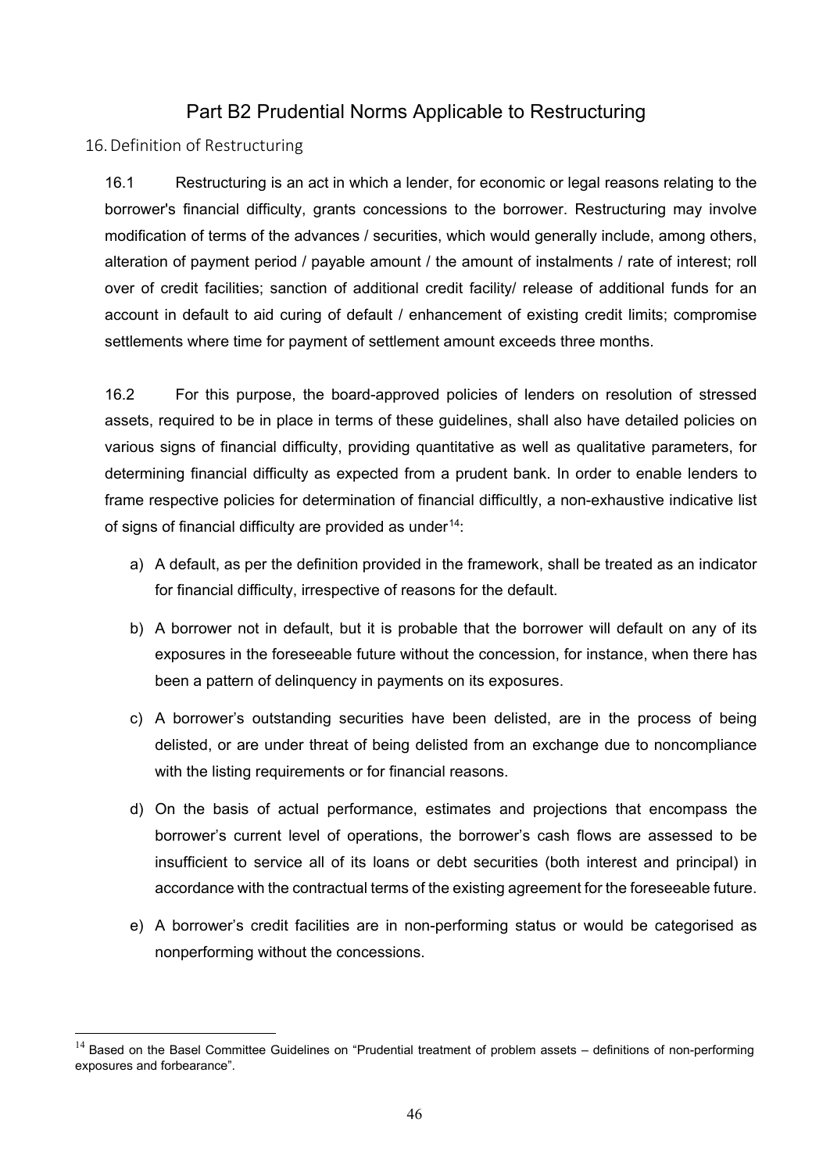# Part B2 Prudential Norms Applicable to Restructuring

## 16.Definition of Restructuring

16.1 Restructuring is an act in which a lender, for economic or legal reasons relating to the borrower's financial difficulty, grants concessions to the borrower. Restructuring may involve modification of terms of the advances / securities, which would generally include, among others, alteration of payment period / payable amount / the amount of instalments / rate of interest; roll over of credit facilities; sanction of additional credit facility/ release of additional funds for an account in default to aid curing of default / enhancement of existing credit limits; compromise settlements where time for payment of settlement amount exceeds three months.

16.2 For this purpose, the board-approved policies of lenders on resolution of stressed assets, required to be in place in terms of these guidelines, shall also have detailed policies on various signs of financial difficulty, providing quantitative as well as qualitative parameters, for determining financial difficulty as expected from a prudent bank. In order to enable lenders to frame respective policies for determination of financial difficultly, a non-exhaustive indicative list of signs of financial difficulty are provided as under  $14$ :

- a) A default, as per the definition provided in the framework, shall be treated as an indicator for financial difficulty, irrespective of reasons for the default.
- b) A borrower not in default, but it is probable that the borrower will default on any of its exposures in the foreseeable future without the concession, for instance, when there has been a pattern of delinquency in payments on its exposures.
- c) A borrower's outstanding securities have been delisted, are in the process of being delisted, or are under threat of being delisted from an exchange due to noncompliance with the listing requirements or for financial reasons.
- d) On the basis of actual performance, estimates and projections that encompass the borrower's current level of operations, the borrower's cash flows are assessed to be insufficient to service all of its loans or debt securities (both interest and principal) in accordance with the contractual terms of the existing agreement for the foreseeable future.
- e) A borrower's credit facilities are in non-performing status or would be categorised as nonperforming without the concessions.

<span id="page-45-0"></span> $14$  Based on the Basel Committee Guidelines on "Prudential treatment of problem assets  $-$  definitions of non-performing exposures and forbearance".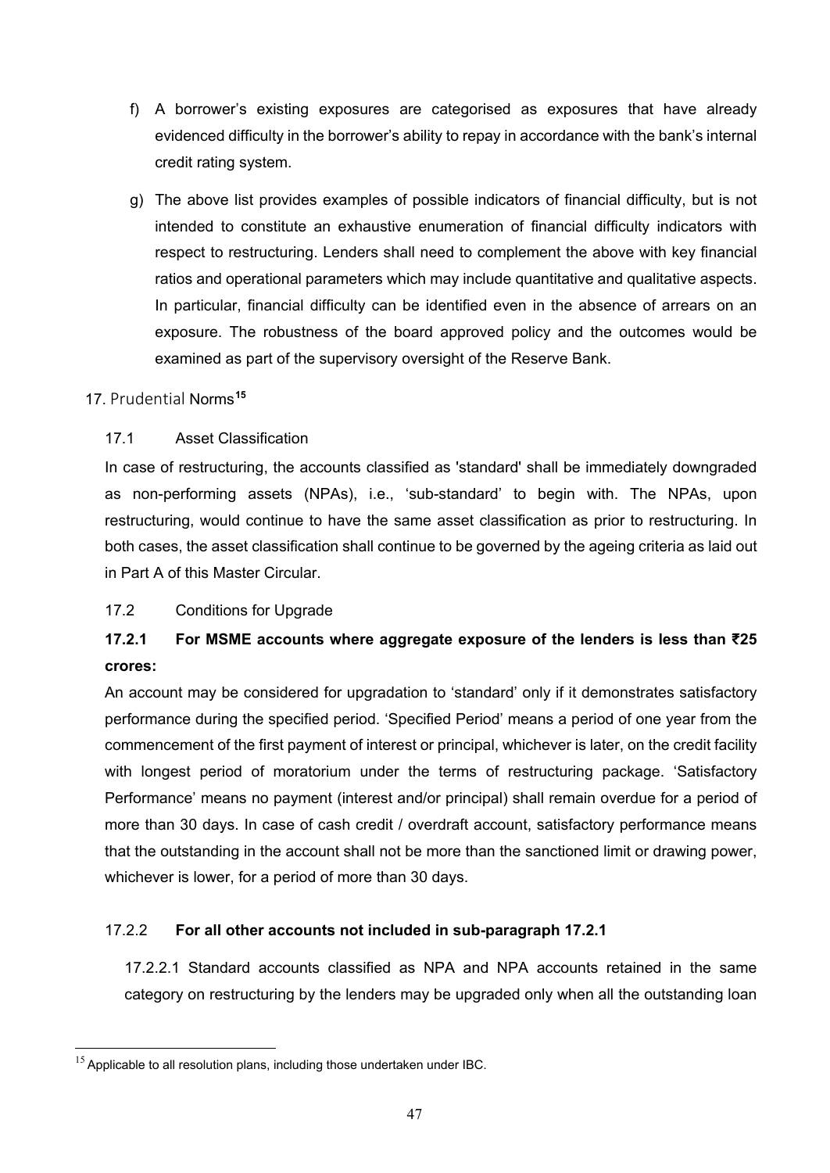- f) A borrower's existing exposures are categorised as exposures that have already evidenced difficulty in the borrower's ability to repay in accordance with the bank's internal credit rating system.
- g) The above list provides examples of possible indicators of financial difficulty, but is not intended to constitute an exhaustive enumeration of financial difficulty indicators with respect to restructuring. Lenders shall need to complement the above with key financial ratios and operational parameters which may include quantitative and qualitative aspects. In particular, financial difficulty can be identified even in the absence of arrears on an exposure. The robustness of the board approved policy and the outcomes would be examined as part of the supervisory oversight of the Reserve Bank.

## 17. Prudential Norms**[15](#page-46-0)**

# 17.1 Asset Classification

In case of restructuring, the accounts classified as 'standard' shall be immediately downgraded as non-performing assets (NPAs), i.e., 'sub-standard' to begin with. The NPAs, upon restructuring, would continue to have the same asset classification as prior to restructuring. In both cases, the asset classification shall continue to be governed by the ageing criteria as laid out in Part A of this Master Circular.

## 17.2 Conditions for Upgrade

# **17.2.1 For MSME accounts where aggregate exposure of the lenders is less than ₹25 crores:**

An account may be considered for upgradation to 'standard' only if it demonstrates satisfactory performance during the specified period. 'Specified Period' means a period of one year from the commencement of the first payment of interest or principal, whichever is later, on the credit facility with longest period of moratorium under the terms of restructuring package. 'Satisfactory Performance' means no payment (interest and/or principal) shall remain overdue for a period of more than 30 days. In case of cash credit / overdraft account, satisfactory performance means that the outstanding in the account shall not be more than the sanctioned limit or drawing power, whichever is lower, for a period of more than 30 days.

# 17.2.2 **For all other accounts not included in sub-paragraph 17.2.1**

17.2.2.1 Standard accounts classified as NPA and NPA accounts retained in the same category on restructuring by the lenders may be upgraded only when all the outstanding loan

<span id="page-46-0"></span> $15$  Applicable to all resolution plans, including those undertaken under IBC.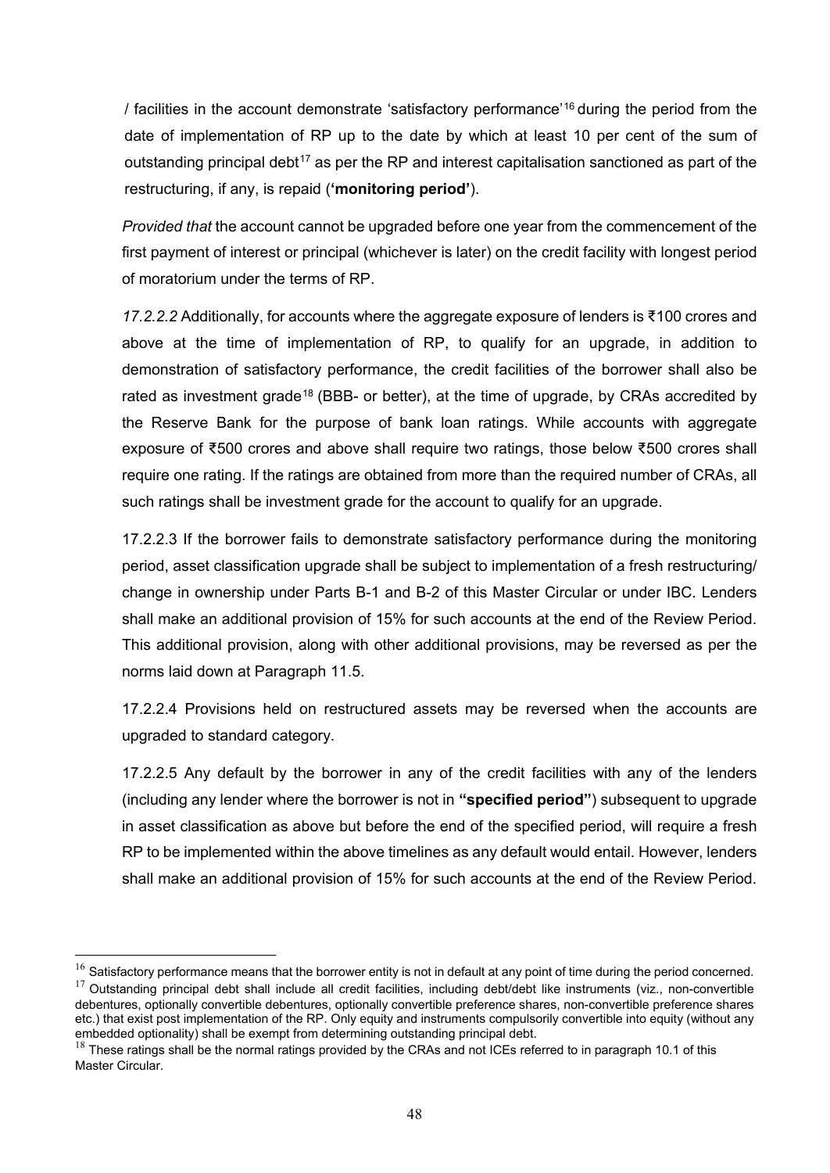/ facilities in the account demonstrate 'satisfactory performance'[16](#page-47-0) during the period from the date of implementation of RP up to the date by which at least 10 per cent of the sum of outstanding principal debt<sup>[17](#page-47-1)</sup> as per the RP and interest capitalisation sanctioned as part of the restructuring, if any, is repaid (**'monitoring period'**).

*Provided that* the account cannot be upgraded before one year from the commencement of the first payment of interest or principal (whichever is later) on the credit facility with longest period of moratorium under the terms of RP.

*17.2.2.2* Additionally, for accounts where the aggregate exposure of lenders is ₹100 crores and above at the time of implementation of RP, to qualify for an upgrade, in addition to demonstration of satisfactory performance, the credit facilities of the borrower shall also be rated as investment grade<sup>[18](#page-47-2)</sup> (BBB- or better), at the time of upgrade, by CRAs accredited by the Reserve Bank for the purpose of bank loan ratings. While accounts with aggregate exposure of ₹500 crores and above shall require two ratings, those below ₹500 crores shall require one rating. If the ratings are obtained from more than the required number of CRAs, all such ratings shall be investment grade for the account to qualify for an upgrade.

17.2.2.3 If the borrower fails to demonstrate satisfactory performance during the monitoring period, asset classification upgrade shall be subject to implementation of a fresh restructuring/ change in ownership under Parts B-1 and B-2 of this Master Circular or under IBC. Lenders shall make an additional provision of 15% for such accounts at the end of the Review Period. This additional provision, along with other additional provisions, may be reversed as per the norms laid down at Paragraph 11.5.

17.2.2.4 Provisions held on restructured assets may be reversed when the accounts are upgraded to standard category.

17.2.2.5 Any default by the borrower in any of the credit facilities with any of the lenders (including any lender where the borrower is not in **"specified period"**) subsequent to upgrade in asset classification as above but before the end of the specified period, will require a fresh RP to be implemented within the above timelines as any default would entail. However, lenders shall make an additional provision of 15% for such accounts at the end of the Review Period.

<span id="page-47-1"></span><span id="page-47-0"></span> $16$  Satisfactory performance means that the borrower entity is not in default at any point of time during the period concerned.  $17$  Outstanding principal debt shall include all credit facilities, including debt/debt like instruments (viz., non-convertible debentures, optionally convertible debentures, optionally convertible preference shares, non-convertible preference shares etc.) that exist post implementation of the RP. Only equity and instruments compulsorily convertible into equity (without any embedded optionality) shall be exempt from determining outstanding principal debt.

<span id="page-47-2"></span> $18$  These ratings shall be the normal ratings provided by the CRAs and not ICEs referred to in paragraph 10.1 of this Master Circular.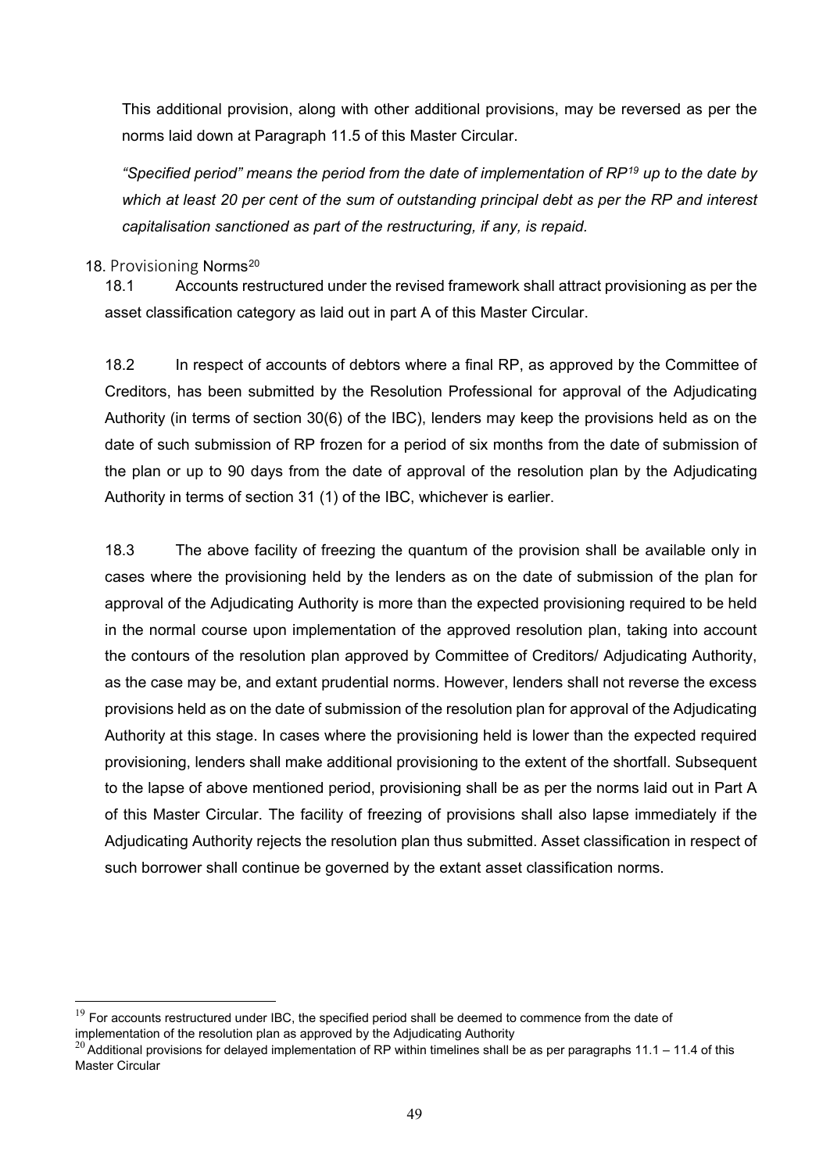This additional provision, along with other additional provisions, may be reversed as per the norms laid down at Paragraph 11.5 of this Master Circular.

*"Specified period" means the period from the date of implementation of RP[19](#page-48-0) up to the date by which at least 20 per cent of the sum of outstanding principal debt as per the RP and interest capitalisation sanctioned as part of the restructuring, if any, is repaid.*

## 18. Provisioning Norms<sup>[20](#page-48-1)</sup>

18.1 Accounts restructured under the revised framework shall attract provisioning as per the asset classification category as laid out in part A of this Master Circular.

18.2 In respect of accounts of debtors where a final RP, as approved by the Committee of Creditors, has been submitted by the Resolution Professional for approval of the Adjudicating Authority (in terms of section 30(6) of the IBC), lenders may keep the provisions held as on the date of such submission of RP frozen for a period of six months from the date of submission of the plan or up to 90 days from the date of approval of the resolution plan by the Adjudicating Authority in terms of section 31 (1) of the IBC, whichever is earlier.

18.3 The above facility of freezing the quantum of the provision shall be available only in cases where the provisioning held by the lenders as on the date of submission of the plan for approval of the Adjudicating Authority is more than the expected provisioning required to be held in the normal course upon implementation of the approved resolution plan, taking into account the contours of the resolution plan approved by Committee of Creditors/ Adjudicating Authority, as the case may be, and extant prudential norms. However, lenders shall not reverse the excess provisions held as on the date of submission of the resolution plan for approval of the Adjudicating Authority at this stage. In cases where the provisioning held is lower than the expected required provisioning, lenders shall make additional provisioning to the extent of the shortfall. Subsequent to the lapse of above mentioned period, provisioning shall be as per the norms laid out in Part A of this Master Circular. The facility of freezing of provisions shall also lapse immediately if the Adjudicating Authority rejects the resolution plan thus submitted. Asset classification in respect of such borrower shall continue be governed by the extant asset classification norms.

<span id="page-48-0"></span> $19$  For accounts restructured under IBC, the specified period shall be deemed to commence from the date of implementation of the resolution plan as approved by the Adjudicating Authority

<span id="page-48-1"></span><sup>&</sup>lt;sup>20</sup> Additional provisions for delayed implementation of RP within timelines shall be as per paragraphs 11.1 – 11.4 of this Master Circular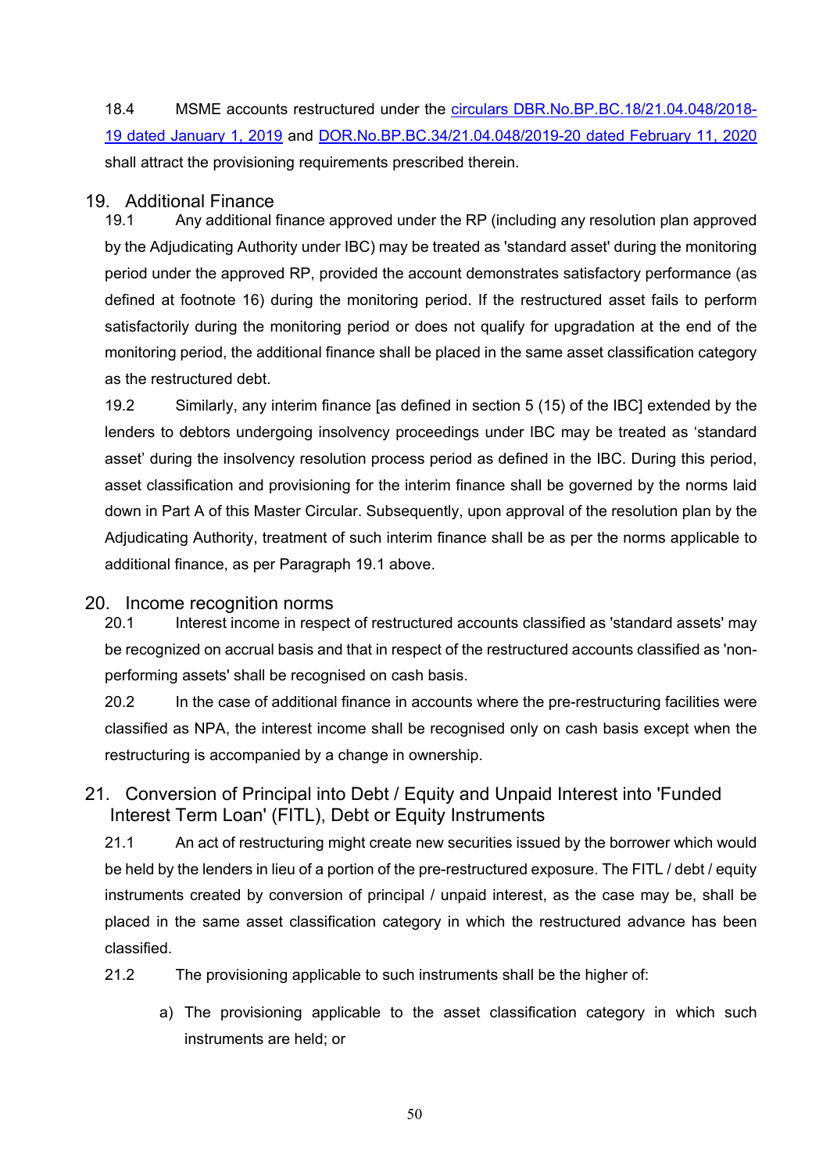18.4 MSME accounts restructured under the [circulars DBR.No.BP.BC.18/21.04.048/2018-](https://www.rbi.org.in/Scripts/NotificationUser.aspx?Id=11445&Mode=0) [19 dated January 1, 2019](https://www.rbi.org.in/Scripts/NotificationUser.aspx?Id=11445&Mode=0) and [DOR.No.BP.BC.34/21.04.048/2019-20 dated February 11, 2020](https://www.rbi.org.in/Scripts/NotificationUser.aspx?Id=11808&Mode=0) shall attract the provisioning requirements prescribed therein.

# 19. Additional Finance<br>19.1 Any additional

Any additional finance approved under the RP (including any resolution plan approved by the Adjudicating Authority under IBC) may be treated as 'standard asset' during the monitoring period under the approved RP, provided the account demonstrates satisfactory performance (as defined at footnote 16) during the monitoring period. If the restructured asset fails to perform satisfactorily during the monitoring period or does not qualify for upgradation at the end of the monitoring period, the additional finance shall be placed in the same asset classification category as the restructured debt.

19.2 Similarly, any interim finance [as defined in section 5 (15) of the IBC] extended by the lenders to debtors undergoing insolvency proceedings under IBC may be treated as 'standard asset' during the insolvency resolution process period as defined in the IBC. During this period, asset classification and provisioning for the interim finance shall be governed by the norms laid down in Part A of this Master Circular. Subsequently, upon approval of the resolution plan by the Adjudicating Authority, treatment of such interim finance shall be as per the norms applicable to additional finance, as per Paragraph 19.1 above.

# 20. Income recognition norms<br>20.1 Interest income in respe

Interest income in respect of restructured accounts classified as 'standard assets' may be recognized on accrual basis and that in respect of the restructured accounts classified as 'nonperforming assets' shall be recognised on cash basis.

20.2 In the case of additional finance in accounts where the pre-restructuring facilities were classified as NPA, the interest income shall be recognised only on cash basis except when the restructuring is accompanied by a change in ownership.

# 21. Conversion of Principal into Debt / Equity and Unpaid Interest into 'Funded Interest Term Loan' (FITL), Debt or Equity Instruments

21.1 An act of restructuring might create new securities issued by the borrower which would be held by the lenders in lieu of a portion of the pre-restructured exposure. The FITL / debt / equity instruments created by conversion of principal / unpaid interest, as the case may be, shall be placed in the same asset classification category in which the restructured advance has been classified.

21.2 The provisioning applicable to such instruments shall be the higher of:

a) The provisioning applicable to the asset classification category in which such instruments are held; or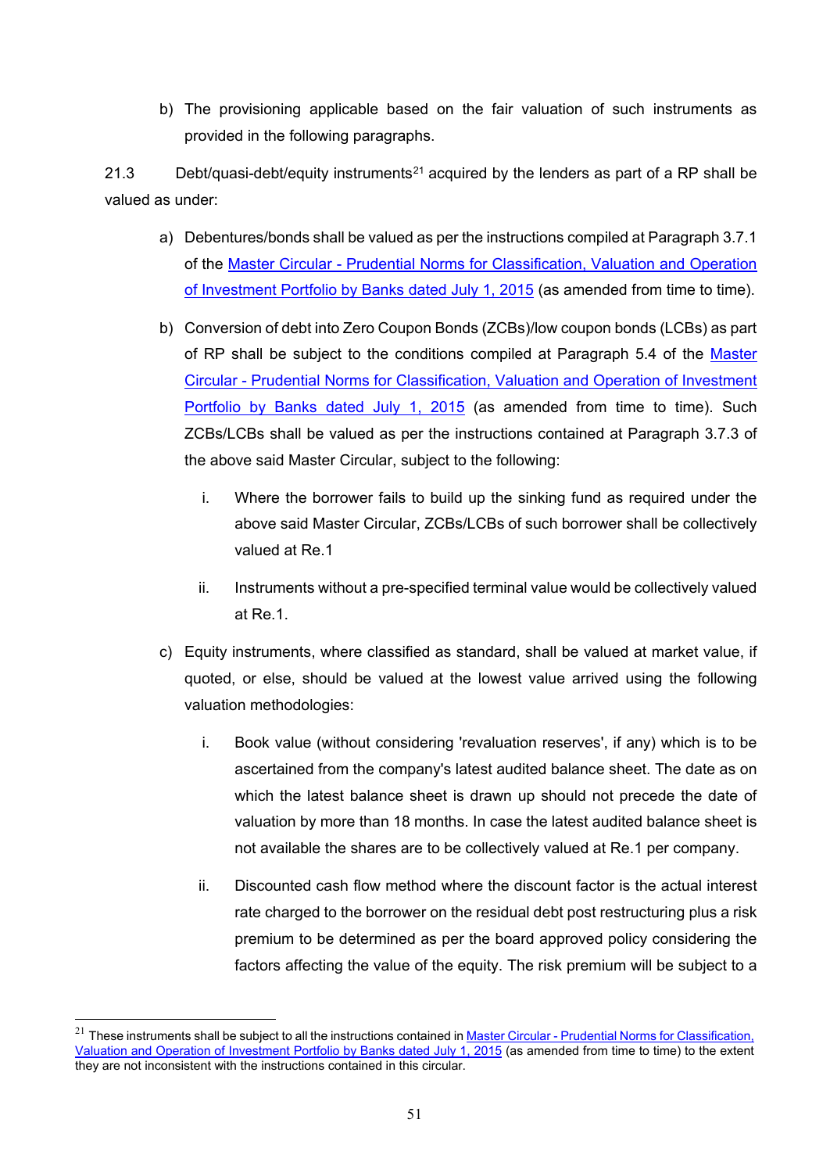b) The provisioning applicable based on the fair valuation of such instruments as provided in the following paragraphs.

[21](#page-50-0).3 Debt/quasi-debt/equity instruments<sup>21</sup> acquired by the lenders as part of a RP shall be valued as under:

- a) Debentures/bonds shall be valued as per the instructions compiled at Paragraph 3.7.1 of the Master Circular - [Prudential Norms for Classification, Valuation and Operation](https://www.rbi.org.in/Scripts/BS_ViewMasCirculardetails.aspx?id=9904)  [of Investment Portfolio by Banks dated July 1, 2015](https://www.rbi.org.in/Scripts/BS_ViewMasCirculardetails.aspx?id=9904) (as amended from time to time).
- b) Conversion of debt into Zero Coupon Bonds (ZCBs)/low coupon bonds (LCBs) as part of RP shall be subject to the conditions compiled at Paragraph 5.4 of the [Master](https://www.rbi.org.in/Scripts/BS_ViewMasCirculardetails.aspx?id=9904)  Circular - [Prudential Norms for Classification, Valuation and Operation of Investment](https://www.rbi.org.in/Scripts/BS_ViewMasCirculardetails.aspx?id=9904)  [Portfolio by Banks dated July 1, 2015](https://www.rbi.org.in/Scripts/BS_ViewMasCirculardetails.aspx?id=9904) (as amended from time to time). Such ZCBs/LCBs shall be valued as per the instructions contained at Paragraph 3.7.3 of the above said Master Circular, subject to the following:
	- i. Where the borrower fails to build up the sinking fund as required under the above said Master Circular, ZCBs/LCBs of such borrower shall be collectively valued at Re.1
	- ii. Instruments without a pre-specified terminal value would be collectively valued at Re.1.
- c) Equity instruments, where classified as standard, shall be valued at market value, if quoted, or else, should be valued at the lowest value arrived using the following valuation methodologies:
	- i. Book value (without considering 'revaluation reserves', if any) which is to be ascertained from the company's latest audited balance sheet. The date as on which the latest balance sheet is drawn up should not precede the date of valuation by more than 18 months. In case the latest audited balance sheet is not available the shares are to be collectively valued at Re.1 per company.
	- ii. Discounted cash flow method where the discount factor is the actual interest rate charged to the borrower on the residual debt post restructuring plus a risk premium to be determined as per the board approved policy considering the factors affecting the value of the equity. The risk premium will be subject to a

<span id="page-50-0"></span> $21$  These instruments shall be subject to all the instructions contained in Master Circular - Prudential Norms for Classification, [Valuation and Operation of Investment Portfolio by Banks dated July 1, 2015](https://www.rbi.org.in/Scripts/BS_ViewMasCirculardetails.aspx?id=9904) (as amended from time to time) to the extent they are not inconsistent with the instructions contained in this circular.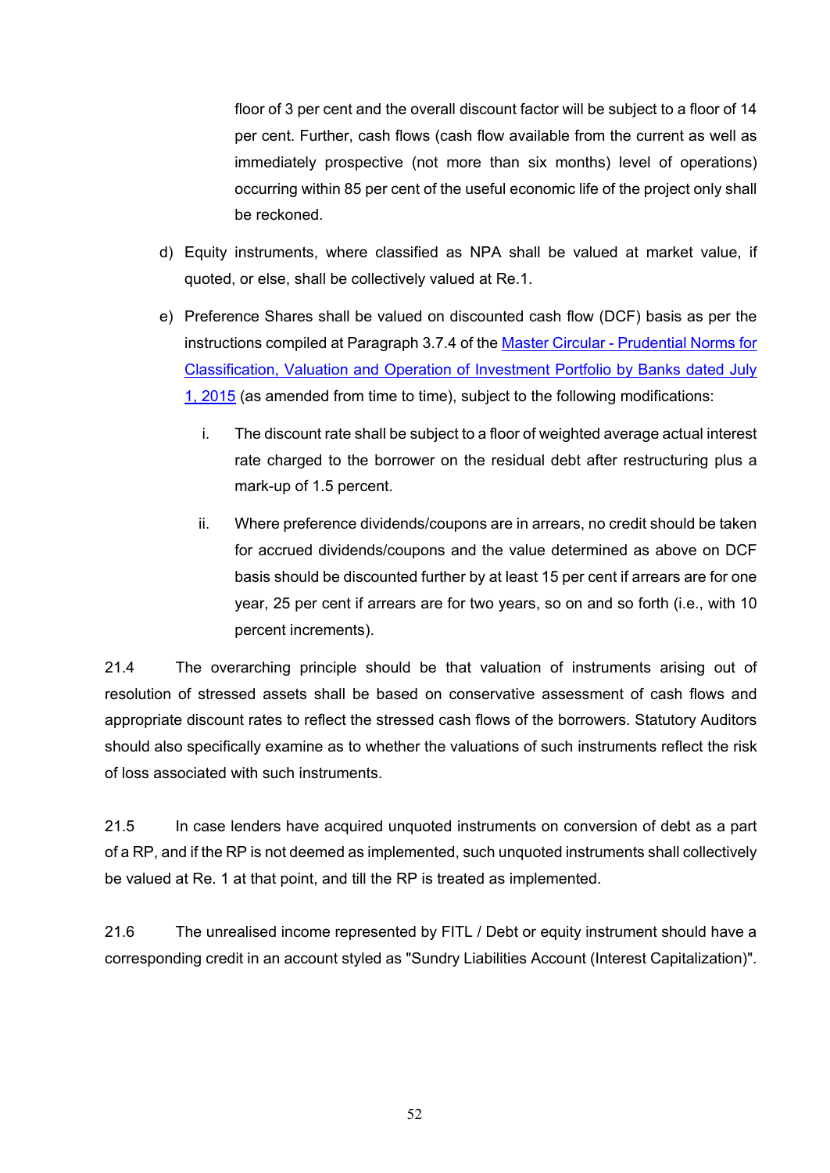floor of 3 per cent and the overall discount factor will be subject to a floor of 14 per cent. Further, cash flows (cash flow available from the current as well as immediately prospective (not more than six months) level of operations) occurring within 85 per cent of the useful economic life of the project only shall be reckoned.

- d) Equity instruments, where classified as NPA shall be valued at market value, if quoted, or else, shall be collectively valued at Re.1.
- e) Preference Shares shall be valued on discounted cash flow (DCF) basis as per the instructions compiled at Paragraph 3.7.4 of the Master Circular - [Prudential Norms for](https://www.rbi.org.in/Scripts/BS_ViewMasCirculardetails.aspx?id=9904)  [Classification, Valuation and Operation of Investment Portfolio by Banks dated July](https://www.rbi.org.in/Scripts/BS_ViewMasCirculardetails.aspx?id=9904)  [1, 2015](https://www.rbi.org.in/Scripts/BS_ViewMasCirculardetails.aspx?id=9904) (as amended from time to time), subject to the following modifications:
	- i. The discount rate shall be subject to a floor of weighted average actual interest rate charged to the borrower on the residual debt after restructuring plus a mark-up of 1.5 percent.
	- ii. Where preference dividends/coupons are in arrears, no credit should be taken for accrued dividends/coupons and the value determined as above on DCF basis should be discounted further by at least 15 per cent if arrears are for one year, 25 per cent if arrears are for two years, so on and so forth (i.e., with 10 percent increments).

21.4 The overarching principle should be that valuation of instruments arising out of resolution of stressed assets shall be based on conservative assessment of cash flows and appropriate discount rates to reflect the stressed cash flows of the borrowers. Statutory Auditors should also specifically examine as to whether the valuations of such instruments reflect the risk of loss associated with such instruments.

21.5 In case lenders have acquired unquoted instruments on conversion of debt as a part of a RP, and if the RP is not deemed as implemented, such unquoted instruments shall collectively be valued at Re. 1 at that point, and till the RP is treated as implemented.

21.6 The unrealised income represented by FITL / Debt or equity instrument should have a corresponding credit in an account styled as "Sundry Liabilities Account (Interest Capitalization)".

52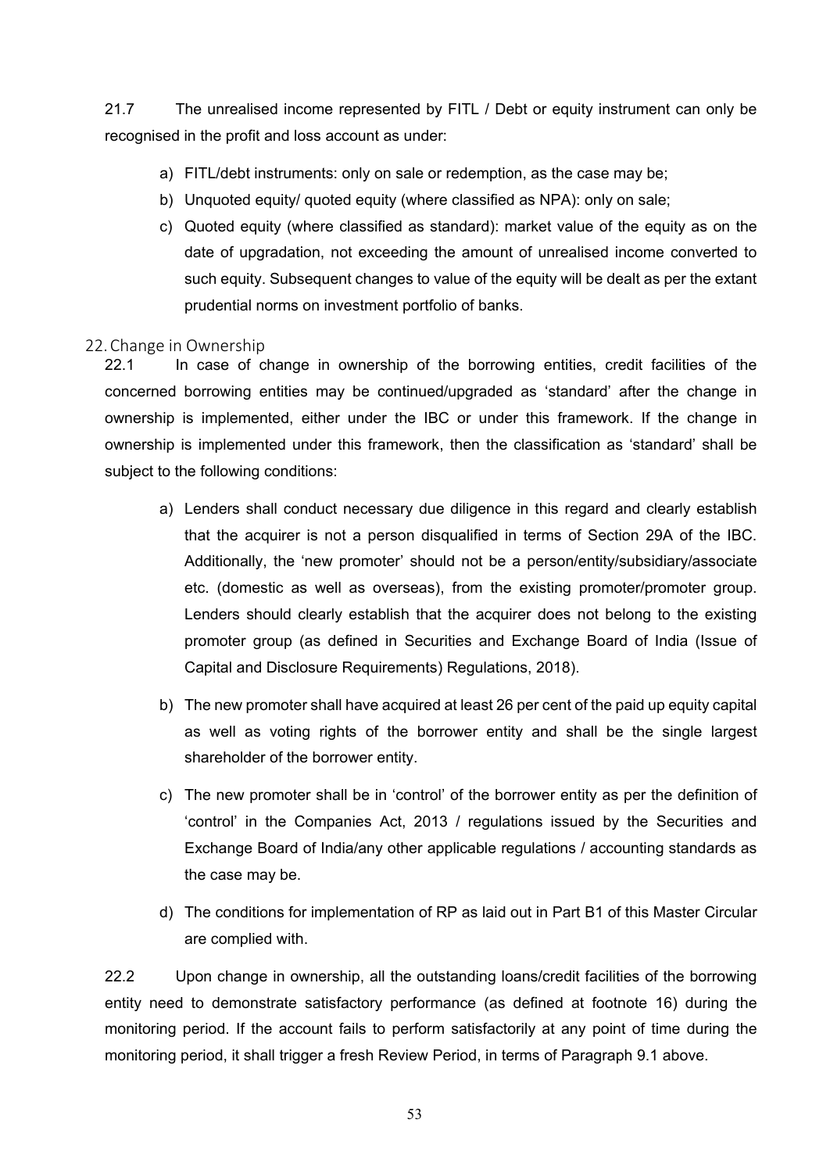21.7 The unrealised income represented by FITL / Debt or equity instrument can only be recognised in the profit and loss account as under:

- a) FITL/debt instruments: only on sale or redemption, as the case may be;
- b) Unquoted equity/ quoted equity (where classified as NPA): only on sale;
- c) Quoted equity (where classified as standard): market value of the equity as on the date of upgradation, not exceeding the amount of unrealised income converted to such equity. Subsequent changes to value of the equity will be dealt as per the extant prudential norms on investment portfolio of banks.

## 22.Change in Ownership

22.1 In case of change in ownership of the borrowing entities, credit facilities of the concerned borrowing entities may be continued/upgraded as 'standard' after the change in ownership is implemented, either under the IBC or under this framework. If the change in ownership is implemented under this framework, then the classification as 'standard' shall be subject to the following conditions:

- a) Lenders shall conduct necessary due diligence in this regard and clearly establish that the acquirer is not a person disqualified in terms of Section 29A of the IBC. Additionally, the 'new promoter' should not be a person/entity/subsidiary/associate etc. (domestic as well as overseas), from the existing promoter/promoter group. Lenders should clearly establish that the acquirer does not belong to the existing promoter group (as defined in Securities and Exchange Board of India (Issue of Capital and Disclosure Requirements) Regulations, 2018).
- b) The new promoter shall have acquired at least 26 per cent of the paid up equity capital as well as voting rights of the borrower entity and shall be the single largest shareholder of the borrower entity.
- c) The new promoter shall be in 'control' of the borrower entity as per the definition of 'control' in the Companies Act, 2013 / regulations issued by the Securities and Exchange Board of India/any other applicable regulations / accounting standards as the case may be.
- d) The conditions for implementation of RP as laid out in Part B1 of this Master Circular are complied with.

22.2 Upon change in ownership, all the outstanding loans/credit facilities of the borrowing entity need to demonstrate satisfactory performance (as defined at footnote 16) during the monitoring period. If the account fails to perform satisfactorily at any point of time during the monitoring period, it shall trigger a fresh Review Period, in terms of Paragraph 9.1 above.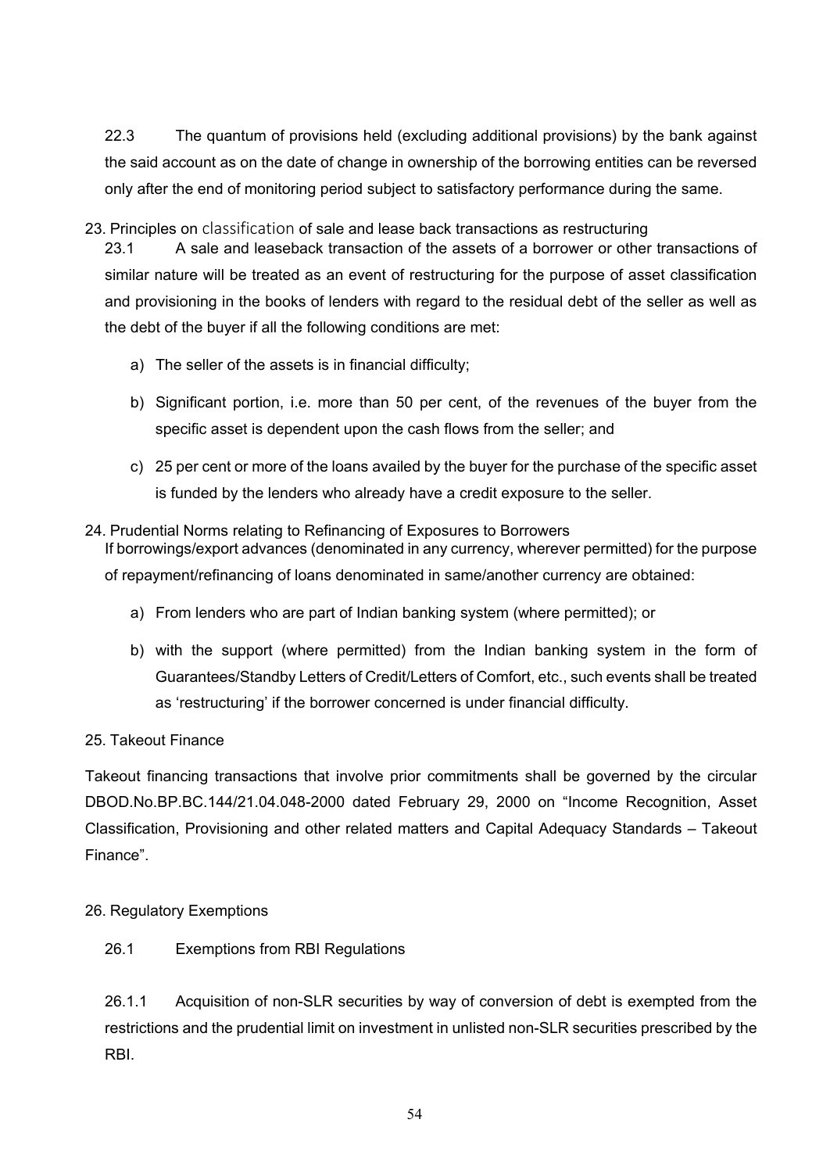22.3 The quantum of provisions held (excluding additional provisions) by the bank against the said account as on the date of change in ownership of the borrowing entities can be reversed only after the end of monitoring period subject to satisfactory performance during the same.

23. Principles on classification of sale and lease back transactions as restructuring

23.1 A sale and leaseback transaction of the assets of a borrower or other transactions of similar nature will be treated as an event of restructuring for the purpose of asset classification and provisioning in the books of lenders with regard to the residual debt of the seller as well as the debt of the buyer if all the following conditions are met:

- a) The seller of the assets is in financial difficulty;
- b) Significant portion, i.e. more than 50 per cent, of the revenues of the buyer from the specific asset is dependent upon the cash flows from the seller; and
- c) 25 per cent or more of the loans availed by the buyer for the purchase of the specific asset is funded by the lenders who already have a credit exposure to the seller.

# 24. Prudential Norms relating to Refinancing of Exposures to Borrowers If borrowings/export advances (denominated in any currency, wherever permitted) for the purpose of repayment/refinancing of loans denominated in same/another currency are obtained:

a) From lenders who are part of Indian banking system (where permitted); or

b) with the support (where permitted) from the Indian banking system in the form of Guarantees/Standby Letters of Credit/Letters of Comfort, etc., such events shall be treated as 'restructuring' if the borrower concerned is under financial difficulty.

## 25. Takeout Finance

Takeout financing transactions that involve prior commitments shall be governed by the circular DBOD.No.BP.BC.144/21.04.048-2000 dated February 29, 2000 on "Income Recognition, Asset Classification, Provisioning and other related matters and Capital Adequacy Standards – Takeout Finance".

### 26. Regulatory Exemptions

26.1 Exemptions from RBI Regulations

26.1.1 Acquisition of non-SLR securities by way of conversion of debt is exempted from the restrictions and the prudential limit on investment in unlisted non-SLR securities prescribed by the RBI.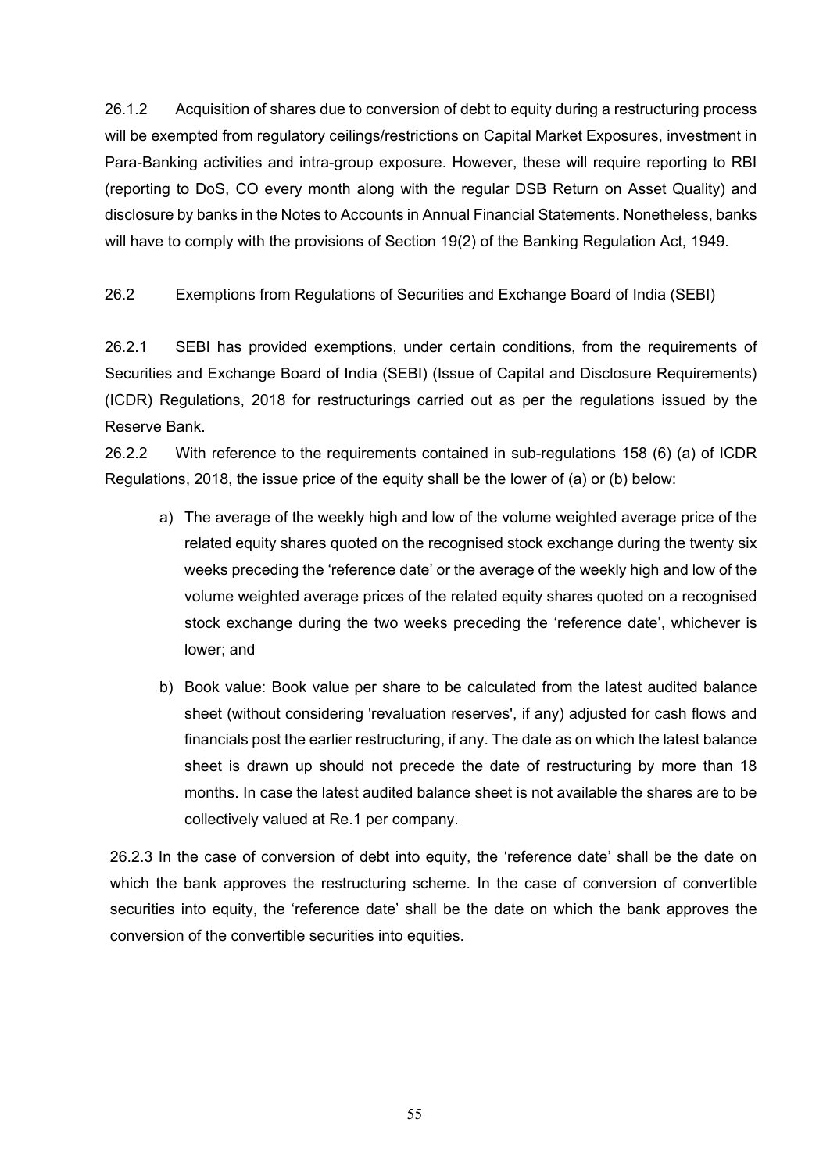26.1.2 Acquisition of shares due to conversion of debt to equity during a restructuring process will be exempted from regulatory ceilings/restrictions on Capital Market Exposures, investment in Para-Banking activities and intra-group exposure. However, these will require reporting to RBI (reporting to DoS, CO every month along with the regular DSB Return on Asset Quality) and disclosure by banks in the Notes to Accounts in Annual Financial Statements. Nonetheless, banks will have to comply with the provisions of Section 19(2) of the Banking Regulation Act, 1949.

26.2 Exemptions from Regulations of Securities and Exchange Board of India (SEBI)

26.2.1 SEBI has provided exemptions, under certain conditions, from the requirements of Securities and Exchange Board of India (SEBI) (Issue of Capital and Disclosure Requirements) (ICDR) Regulations, 2018 for restructurings carried out as per the regulations issued by the Reserve Bank.

26.2.2 With reference to the requirements contained in sub-regulations 158 (6) (a) of ICDR Regulations, 2018, the issue price of the equity shall be the lower of (a) or (b) below:

- a) The average of the weekly high and low of the volume weighted average price of the related equity shares quoted on the recognised stock exchange during the twenty six weeks preceding the 'reference date' or the average of the weekly high and low of the volume weighted average prices of the related equity shares quoted on a recognised stock exchange during the two weeks preceding the 'reference date', whichever is lower; and
- b) Book value: Book value per share to be calculated from the latest audited balance sheet (without considering 'revaluation reserves', if any) adjusted for cash flows and financials post the earlier restructuring, if any. The date as on which the latest balance sheet is drawn up should not precede the date of restructuring by more than 18 months. In case the latest audited balance sheet is not available the shares are to be collectively valued at Re.1 per company.

26.2.3 In the case of conversion of debt into equity, the 'reference date' shall be the date on which the bank approves the restructuring scheme. In the case of conversion of convertible securities into equity, the 'reference date' shall be the date on which the bank approves the conversion of the convertible securities into equities.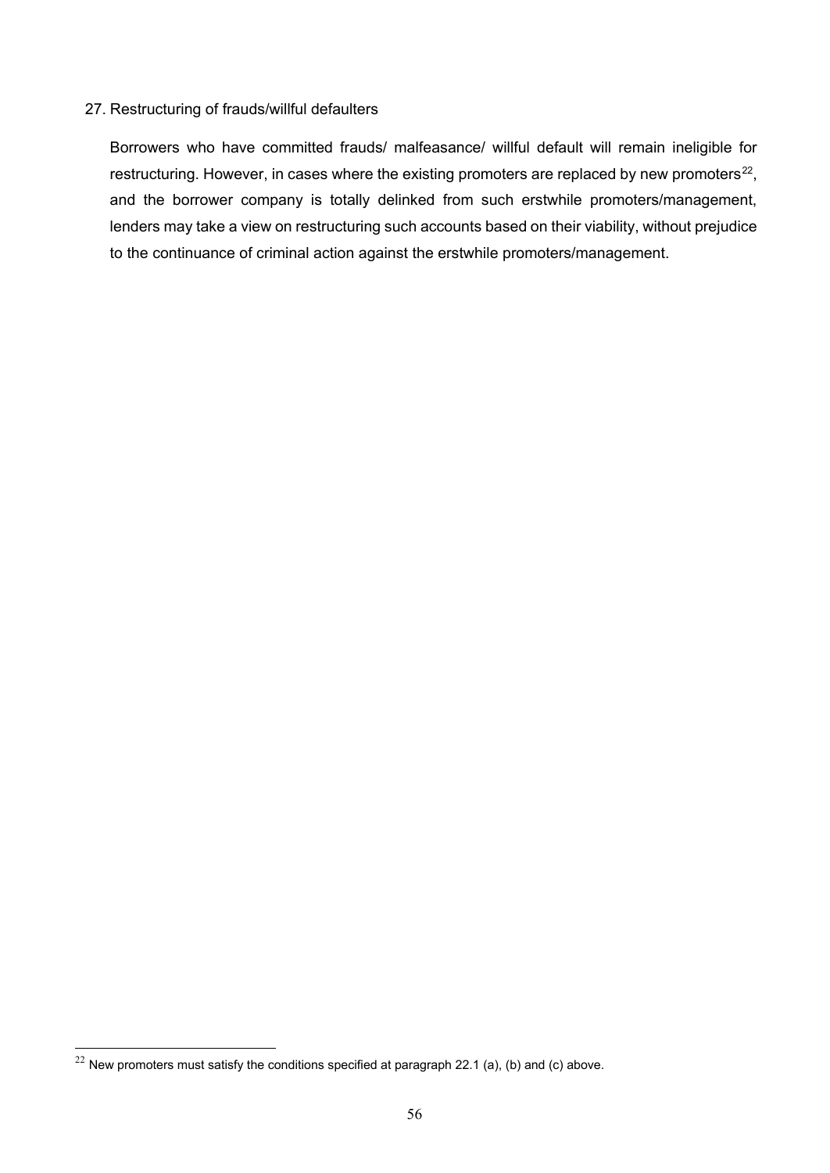#### 27. Restructuring of frauds/willful defaulters

Borrowers who have committed frauds/ malfeasance/ willful default will remain ineligible for restructuring. However, in cases where the existing promoters are replaced by new promoters<sup>22</sup>, and the borrower company is totally delinked from such erstwhile promoters/management, lenders may take a view on restructuring such accounts based on their viability, without prejudice to the continuance of criminal action against the erstwhile promoters/management.

<span id="page-55-0"></span> $22$  New promoters must satisfy the conditions specified at paragraph 22.1 (a), (b) and (c) above.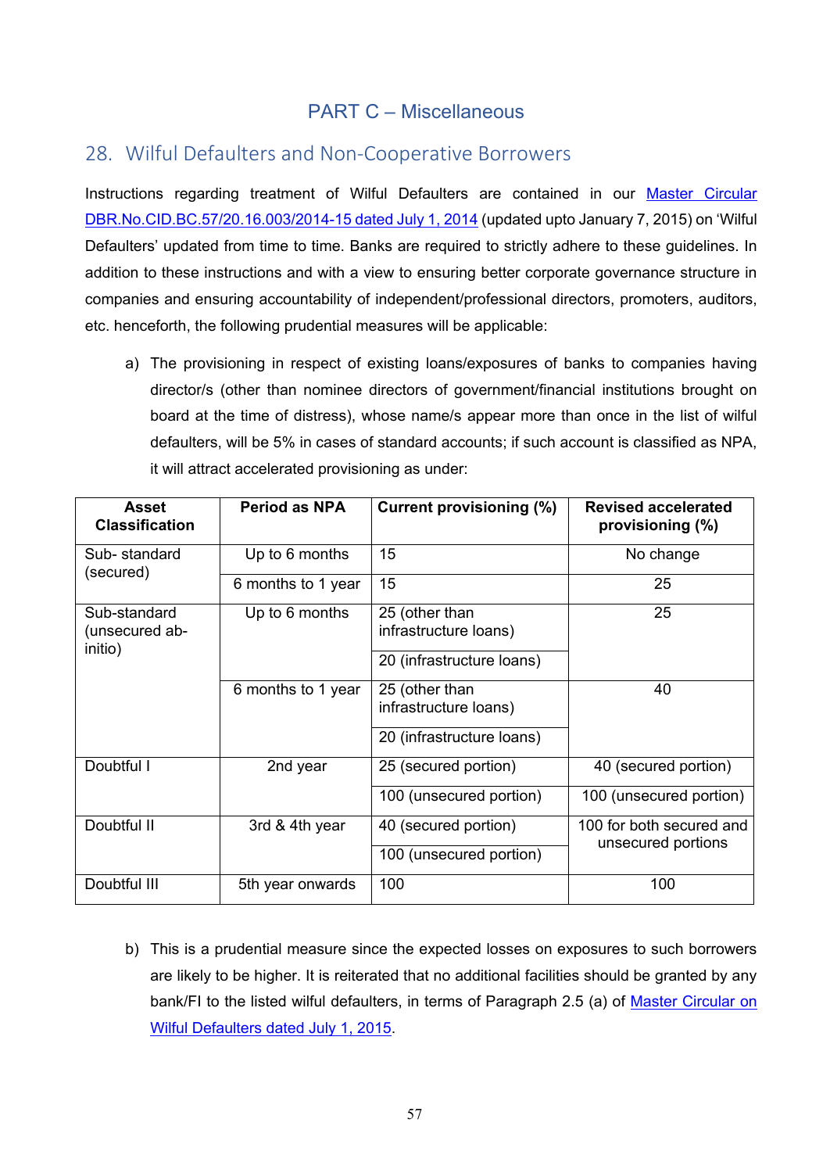# PART C – Miscellaneous

# 28. Wilful Defaulters and Non-Cooperative Borrowers

Instructions regarding treatment of Wilful Defaulters are contained in our [Master Circular](https://www.rbi.org.in/Scripts/BS_ViewMasCirculardetails.aspx?id=9044)  [DBR.No.CID.BC.57/20.16.003/2014-15 dated July 1, 2014](https://www.rbi.org.in/Scripts/BS_ViewMasCirculardetails.aspx?id=9044) (updated upto January 7, 2015) on 'Wilful Defaulters' updated from time to time. Banks are required to strictly adhere to these guidelines. In addition to these instructions and with a view to ensuring better corporate governance structure in companies and ensuring accountability of independent/professional directors, promoters, auditors, etc. henceforth, the following prudential measures will be applicable:

a) The provisioning in respect of existing loans/exposures of banks to companies having director/s (other than nominee directors of government/financial institutions brought on board at the time of distress), whose name/s appear more than once in the list of wilful defaulters, will be 5% in cases of standard accounts; if such account is classified as NPA, it will attract accelerated provisioning as under:

| Asset<br><b>Classification</b>            | Period as NPA                                                                          | <b>Current provisioning (%)</b>                                      | <b>Revised accelerated</b><br>provisioning (%) |
|-------------------------------------------|----------------------------------------------------------------------------------------|----------------------------------------------------------------------|------------------------------------------------|
| Sub-standard<br>(secured)                 | Up to 6 months                                                                         | 15                                                                   | No change                                      |
|                                           | 6 months to 1 year                                                                     | 15                                                                   | 25                                             |
| Sub-standard<br>(unsecured ab-<br>initio) | 25 (other than<br>Up to 6 months<br>infrastructure loans)<br>20 (infrastructure loans) |                                                                      | 25                                             |
|                                           | 6 months to 1 year                                                                     | 25 (other than<br>infrastructure loans)<br>20 (infrastructure loans) | 40                                             |
| Doubtful I                                | 2nd year                                                                               | 25 (secured portion)                                                 | 40 (secured portion)                           |
|                                           |                                                                                        | 100 (unsecured portion)                                              | 100 (unsecured portion)                        |
| Doubtful II                               | 3rd & 4th year                                                                         | 40 (secured portion)                                                 | 100 for both secured and<br>unsecured portions |
|                                           |                                                                                        | 100 (unsecured portion)                                              |                                                |
| Doubtful III                              | 5th year onwards                                                                       | 100                                                                  | 100                                            |

b) This is a prudential measure since the expected losses on exposures to such borrowers are likely to be higher. It is reiterated that no additional facilities should be granted by any bank/FI to the listed wilful defaulters, in terms of Paragraph 2.5 (a) of [Master Circular on](https://www.rbi.org.in/Scripts/BS_ViewMasCirculardetails.aspx?id=9907)  [Wilful Defaulters dated July 1, 2015.](https://www.rbi.org.in/Scripts/BS_ViewMasCirculardetails.aspx?id=9907)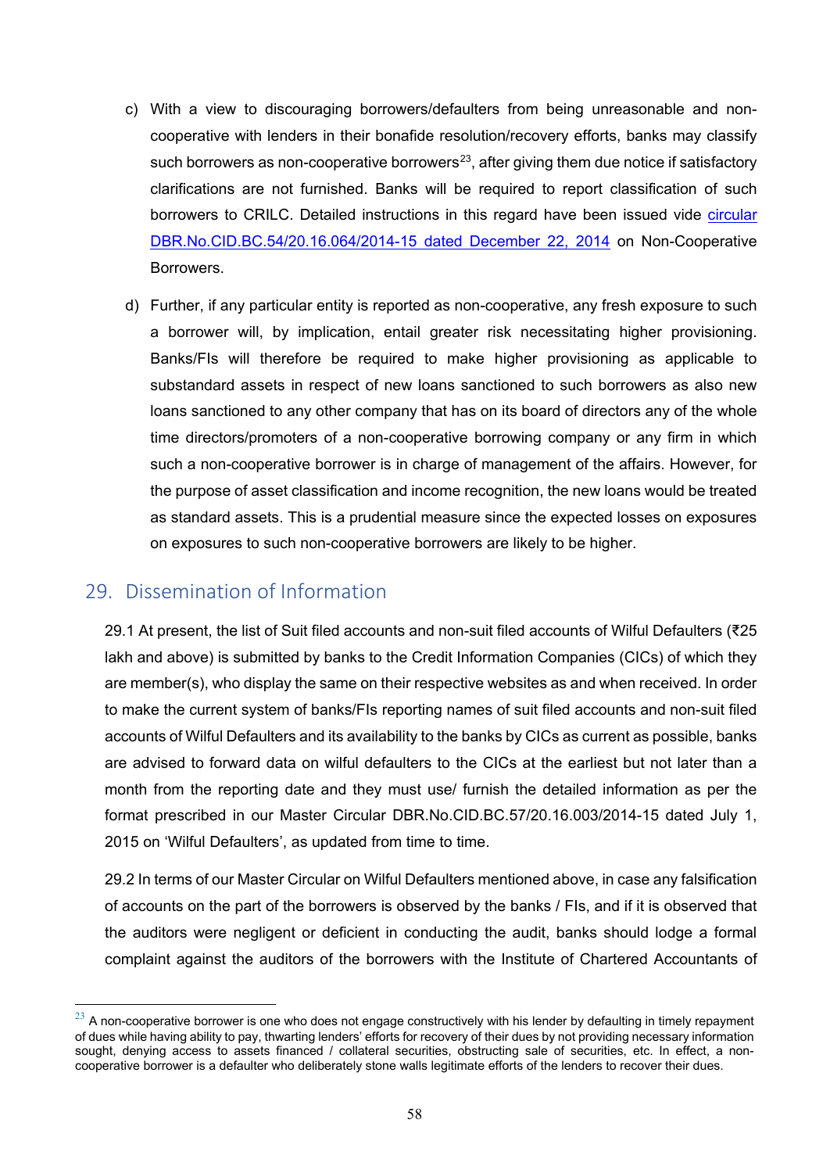- c) With a view to discouraging borrowers/defaulters from being unreasonable and noncooperative with lenders in their bonafide resolution/recovery efforts, banks may classify such borrowers as non-cooperative borrowers<sup>[23](#page-57-0)</sup>, after giving them due notice if satisfactory clarifications are not furnished. Banks will be required to report classification of such borrowers to CRILC. Detailed instructions in this regard have been issued vide [circular](https://www.rbi.org.in/Scripts/NotificationUser.aspx?Id=9420&Mode=0)  [DBR.No.CID.BC.54/20.16.064/2014-15 dated December 22, 2014](https://www.rbi.org.in/Scripts/NotificationUser.aspx?Id=9420&Mode=0) on Non-Cooperative Borrowers.
- d) Further, if any particular entity is reported as non-cooperative, any fresh exposure to such a borrower will, by implication, entail greater risk necessitating higher provisioning. Banks/FIs will therefore be required to make higher provisioning as applicable to substandard assets in respect of new loans sanctioned to such borrowers as also new loans sanctioned to any other company that has on its board of directors any of the whole time directors/promoters of a non-cooperative borrowing company or any firm in which such a non-cooperative borrower is in charge of management of the affairs. However, for the purpose of asset classification and income recognition, the new loans would be treated as standard assets. This is a prudential measure since the expected losses on exposures on exposures to such non-cooperative borrowers are likely to be higher.

# 29. Dissemination of Information

29.1 At present, the list of Suit filed accounts and non-suit filed accounts of Wilful Defaulters (₹25 lakh and above) is submitted by banks to the Credit Information Companies (CICs) of which they are member(s), who display the same on their respective websites as and when received. In order to make the current system of banks/FIs reporting names of suit filed accounts and non-suit filed accounts of Wilful Defaulters and its availability to the banks by CICs as current as possible, banks are advised to forward data on wilful defaulters to the CICs at the earliest but not later than a month from the reporting date and they must use/ furnish the detailed information as per the format prescribed in our Master Circular DBR.No.CID.BC.57/20.16.003/2014-15 dated July 1, 2015 on 'Wilful Defaulters', as updated from time to time.

29.2 In terms of our Master Circular on Wilful Defaulters mentioned above, in case any falsification of accounts on the part of the borrowers is observed by the banks / FIs, and if it is observed that the auditors were negligent or deficient in conducting the audit, banks should lodge a formal complaint against the auditors of the borrowers with the Institute of Chartered Accountants of

<span id="page-57-0"></span> $23$  A non-cooperative borrower is one who does not engage constructively with his lender by defaulting in timely repayment of dues while having ability to pay, thwarting lenders' efforts for recovery of their dues by not providing necessary information sought, denying access to assets financed / collateral securities, obstructing sale of securities, etc. In effect, a noncooperative borrower is a defaulter who deliberately stone walls legitimate efforts of the lenders to recover their dues.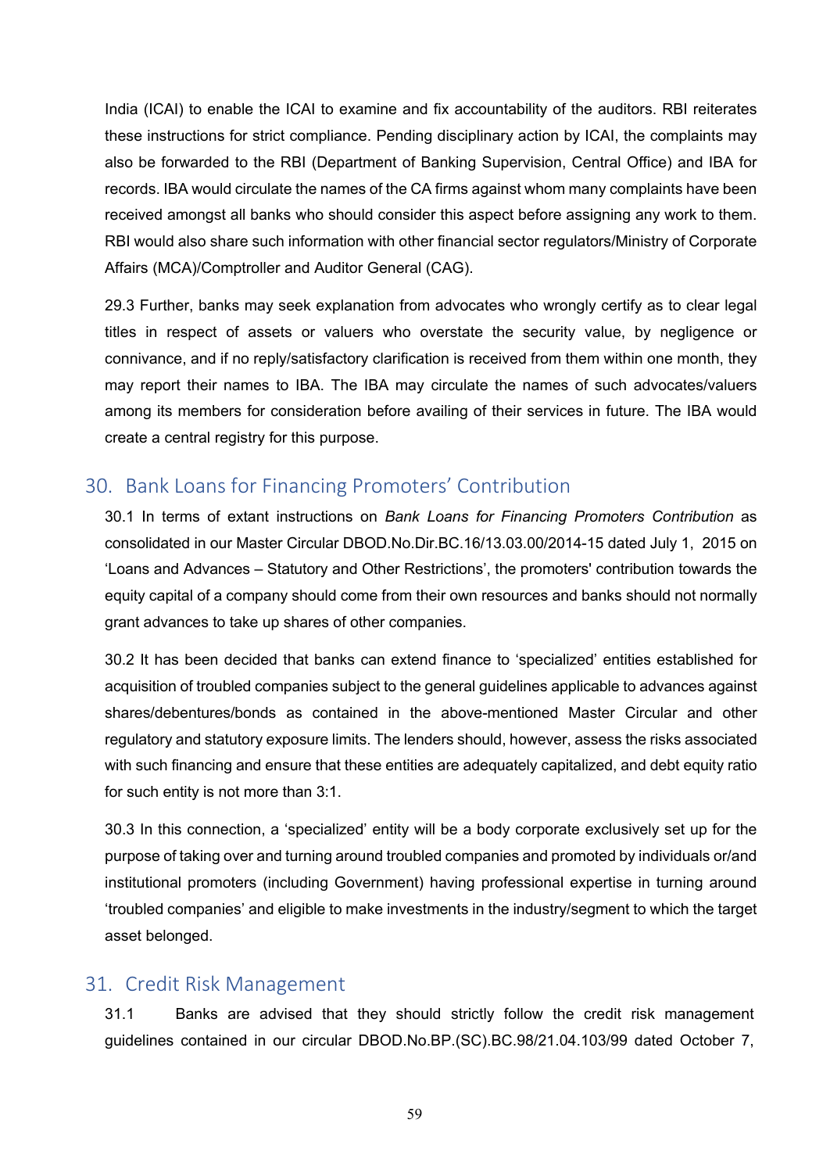India (ICAI) to enable the ICAI to examine and fix accountability of the auditors. RBI reiterates these instructions for strict compliance. Pending disciplinary action by ICAI, the complaints may also be forwarded to the RBI (Department of Banking Supervision, Central Office) and IBA for records. IBA would circulate the names of the CA firms against whom many complaints have been received amongst all banks who should consider this aspect before assigning any work to them. RBI would also share such information with other financial sector regulators/Ministry of Corporate Affairs (MCA)/Comptroller and Auditor General (CAG).

29.3 Further, banks may seek explanation from advocates who wrongly certify as to clear legal titles in respect of assets or valuers who overstate the security value, by negligence or connivance, and if no reply/satisfactory clarification is received from them within one month, they may report their names to IBA. The IBA may circulate the names of such advocates/valuers among its members for consideration before availing of their services in future. The IBA would create a central registry for this purpose.

# 30. Bank Loans for Financing Promoters' Contribution

30.1 In terms of extant instructions on *Bank Loans for Financing Promoters Contribution* as consolidated in our Master Circular DBOD.No.Dir.BC.16/13.03.00/2014-15 dated July 1, 2015 on 'Loans and Advances – Statutory and Other Restrictions', the promoters' contribution towards the equity capital of a company should come from their own resources and banks should not normally grant advances to take up shares of other companies.

30.2 It has been decided that banks can extend finance to 'specialized' entities established for acquisition of troubled companies subject to the general guidelines applicable to advances against shares/debentures/bonds as contained in the above-mentioned Master Circular and other regulatory and statutory exposure limits. The lenders should, however, assess the risks associated with such financing and ensure that these entities are adequately capitalized, and debt equity ratio for such entity is not more than 3:1.

30.3 In this connection, a 'specialized' entity will be a body corporate exclusively set up for the purpose of taking over and turning around troubled companies and promoted by individuals or/and institutional promoters (including Government) having professional expertise in turning around 'troubled companies' and eligible to make investments in the industry/segment to which the target asset belonged.

# 31. Credit Risk Management

31.1 Banks are advised that they should strictly follow the credit risk management guidelines contained in our circular DBOD.No.BP.(SC).BC.98/21.04.103/99 dated October 7,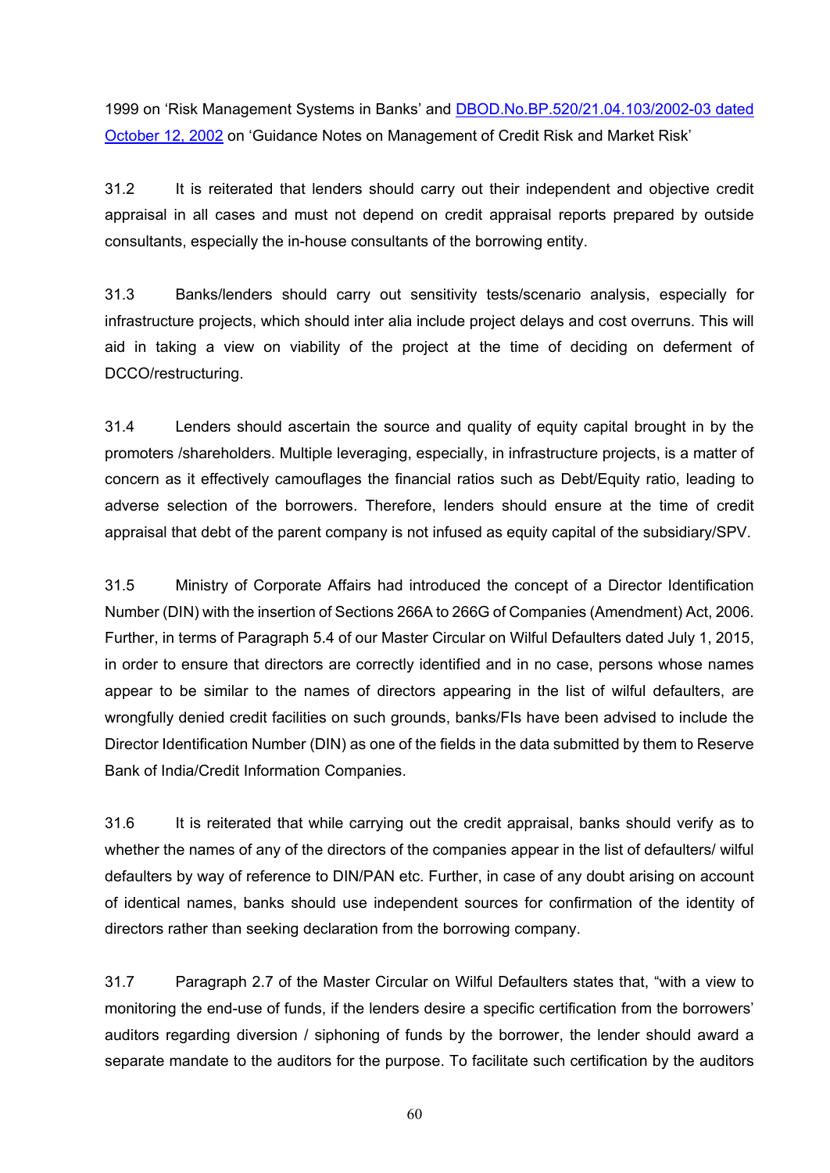1999 on 'Risk Management Systems in Banks' and [DBOD.No.BP.520/21.04.103/2002-03 dated](https://www.rbi.org.in/scripts/NotificationUser.aspx?Id=905&Mode=0)  [October 12, 2002](https://www.rbi.org.in/scripts/NotificationUser.aspx?Id=905&Mode=0) on 'Guidance Notes on Management of Credit Risk and Market Risk'

31.2 It is reiterated that lenders should carry out their independent and objective credit appraisal in all cases and must not depend on credit appraisal reports prepared by outside consultants, especially the in-house consultants of the borrowing entity.

31.3 Banks/lenders should carry out sensitivity tests/scenario analysis, especially for infrastructure projects, which should inter alia include project delays and cost overruns. This will aid in taking a view on viability of the project at the time of deciding on deferment of DCCO/restructuring.

31.4 Lenders should ascertain the source and quality of equity capital brought in by the promoters /shareholders. Multiple leveraging, especially, in infrastructure projects, is a matter of concern as it effectively camouflages the financial ratios such as Debt/Equity ratio, leading to adverse selection of the borrowers. Therefore, lenders should ensure at the time of credit appraisal that debt of the parent company is not infused as equity capital of the subsidiary/SPV.

31.5 Ministry of Corporate Affairs had introduced the concept of a Director Identification Number (DIN) with the insertion of Sections 266A to 266G of Companies (Amendment) Act, 2006. Further, in terms of Paragraph 5.4 of our Master Circular on Wilful Defaulters dated July 1, 2015, in order to ensure that directors are correctly identified and in no case, persons whose names appear to be similar to the names of directors appearing in the list of wilful defaulters, are wrongfully denied credit facilities on such grounds, banks/FIs have been advised to include the Director Identification Number (DIN) as one of the fields in the data submitted by them to Reserve Bank of India/Credit Information Companies.

31.6 It is reiterated that while carrying out the credit appraisal, banks should verify as to whether the names of any of the directors of the companies appear in the list of defaulters/ wilful defaulters by way of reference to DIN/PAN etc. Further, in case of any doubt arising on account of identical names, banks should use independent sources for confirmation of the identity of directors rather than seeking declaration from the borrowing company.

31.7 Paragraph 2.7 of the Master Circular on Wilful Defaulters states that, "with a view to monitoring the end-use of funds, if the lenders desire a specific certification from the borrowers' auditors regarding diversion / siphoning of funds by the borrower, the lender should award a separate mandate to the auditors for the purpose. To facilitate such certification by the auditors

60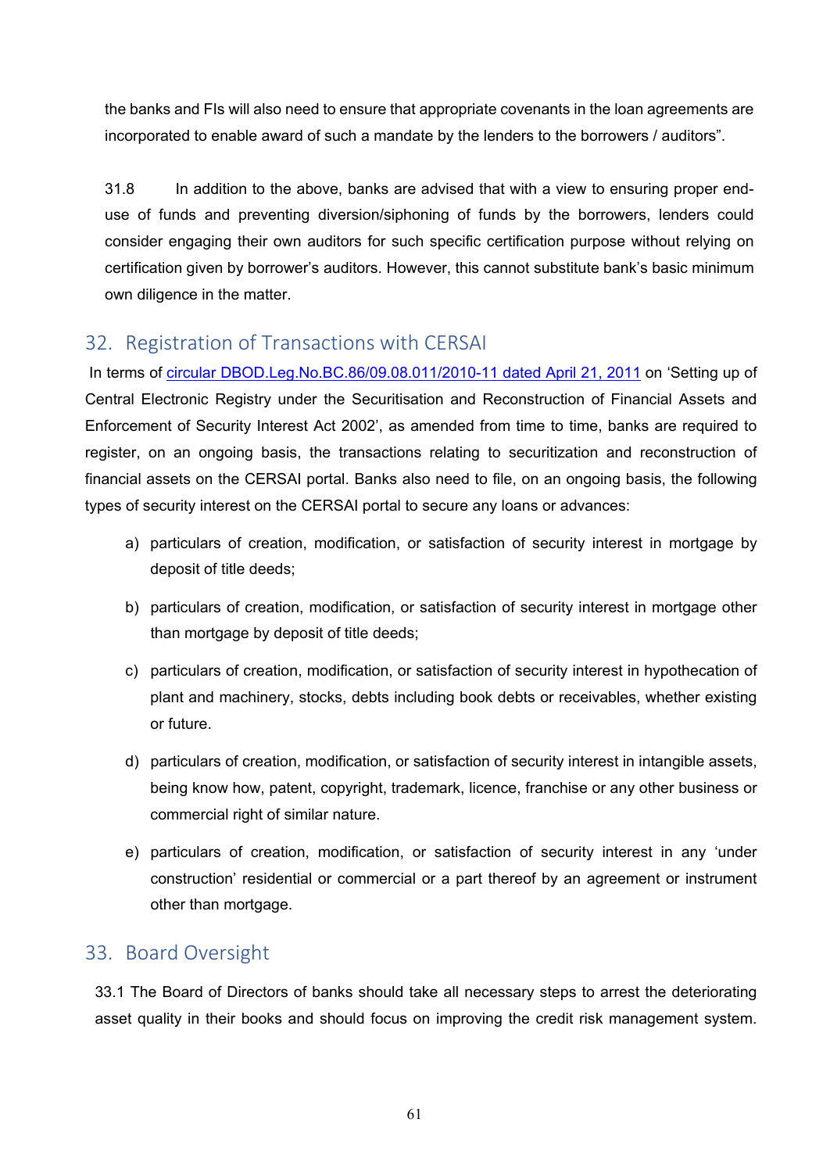the banks and FIs will also need to ensure that appropriate covenants in the loan agreements are incorporated to enable award of such a mandate by the lenders to the borrowers / auditors".

31.8 In addition to the above, banks are advised that with a view to ensuring proper enduse of funds and preventing diversion/siphoning of funds by the borrowers, lenders could consider engaging their own auditors for such specific certification purpose without relying on certification given by borrower's auditors. However, this cannot substitute bank's basic minimum own diligence in the matter.

# 32. Registration of Transactions with CERSAI

In terms of [circular DBOD.Leg.No.BC.86/09.08.011/2010-11 dated April 21, 2011](https://www.rbi.org.in/Scripts/NotificationUser.aspx?Id=6356&Mode=0) on 'Setting up of Central Electronic Registry under the Securitisation and Reconstruction of Financial Assets and Enforcement of Security Interest Act 2002', as amended from time to time, banks are required to register, on an ongoing basis, the transactions relating to securitization and reconstruction of financial assets on the CERSAI portal. Banks also need to file, on an ongoing basis, the following types of security interest on the CERSAI portal to secure any loans or advances:

- a) particulars of creation, modification, or satisfaction of security interest in mortgage by deposit of title deeds;
- b) particulars of creation, modification, or satisfaction of security interest in mortgage other than mortgage by deposit of title deeds;
- c) particulars of creation, modification, or satisfaction of security interest in hypothecation of plant and machinery, stocks, debts including book debts or receivables, whether existing or future.
- d) particulars of creation, modification, or satisfaction of security interest in intangible assets, being know how, patent, copyright, trademark, licence, franchise or any other business or commercial right of similar nature.
- e) particulars of creation, modification, or satisfaction of security interest in any 'under construction' residential or commercial or a part thereof by an agreement or instrument other than mortgage.

# 33. Board Oversight

33.1 The Board of Directors of banks should take all necessary steps to arrest the deteriorating asset quality in their books and should focus on improving the credit risk management system.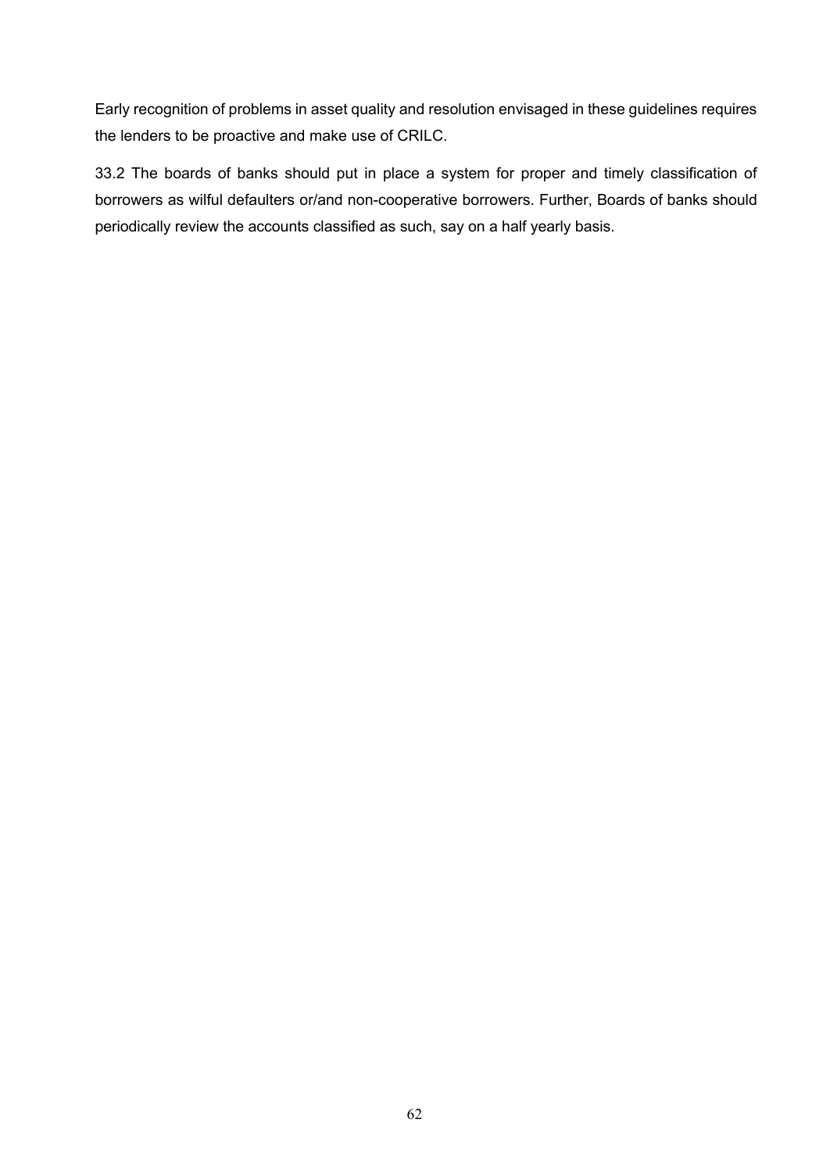Early recognition of problems in asset quality and resolution envisaged in these guidelines requires the lenders to be proactive and make use of CRILC.

33.2 The boards of banks should put in place a system for proper and timely classification of borrowers as wilful defaulters or/and non-cooperative borrowers. Further, Boards of banks should periodically review the accounts classified as such, say on a half yearly basis.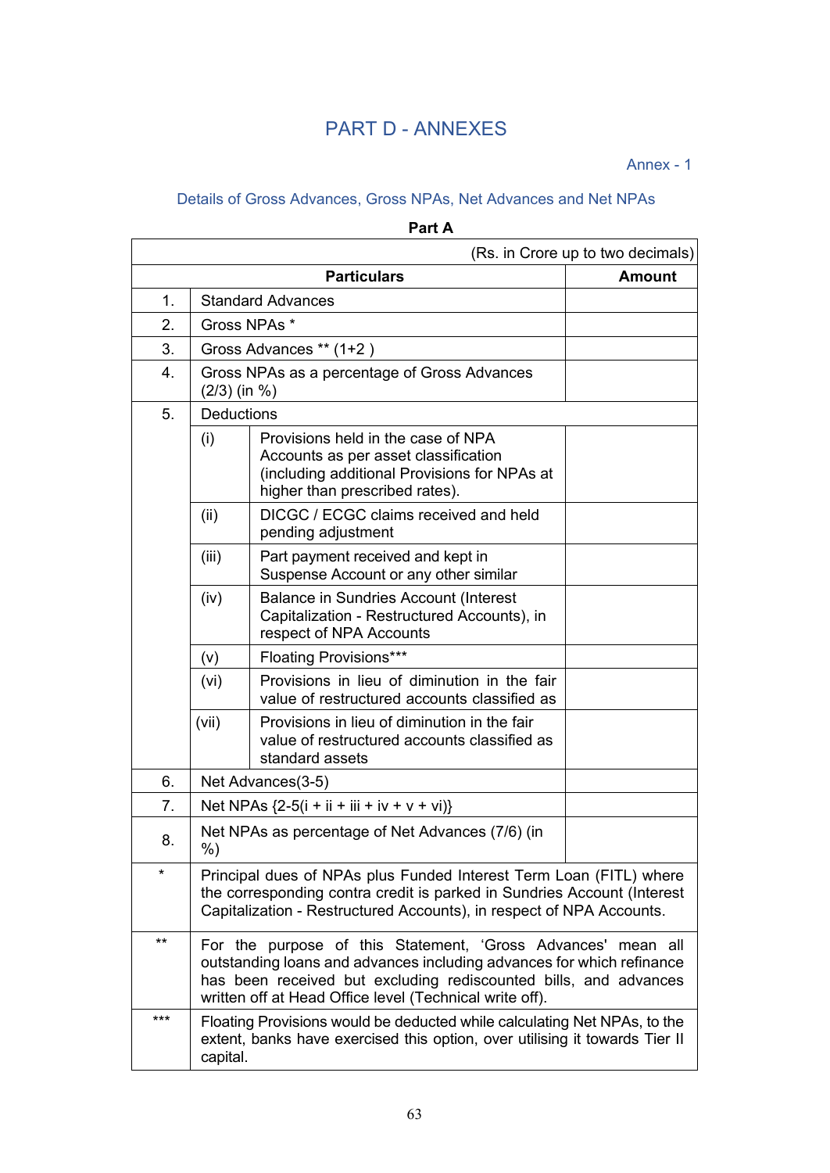# PART D - ANNEXES

Annex - 1

# Details of Gross Advances, Gross NPAs, Net Advances and Net NPAs

|                                   |                                                                                                                                                                                                                                                                      | Part A                                                                                                                 |               |
|-----------------------------------|----------------------------------------------------------------------------------------------------------------------------------------------------------------------------------------------------------------------------------------------------------------------|------------------------------------------------------------------------------------------------------------------------|---------------|
| (Rs. in Crore up to two decimals) |                                                                                                                                                                                                                                                                      |                                                                                                                        |               |
|                                   |                                                                                                                                                                                                                                                                      | <b>Particulars</b>                                                                                                     | <b>Amount</b> |
| 1.                                | <b>Standard Advances</b>                                                                                                                                                                                                                                             |                                                                                                                        |               |
| 2.                                | Gross NPAs *                                                                                                                                                                                                                                                         |                                                                                                                        |               |
| 3.                                |                                                                                                                                                                                                                                                                      | Gross Advances ** (1+2)                                                                                                |               |
| 4.                                | (2/3) (in %)                                                                                                                                                                                                                                                         | Gross NPAs as a percentage of Gross Advances                                                                           |               |
| 5.                                | <b>Deductions</b>                                                                                                                                                                                                                                                    |                                                                                                                        |               |
|                                   | Provisions held in the case of NPA<br>(i)<br>Accounts as per asset classification<br>(including additional Provisions for NPAs at<br>higher than prescribed rates).                                                                                                  |                                                                                                                        |               |
|                                   | (ii)                                                                                                                                                                                                                                                                 | DICGC / ECGC claims received and held<br>pending adjustment                                                            |               |
|                                   | (iii)                                                                                                                                                                                                                                                                | Part payment received and kept in<br>Suspense Account or any other similar                                             |               |
|                                   | (iv)                                                                                                                                                                                                                                                                 | <b>Balance in Sundries Account (Interest</b><br>Capitalization - Restructured Accounts), in<br>respect of NPA Accounts |               |
|                                   | (v)                                                                                                                                                                                                                                                                  | <b>Floating Provisions***</b>                                                                                          |               |
|                                   | (vi)                                                                                                                                                                                                                                                                 | Provisions in lieu of diminution in the fair<br>value of restructured accounts classified as                           |               |
|                                   | (vii)                                                                                                                                                                                                                                                                | Provisions in lieu of diminution in the fair<br>value of restructured accounts classified as<br>standard assets        |               |
| 6.                                |                                                                                                                                                                                                                                                                      | Net Advances(3-5)                                                                                                      |               |
| 7.                                |                                                                                                                                                                                                                                                                      | Net NPAs $\{2-5(i + ii + iii + iv + v + vi)\}$                                                                         |               |
| 8.                                | %)                                                                                                                                                                                                                                                                   | Net NPAs as percentage of Net Advances (7/6) (in                                                                       |               |
| $\star$                           | Principal dues of NPAs plus Funded Interest Term Loan (FITL) where<br>the corresponding contra credit is parked in Sundries Account (Interest<br>Capitalization - Restructured Accounts), in respect of NPA Accounts.                                                |                                                                                                                        |               |
| $***$                             | For the purpose of this Statement, 'Gross Advances' mean all<br>outstanding loans and advances including advances for which refinance<br>has been received but excluding rediscounted bills, and advances<br>written off at Head Office level (Technical write off). |                                                                                                                        |               |
| ***                               | Floating Provisions would be deducted while calculating Net NPAs, to the<br>extent, banks have exercised this option, over utilising it towards Tier II<br>capital.                                                                                                  |                                                                                                                        |               |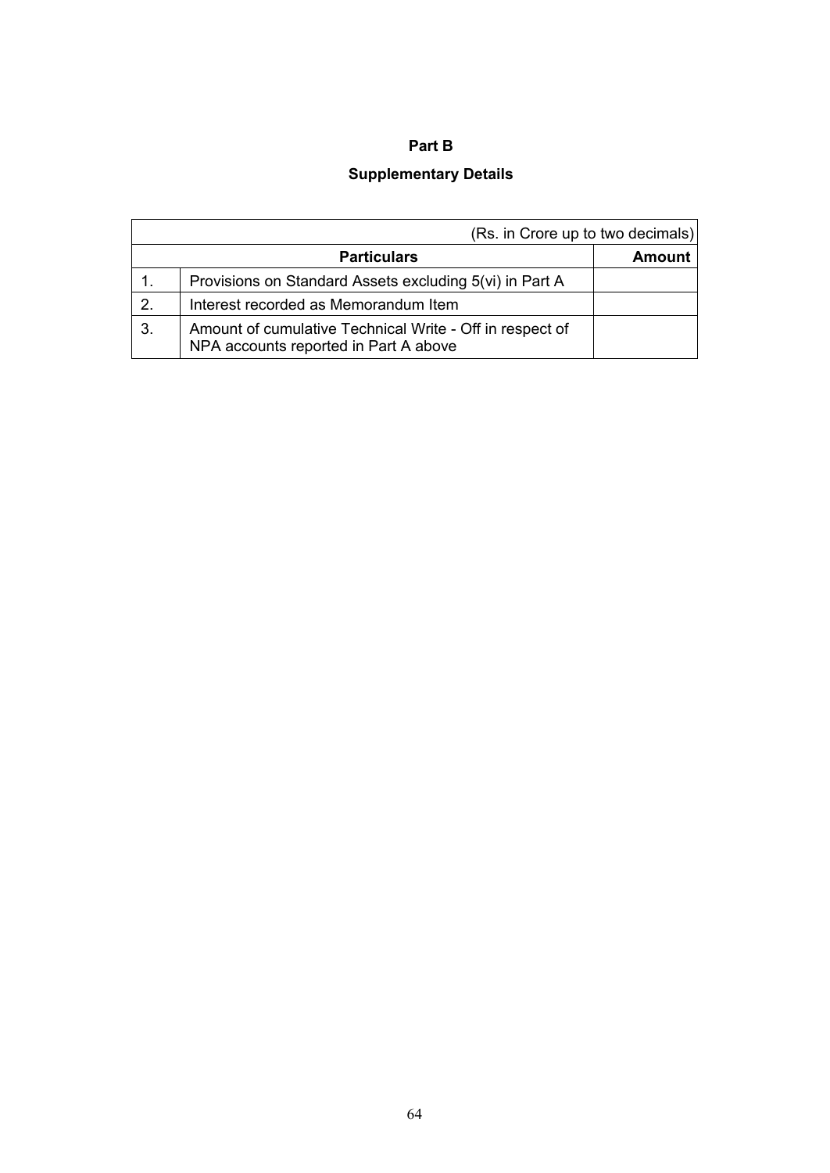## **Part B**

## **Supplementary Details**

|    | (Rs. in Crore up to two decimals)                                                                 |               |
|----|---------------------------------------------------------------------------------------------------|---------------|
|    | <b>Particulars</b>                                                                                | <b>Amount</b> |
|    | Provisions on Standard Assets excluding 5(vi) in Part A                                           |               |
| 2. | Interest recorded as Memorandum Item                                                              |               |
| 3. | Amount of cumulative Technical Write - Off in respect of<br>NPA accounts reported in Part A above |               |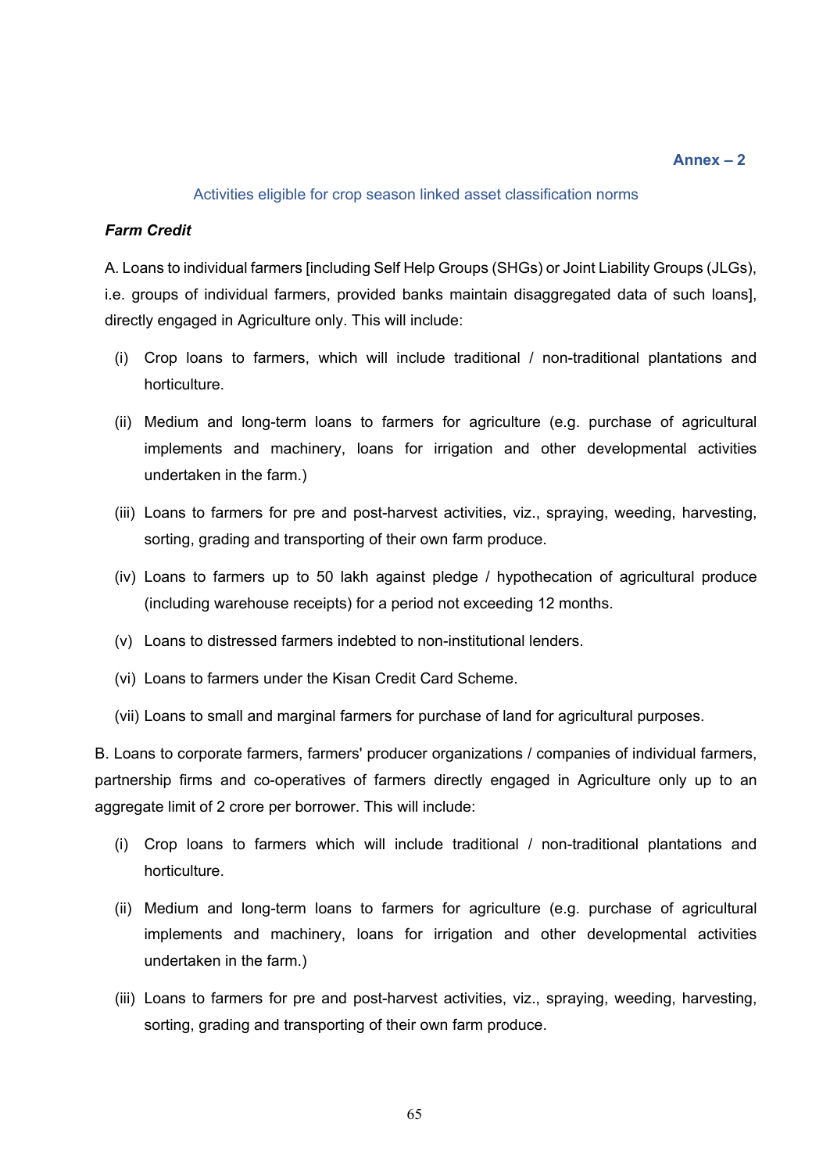#### **Annex – 2**

#### Activities eligible for crop season linked asset classification norms

#### *Farm Credit*

A. Loans to individual farmers [including Self Help Groups (SHGs) or Joint Liability Groups (JLGs), i.e. groups of individual farmers, provided banks maintain disaggregated data of such loans], directly engaged in Agriculture only. This will include:

- (i) Crop loans to farmers, which will include traditional / non-traditional plantations and horticulture.
- (ii) Medium and long-term loans to farmers for agriculture (e.g. purchase of agricultural implements and machinery, loans for irrigation and other developmental activities undertaken in the farm.)
- (iii) Loans to farmers for pre and post-harvest activities, viz., spraying, weeding, harvesting, sorting, grading and transporting of their own farm produce.
- (iv) Loans to farmers up to 50 lakh against pledge / hypothecation of agricultural produce (including warehouse receipts) for a period not exceeding 12 months.
- (v) Loans to distressed farmers indebted to non-institutional lenders.
- (vi) Loans to farmers under the Kisan Credit Card Scheme.
- (vii) Loans to small and marginal farmers for purchase of land for agricultural purposes.

B. Loans to corporate farmers, farmers' producer organizations / companies of individual farmers, partnership firms and co-operatives of farmers directly engaged in Agriculture only up to an aggregate limit of 2 crore per borrower. This will include:

- (i) Crop loans to farmers which will include traditional / non-traditional plantations and horticulture.
- (ii) Medium and long-term loans to farmers for agriculture (e.g. purchase of agricultural implements and machinery, loans for irrigation and other developmental activities undertaken in the farm.)
- (iii) Loans to farmers for pre and post-harvest activities, viz., spraying, weeding, harvesting, sorting, grading and transporting of their own farm produce.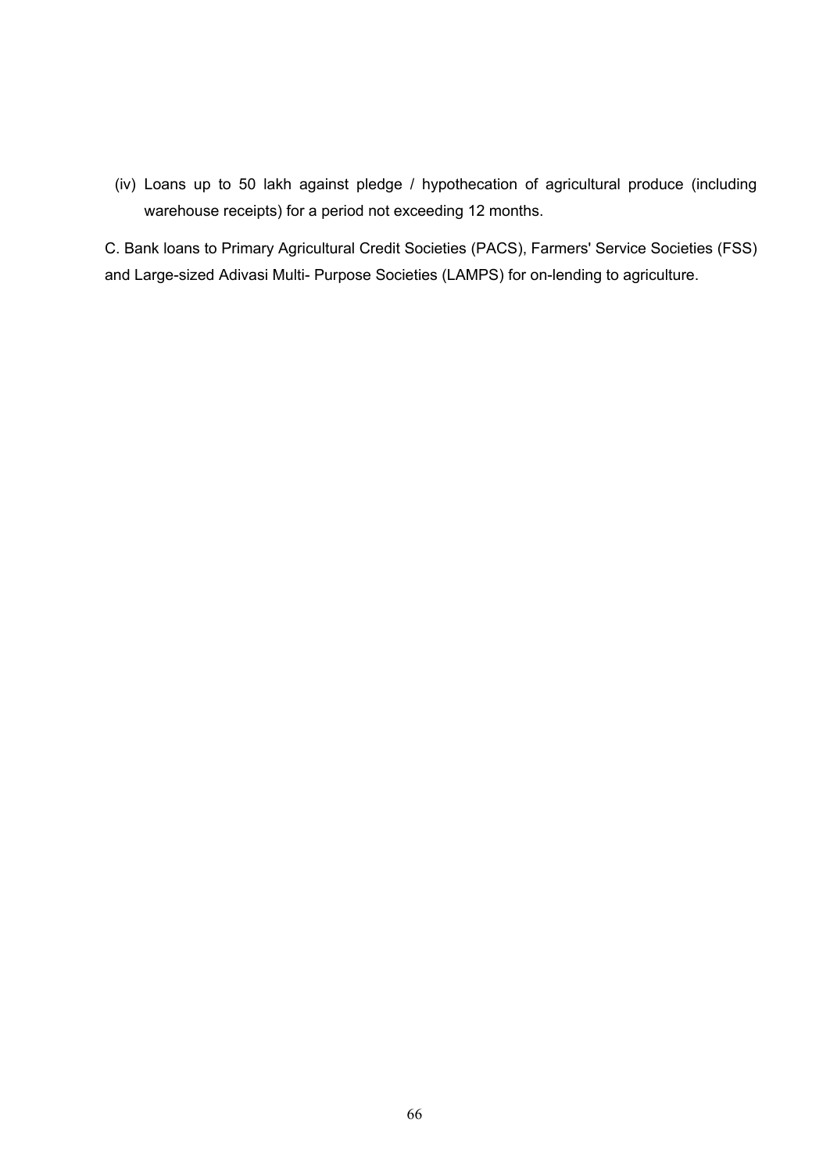(iv) Loans up to 50 lakh against pledge / hypothecation of agricultural produce (including warehouse receipts) for a period not exceeding 12 months.

C. Bank loans to Primary Agricultural Credit Societies (PACS), Farmers' Service Societies (FSS) and Large-sized Adivasi Multi- Purpose Societies (LAMPS) for on-lending to agriculture.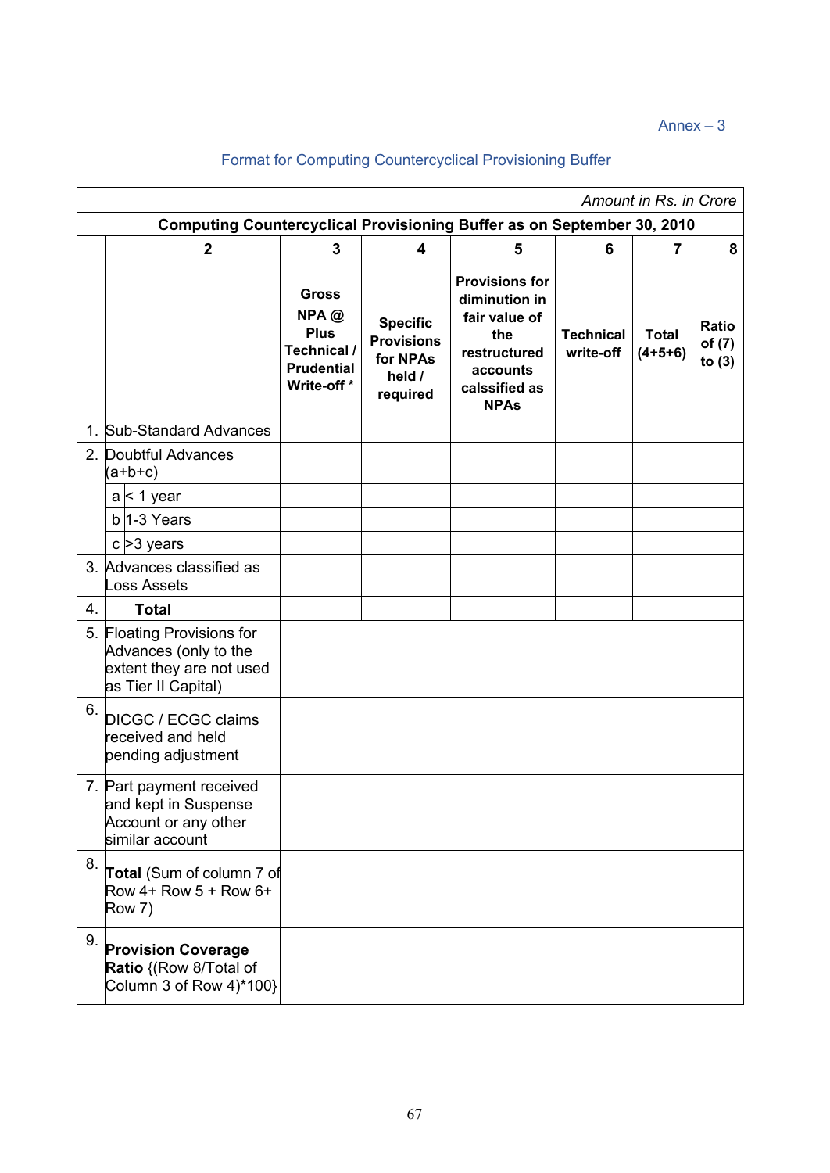# Annex  $-3$

|    |                                                                                                        |                                                                                       |                                                                        |                                                                                                                            |                               | Amount in Rs. in Crore    |                               |
|----|--------------------------------------------------------------------------------------------------------|---------------------------------------------------------------------------------------|------------------------------------------------------------------------|----------------------------------------------------------------------------------------------------------------------------|-------------------------------|---------------------------|-------------------------------|
|    | Computing Countercyclical Provisioning Buffer as on September 30, 2010                                 |                                                                                       |                                                                        |                                                                                                                            |                               |                           |                               |
|    | $\overline{2}$                                                                                         | 3                                                                                     | 4                                                                      | 5                                                                                                                          | 6                             | 7                         | 8                             |
|    |                                                                                                        | <b>Gross</b><br>NPA@<br><b>Plus</b><br>Technical /<br><b>Prudential</b><br>Write-off* | <b>Specific</b><br><b>Provisions</b><br>for NPAs<br>held /<br>required | <b>Provisions for</b><br>diminution in<br>fair value of<br>the<br>restructured<br>accounts<br>calssified as<br><b>NPAs</b> | <b>Technical</b><br>write-off | <b>Total</b><br>$(4+5+6)$ | Ratio<br>of $(7)$<br>to $(3)$ |
|    | 1. Sub-Standard Advances                                                                               |                                                                                       |                                                                        |                                                                                                                            |                               |                           |                               |
|    | 2. Doubtful Advances<br>(a+b+c)                                                                        |                                                                                       |                                                                        |                                                                                                                            |                               |                           |                               |
|    | $a \leq 1$ year                                                                                        |                                                                                       |                                                                        |                                                                                                                            |                               |                           |                               |
|    | $b$ 1-3 Years                                                                                          |                                                                                       |                                                                        |                                                                                                                            |                               |                           |                               |
|    | $c > 3$ years                                                                                          |                                                                                       |                                                                        |                                                                                                                            |                               |                           |                               |
|    | 3. Advances classified as<br><b>Loss Assets</b>                                                        |                                                                                       |                                                                        |                                                                                                                            |                               |                           |                               |
| 4. | <b>Total</b>                                                                                           |                                                                                       |                                                                        |                                                                                                                            |                               |                           |                               |
|    | 5. Floating Provisions for<br>Advances (only to the<br>extent they are not used<br>as Tier II Capital) |                                                                                       |                                                                        |                                                                                                                            |                               |                           |                               |
| 6. | <b>DICGC / ECGC claims</b><br>received and held<br>pending adjustment                                  |                                                                                       |                                                                        |                                                                                                                            |                               |                           |                               |
|    | 7. Part payment received<br>and kept in Suspense<br>Account or any other<br>similar account            |                                                                                       |                                                                        |                                                                                                                            |                               |                           |                               |
| 8. | Total (Sum of column 7 of<br>Row $4+$ Row $5+$ Row $6+$<br>Row 7)                                      |                                                                                       |                                                                        |                                                                                                                            |                               |                           |                               |
| 9. | <b>Provision Coverage</b><br>Ratio {(Row 8/Total of                                                    |                                                                                       |                                                                        |                                                                                                                            |                               |                           |                               |

# Format for Computing Countercyclical Provisioning Buffer

Column 3 of Row 4)\*100}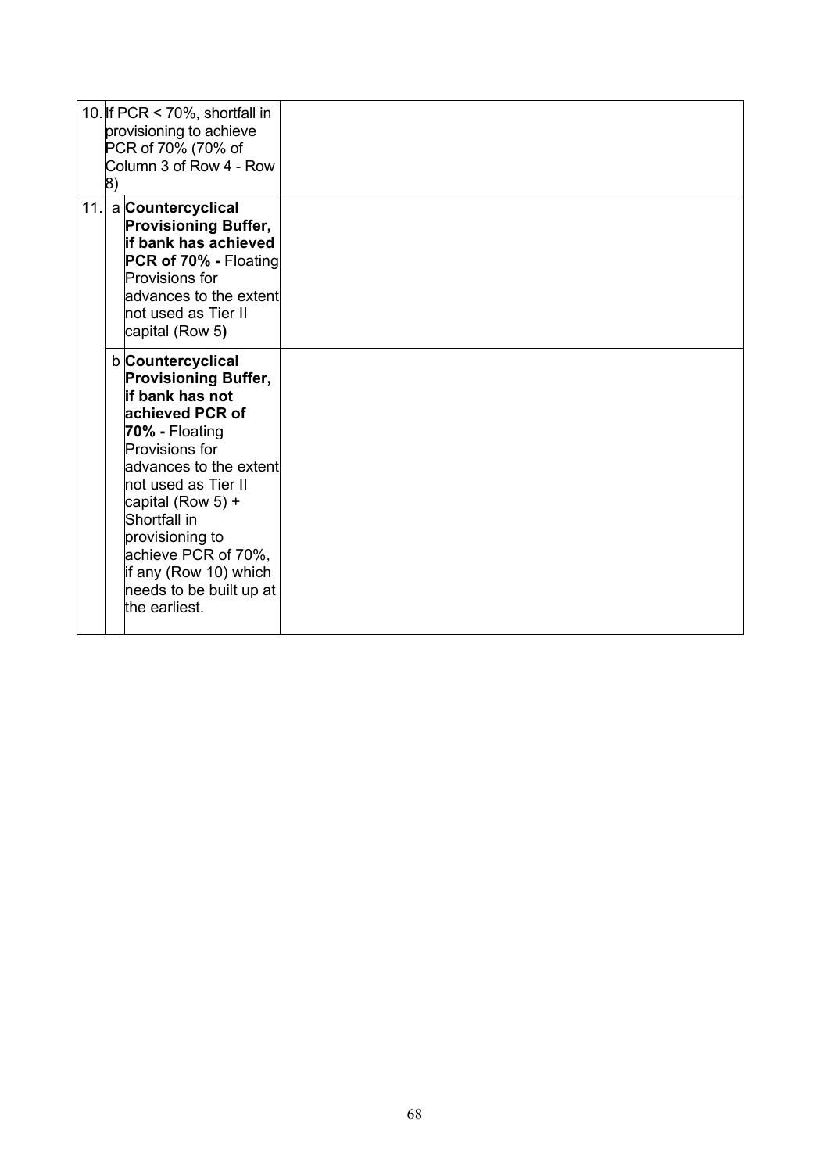|     | 10. If PCR $<$ 70%, shortfall in<br>provisioning to achieve<br>PCR of 70% (70% of<br>Column 3 of Row 4 - Row<br> 8)                                                                                                                                                                                                                 |  |
|-----|-------------------------------------------------------------------------------------------------------------------------------------------------------------------------------------------------------------------------------------------------------------------------------------------------------------------------------------|--|
| 11. | a Countercyclical<br><b>Provisioning Buffer,</b><br>if bank has achieved<br>PCR of 70% - Floating<br><b>Provisions for</b><br>advances to the extent<br>not used as Tier II<br>capital (Row 5)                                                                                                                                      |  |
|     | b Countercyclical<br><b>Provisioning Buffer,</b><br>lif bank has not<br>achieved PCR of<br>$70\%$ - Floating<br>Provisions for<br>advances to the extent<br>not used as Tier II<br>capital (Row 5) +<br>Shortfall in<br>provisioning to<br>achieve PCR of 70%,<br>if any (Row 10) which<br>needs to be built up at<br>the earliest. |  |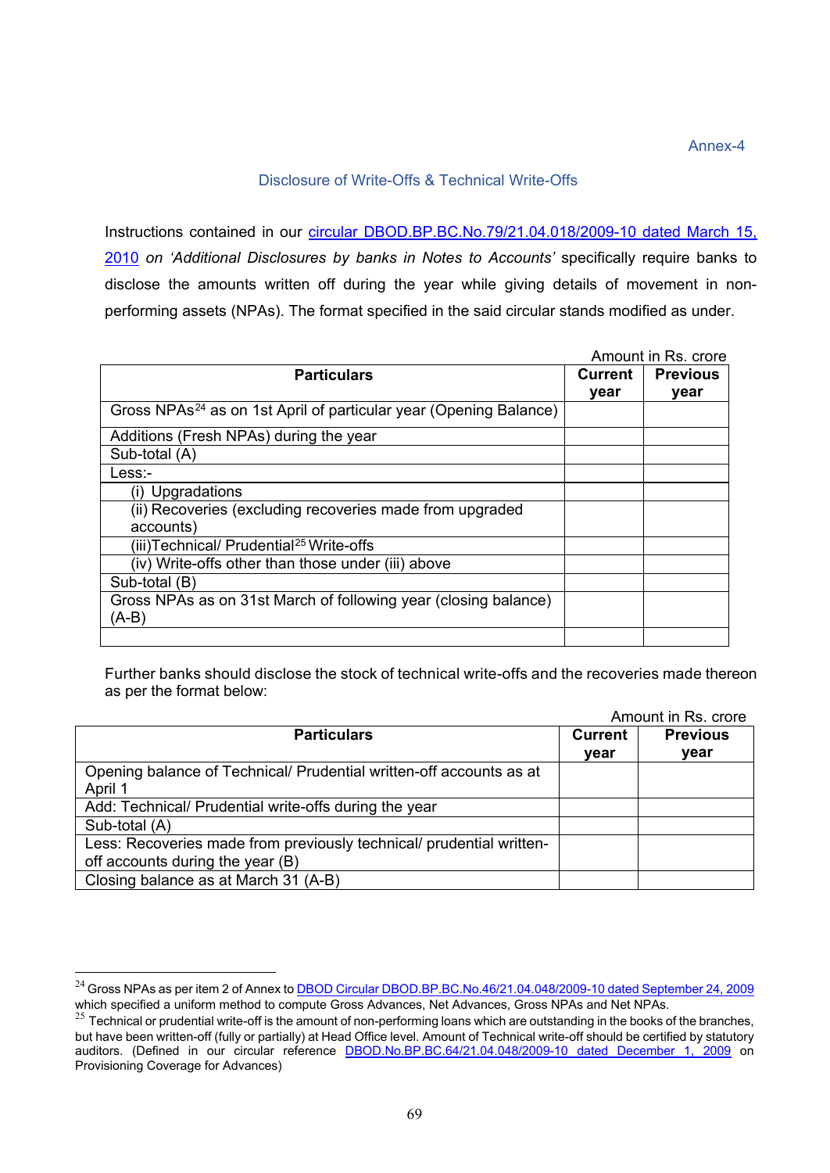### Disclosure of Write-Offs & Technical Write-Offs

Instructions contained in our circular DBOD.BP.BC.No.79/21.04.018/2009-10 dated March 15, [2010](https://www.rbi.org.in/Scripts/NotificationUser.aspx?Id=5533&Mode=0) *on 'Additional Disclosures by banks in Notes to Accounts'* specifically require banks to disclose the amounts written off during the year while giving details of movement in nonperforming assets (NPAs). The format specified in the said circular stands modified as under.

|                                                                               |                | Amount in Rs. crore |
|-------------------------------------------------------------------------------|----------------|---------------------|
| <b>Particulars</b>                                                            | <b>Current</b> | <b>Previous</b>     |
|                                                                               | year           | year                |
| Gross NPAs <sup>24</sup> as on 1st April of particular year (Opening Balance) |                |                     |
| Additions (Fresh NPAs) during the year                                        |                |                     |
| Sub-total (A)                                                                 |                |                     |
| Less:-                                                                        |                |                     |
| (i) Upgradations                                                              |                |                     |
| (ii) Recoveries (excluding recoveries made from upgraded                      |                |                     |
| accounts)                                                                     |                |                     |
| (iii)Technical/ Prudential <sup>25</sup> Write-offs                           |                |                     |
| (iv) Write-offs other than those under (iii) above                            |                |                     |
| Sub-total (B)                                                                 |                |                     |
| Gross NPAs as on 31st March of following year (closing balance)               |                |                     |
| (A-B)                                                                         |                |                     |
|                                                                               |                |                     |

Further banks should disclose the stock of technical write-offs and the recoveries made thereon as per the format below:

|                                                                      |                | Amount in Rs. crore |
|----------------------------------------------------------------------|----------------|---------------------|
| <b>Particulars</b>                                                   | <b>Current</b> | <b>Previous</b>     |
|                                                                      | year           | year                |
| Opening balance of Technical/ Prudential written-off accounts as at  |                |                     |
| April 1                                                              |                |                     |
| Add: Technical/ Prudential write-offs during the year                |                |                     |
| Sub-total (A)                                                        |                |                     |
| Less: Recoveries made from previously technical/ prudential written- |                |                     |
| off accounts during the year (B)                                     |                |                     |
| Closing balance as at March 31 (A-B)                                 |                |                     |

<span id="page-68-0"></span><sup>&</sup>lt;sup>24</sup> Gross NPAs as per item 2 of Annex to **DBOD Circular DBOD.BP.BC.No.46/21.04.048/2009-10 dated September 24, 2009** which specified a uniform method to compute Gross Advances, Net Advances, Gross NPAs and Net NPAs.

<span id="page-68-1"></span> $^{25}$  Technical or prudential write-off is the amount of non-performing loans which are outstanding in the books of the branches, but have been written-off (fully or partially) at Head Office level. Amount of Technical write-off should be certified by statutory auditors. (Defined in our circular reference **DBOD.No.BP.BC.64/21.04.048/2009-10** dated December 1, 2009 on Provisioning Coverage for Advances)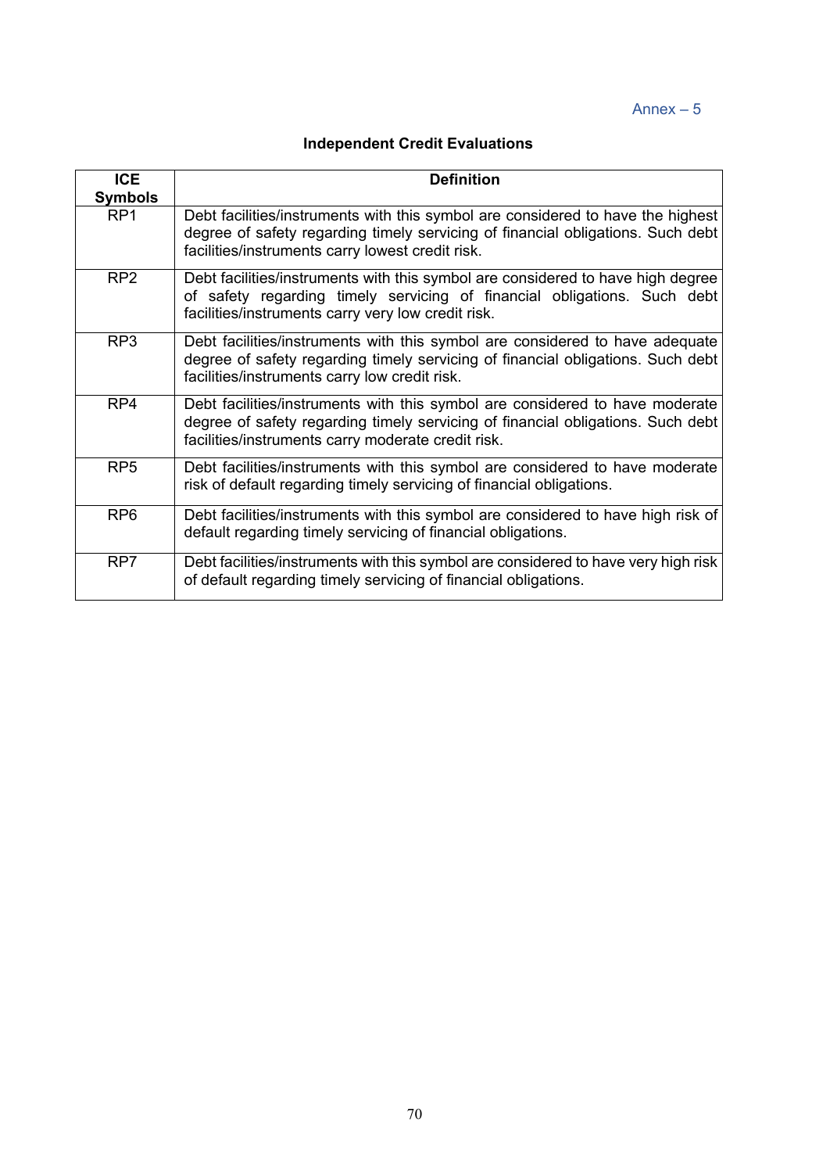### Annex  $-5$

# **Independent Credit Evaluations**

| <b>ICE</b><br><b>Symbols</b> | <b>Definition</b>                                                                                                                                                                                                      |
|------------------------------|------------------------------------------------------------------------------------------------------------------------------------------------------------------------------------------------------------------------|
| RP <sub>1</sub>              | Debt facilities/instruments with this symbol are considered to have the highest<br>degree of safety regarding timely servicing of financial obligations. Such debt<br>facilities/instruments carry lowest credit risk. |
| RP <sub>2</sub>              | Debt facilities/instruments with this symbol are considered to have high degree<br>of safety regarding timely servicing of financial obligations. Such debt<br>facilities/instruments carry very low credit risk.      |
| RP <sub>3</sub>              | Debt facilities/instruments with this symbol are considered to have adequate<br>degree of safety regarding timely servicing of financial obligations. Such debt<br>facilities/instruments carry low credit risk.       |
| RP4                          | Debt facilities/instruments with this symbol are considered to have moderate<br>degree of safety regarding timely servicing of financial obligations. Such debt<br>facilities/instruments carry moderate credit risk.  |
| RP <sub>5</sub>              | Debt facilities/instruments with this symbol are considered to have moderate<br>risk of default regarding timely servicing of financial obligations.                                                                   |
| RP <sub>6</sub>              | Debt facilities/instruments with this symbol are considered to have high risk of<br>default regarding timely servicing of financial obligations.                                                                       |
| RP <sub>7</sub>              | Debt facilities/instruments with this symbol are considered to have very high risk<br>of default regarding timely servicing of financial obligations.                                                                  |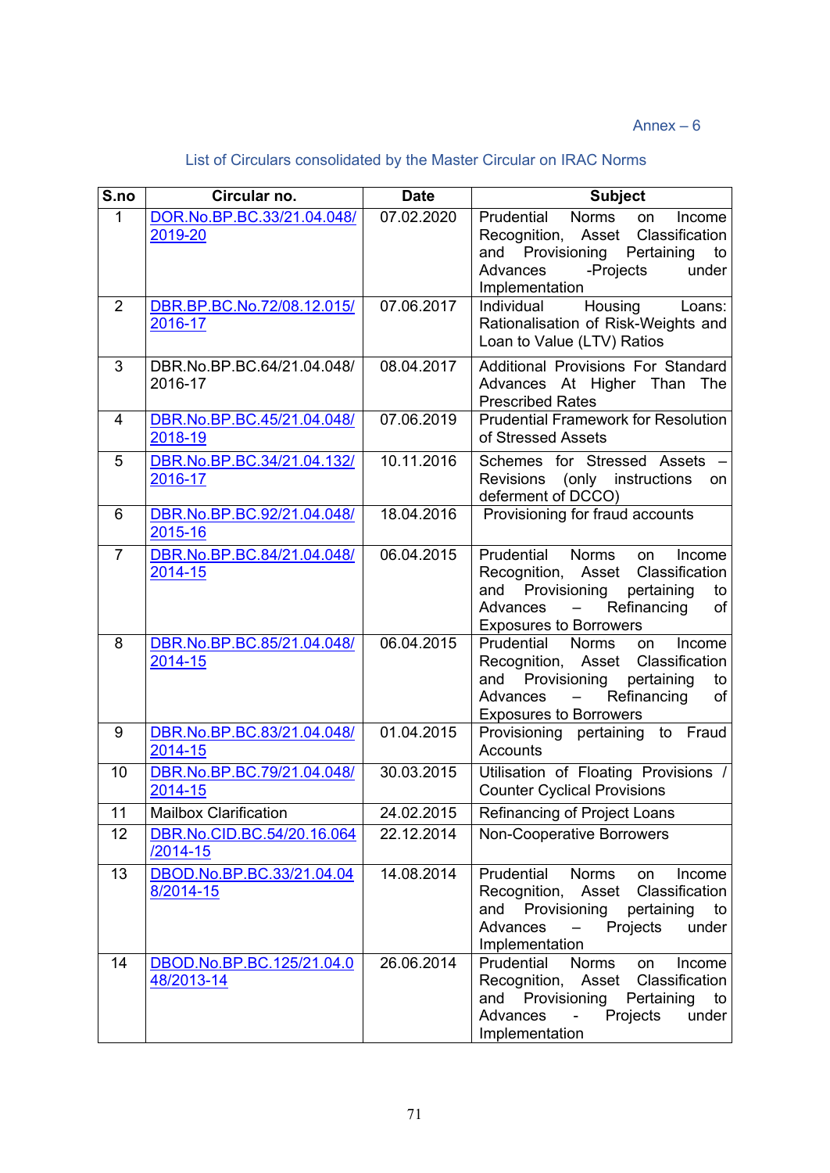## Annex – 6

# List of Circulars consolidated by the Master Circular on IRAC Norms

| S.no           | Circular no.                            | <b>Date</b> | <b>Subject</b>                                                                                                                                                                                                    |
|----------------|-----------------------------------------|-------------|-------------------------------------------------------------------------------------------------------------------------------------------------------------------------------------------------------------------|
| $\mathbf{1}$   | DOR.No.BP.BC.33/21.04.048/<br>2019-20   | 07.02.2020  | Norms<br>Prudential<br>on<br>Income<br>Recognition, Asset Classification<br>and Provisioning Pertaining<br>to<br>-Projects<br>under<br>Advances<br>Implementation                                                 |
| 2              | DBR.BP.BC.No.72/08.12.015/<br>2016-17   | 07.06.2017  | Housing<br>Individual<br>Loans:<br>Rationalisation of Risk-Weights and<br>Loan to Value (LTV) Ratios                                                                                                              |
| 3              | DBR.No.BP.BC.64/21.04.048/<br>2016-17   | 08.04.2017  | Additional Provisions For Standard<br>Advances At Higher Than The<br><b>Prescribed Rates</b>                                                                                                                      |
| 4              | DBR.No.BP.BC.45/21.04.048/<br>2018-19   | 07.06.2019  | <b>Prudential Framework for Resolution</b><br>of Stressed Assets                                                                                                                                                  |
| 5              | DBR.No.BP.BC.34/21.04.132/<br>2016-17   | 10.11.2016  | Schemes for Stressed Assets<br>Revisions (only instructions<br>on<br>deferment of DCCO)                                                                                                                           |
| 6              | DBR.No.BP.BC.92/21.04.048/<br>2015-16   | 18.04.2016  | Provisioning for fraud accounts                                                                                                                                                                                   |
| $\overline{7}$ | DBR.No.BP.BC.84/21.04.048/<br>2014-15   | 06.04.2015  | Prudential<br>Norms<br>Income<br>on<br>Recognition, Asset Classification<br>pertaining<br>Provisioning<br>and<br>to<br>Refinancing<br>of<br>Advances<br>$\overline{\phantom{0}}$<br><b>Exposures to Borrowers</b> |
| 8              | DBR.No.BP.BC.85/21.04.048/<br>2014-15   | 06.04.2015  | Prudential<br>Norms<br>Income<br>on<br>Recognition, Asset Classification<br>and Provisioning pertaining<br>to<br>Refinancing<br>of<br>Advances<br>$\qquad \qquad -$<br><b>Exposures to Borrowers</b>              |
| 9              | DBR.No.BP.BC.83/21.04.048/<br>2014-15   | 01.04.2015  | Provisioning pertaining to Fraud<br>Accounts                                                                                                                                                                      |
| 10             | DBR.No.BP.BC.79/21.04.048/<br>2014-15   | 30.03.2015  | Utilisation of Floating Provisions /<br><b>Counter Cyclical Provisions</b>                                                                                                                                        |
| 11             | Mailbox Clarification                   | 24.02.2015  | Refinancing of Project Loans                                                                                                                                                                                      |
| 12             | DBR.No.CID.BC.54/20.16.064<br>/2014-15  | 22.12.2014  | <b>Non-Cooperative Borrowers</b>                                                                                                                                                                                  |
| 13             | DBOD.No.BP.BC.33/21.04.04<br>8/2014-15  | 14.08.2014  | Prudential<br><b>Norms</b><br>Income<br>on<br>Recognition,<br>Classification<br>Asset<br>Provisioning<br>and<br>pertaining<br>to<br>Advances<br>Projects<br>under<br>$\overline{\phantom{m}}$<br>Implementation   |
| 14             | DBOD.No.BP.BC.125/21.04.0<br>48/2013-14 | 26.06.2014  | <b>Norms</b><br>Prudential<br>Income<br>on<br>Recognition,<br>Asset<br>Classification<br>Provisioning<br>Pertaining<br>and<br>to<br>Advances<br>Projects<br>under<br>$\blacksquare$<br>Implementation             |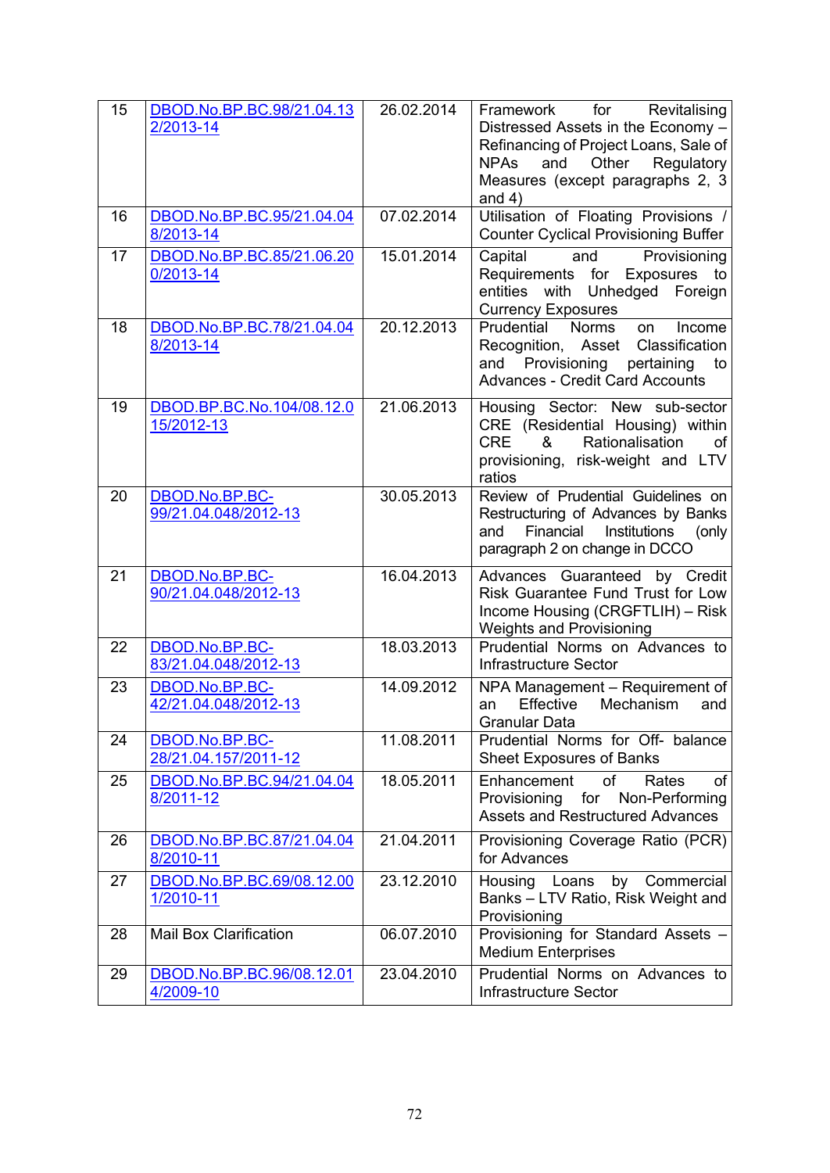| 15 | DBOD.No.BP.BC.98/21.04.13<br>2/2013-14     | 26.02.2014 | for<br>Framework<br>Revitalising<br>Distressed Assets in the Economy -<br>Refinancing of Project Loans, Sale of<br>Other<br>Regulatory<br><b>NPAs</b><br>and<br>Measures (except paragraphs 2, 3<br>and $4)$ |
|----|--------------------------------------------|------------|--------------------------------------------------------------------------------------------------------------------------------------------------------------------------------------------------------------|
| 16 | DBOD.No.BP.BC.95/21.04.04<br>8/2013-14     | 07.02.2014 | Utilisation of Floating Provisions /<br><b>Counter Cyclical Provisioning Buffer</b>                                                                                                                          |
| 17 | DBOD.No.BP.BC.85/21.06.20<br>$0/2013 - 14$ | 15.01.2014 | Capital<br>Provisioning<br>and<br>Requirements for Exposures to<br>entities with<br>Unhedged Foreign<br><b>Currency Exposures</b>                                                                            |
| 18 | DBOD.No.BP.BC.78/21.04.04<br>8/2013-14     | 20.12.2013 | Prudential<br><b>Norms</b><br>Income<br>on<br>Recognition, Asset<br>Classification<br>Provisioning pertaining<br>and<br>to<br><b>Advances - Credit Card Accounts</b>                                         |
| 19 | DBOD.BP.BC.No.104/08.12.0<br>15/2012-13    | 21.06.2013 | Housing Sector: New sub-sector<br>CRE (Residential Housing) within<br>Rationalisation<br><b>CRE</b><br>$\boldsymbol{\alpha}$<br>of<br>provisioning, risk-weight and LTV<br>ratios                            |
| 20 | DBOD.No.BP.BC-<br>99/21.04.048/2012-13     | 30.05.2013 | Review of Prudential Guidelines on<br>Restructuring of Advances by Banks<br>Institutions<br>Financial<br>and<br>(only<br>paragraph 2 on change in DCCO                                                       |
| 21 | DBOD.No.BP.BC-<br>90/21.04.048/2012-13     | 16.04.2013 | Advances Guaranteed by Credit<br>Risk Guarantee Fund Trust for Low<br>Income Housing (CRGFTLIH) - Risk<br><b>Weights and Provisioning</b>                                                                    |
| 22 | DBOD.No.BP.BC-<br>83/21.04.048/2012-13     | 18.03.2013 | Prudential Norms on Advances to<br><b>Infrastructure Sector</b>                                                                                                                                              |
| 23 | DBOD.No.BP.BC-<br>42/21.04.048/2012-13     | 14.09.2012 | NPA Management - Requirement of<br>Effective<br>Mechanism<br>and<br>an<br>Granular Data                                                                                                                      |
| 24 | DBOD.No.BP.BC-<br>28/21.04.157/2011-12     | 11.08.2011 | Prudential Norms for Off- balance<br><b>Sheet Exposures of Banks</b>                                                                                                                                         |
| 25 | DBOD.No.BP.BC.94/21.04.04<br>8/2011-12     | 18.05.2011 | of<br>Enhancement<br>Rates<br>of<br>Provisioning for Non-Performing<br><b>Assets and Restructured Advances</b>                                                                                               |
| 26 | DBOD.No.BP.BC.87/21.04.04<br>8/2010-11     | 21.04.2011 | Provisioning Coverage Ratio (PCR)<br>for Advances                                                                                                                                                            |
| 27 | DBOD.No.BP.BC.69/08.12.00<br>1/2010-11     | 23.12.2010 | Housing Loans<br>by Commercial<br>Banks - LTV Ratio, Risk Weight and<br>Provisioning                                                                                                                         |
| 28 | <b>Mail Box Clarification</b>              | 06.07.2010 | Provisioning for Standard Assets -<br><b>Medium Enterprises</b>                                                                                                                                              |
| 29 | DBOD.No.BP.BC.96/08.12.01<br>4/2009-10     | 23.04.2010 | Prudential Norms on Advances to<br>Infrastructure Sector                                                                                                                                                     |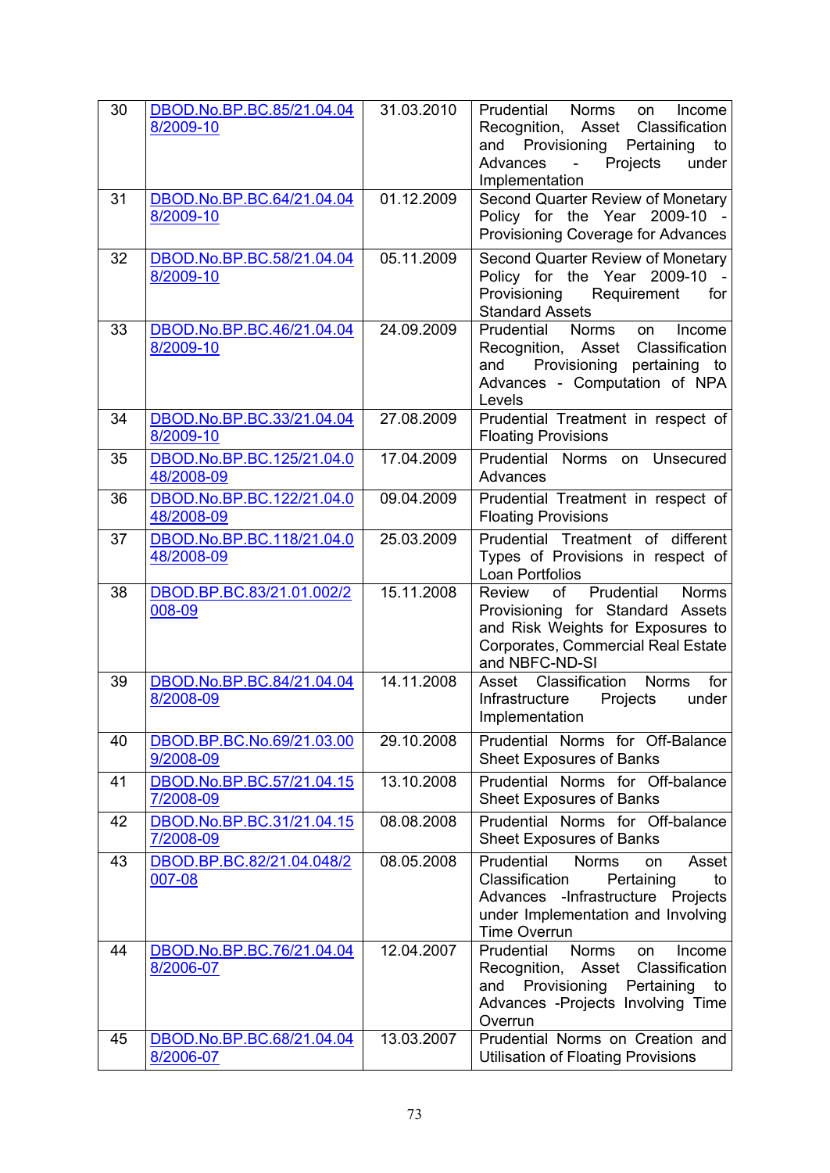| 30 | DBOD.No.BP.BC.85/21.04.04<br>8/2009-10  | 31.03.2010 | Prudential<br><b>Norms</b><br>Income<br><b>on</b><br>Classification<br>Recognition, Asset<br>Provisioning Pertaining<br>and<br>to<br>Projects<br>$\omega_{\rm{max}}$<br>under<br>Advances<br>Implementation |
|----|-----------------------------------------|------------|-------------------------------------------------------------------------------------------------------------------------------------------------------------------------------------------------------------|
| 31 | DBOD.No.BP.BC.64/21.04.04<br>8/2009-10  | 01.12.2009 | Second Quarter Review of Monetary<br>Policy for the Year 2009-10<br>Provisioning Coverage for Advances                                                                                                      |
| 32 | DBOD.No.BP.BC.58/21.04.04<br>8/2009-10  | 05.11.2009 | Second Quarter Review of Monetary<br>Policy for the Year 2009-10<br>Provisioning<br>Requirement<br>for<br><b>Standard Assets</b>                                                                            |
| 33 | DBOD.No.BP.BC.46/21.04.04<br>8/2009-10  | 24.09.2009 | Prudential<br>Income<br>Norms<br>on<br>Recognition, Asset Classification<br>Provisioning pertaining to<br>and<br>Advances - Computation of NPA<br>Levels                                                    |
| 34 | DBOD.No.BP.BC.33/21.04.04<br>8/2009-10  | 27.08.2009 | Prudential Treatment in respect of<br><b>Floating Provisions</b>                                                                                                                                            |
| 35 | DBOD.No.BP.BC.125/21.04.0<br>48/2008-09 | 17.04.2009 | Prudential Norms on Unsecured<br>Advances                                                                                                                                                                   |
| 36 | DBOD.No.BP.BC.122/21.04.0<br>48/2008-09 | 09.04.2009 | Prudential Treatment in respect of<br><b>Floating Provisions</b>                                                                                                                                            |
| 37 | DBOD.No.BP.BC.118/21.04.0<br>48/2008-09 | 25.03.2009 | Prudential Treatment of different<br>Types of Provisions in respect of<br>Loan Portfolios                                                                                                                   |
| 38 | DBOD.BP.BC.83/21.01.002/2<br>008-09     | 15.11.2008 | Prudential<br>of<br><b>Review</b><br><b>Norms</b><br>Provisioning for Standard Assets<br>and Risk Weights for Exposures to<br>Corporates, Commercial Real Estate<br>and NBFC-ND-SI                          |
| 39 | DBOD.No.BP.BC.84/21.04.04<br>8/2008-09  | 14.11.2008 | Asset Classification<br><b>Norms</b><br>for<br>Projects<br>Infrastructure<br>under<br>Implementation                                                                                                        |
| 40 | DBOD.BP.BC.No.69/21.03.00<br>9/2008-09  | 29.10.2008 | Prudential Norms for Off-Balance<br><b>Sheet Exposures of Banks</b>                                                                                                                                         |
| 41 | DBOD.No.BP.BC.57/21.04.15<br>7/2008-09  | 13.10.2008 | Prudential Norms for Off-balance<br><b>Sheet Exposures of Banks</b>                                                                                                                                         |
| 42 | DBOD.No.BP.BC.31/21.04.15<br>7/2008-09  | 08.08.2008 | Prudential Norms for Off-balance<br><b>Sheet Exposures of Banks</b>                                                                                                                                         |
| 43 | DBOD.BP.BC.82/21.04.048/2<br>007-08     | 08.05.2008 | Prudential<br><b>Norms</b><br>Asset<br>on<br>Classification<br>Pertaining<br>to<br>Advances - Infrastructure Projects<br>under Implementation and Involving<br><b>Time Overrun</b>                          |
| 44 | DBOD.No.BP.BC.76/21.04.04<br>8/2006-07  | 12.04.2007 | Prudential<br><b>Norms</b><br>Income<br>on<br>Recognition, Asset Classification<br>and Provisioning Pertaining<br>to<br>Advances - Projects Involving Time<br>Overrun                                       |
| 45 | DBOD.No.BP.BC.68/21.04.04<br>8/2006-07  | 13.03.2007 | Prudential Norms on Creation and<br><b>Utilisation of Floating Provisions</b>                                                                                                                               |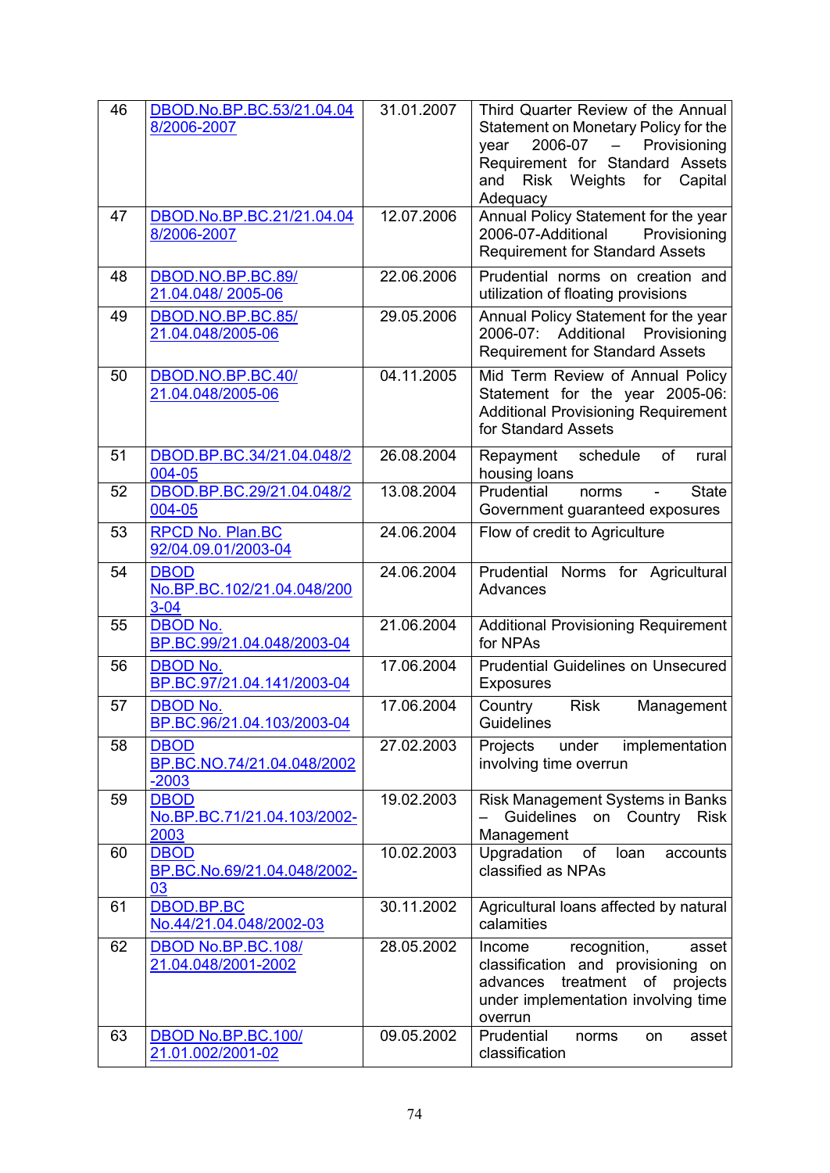| 46 | DBOD.No.BP.BC.53/21.04.04<br>8/2006-2007              | 31.01.2007 | Third Quarter Review of the Annual<br>Statement on Monetary Policy for the<br>2006-07<br>$-$<br>Provisioning<br>year<br>Requirement for Standard Assets<br>Risk Weights for<br>Capital<br>and<br>Adequacy |
|----|-------------------------------------------------------|------------|-----------------------------------------------------------------------------------------------------------------------------------------------------------------------------------------------------------|
| 47 | DBOD.No.BP.BC.21/21.04.04<br>8/2006-2007              | 12.07.2006 | Annual Policy Statement for the year<br>2006-07-Additional<br>Provisioning<br><b>Requirement for Standard Assets</b>                                                                                      |
| 48 | DBOD.NO.BP.BC.89/<br>21.04.048/2005-06                | 22.06.2006 | Prudential norms on creation and<br>utilization of floating provisions                                                                                                                                    |
| 49 | DBOD.NO.BP.BC.85/<br>21.04.048/2005-06                | 29.05.2006 | Annual Policy Statement for the year<br>Additional Provisioning<br>2006-07:<br><b>Requirement for Standard Assets</b>                                                                                     |
| 50 | DBOD.NO.BP.BC.40/<br>21.04.048/2005-06                | 04.11.2005 | Mid Term Review of Annual Policy<br>Statement for the year 2005-06:<br><b>Additional Provisioning Requirement</b><br>for Standard Assets                                                                  |
| 51 | DBOD.BP.BC.34/21.04.048/2<br>004-05                   | 26.08.2004 | schedule<br>Repayment<br>of<br>rural<br>housing loans                                                                                                                                                     |
| 52 | DBOD.BP.BC.29/21.04.048/2<br>004-05                   | 13.08.2004 | Prudential<br><b>State</b><br>norms<br>Government guaranteed exposures                                                                                                                                    |
| 53 | RPCD No. Plan.BC<br>92/04.09.01/2003-04               | 24.06.2004 | Flow of credit to Agriculture                                                                                                                                                                             |
| 54 | <b>DBOD</b><br>No.BP.BC.102/21.04.048/200<br>$3 - 04$ | 24.06.2004 | Prudential Norms for Agricultural<br>Advances                                                                                                                                                             |
| 55 | <b>DBOD No.</b><br>BP.BC.99/21.04.048/2003-04         | 21.06.2004 | <b>Additional Provisioning Requirement</b><br>for NPAs                                                                                                                                                    |
| 56 | <b>DBOD No.</b><br>BP.BC.97/21.04.141/2003-04         | 17.06.2004 | <b>Prudential Guidelines on Unsecured</b><br>Exposures                                                                                                                                                    |
| 57 | <b>DBOD No.</b><br>BP.BC.96/21.04.103/2003-04         | 17.06.2004 | <b>Risk</b><br>Country<br>Management<br>Guidelines                                                                                                                                                        |
| 58 | <b>DBOD</b><br>BP.BC.NO.74/21.04.048/2002<br>$-2003$  | 27.02.2003 | implementation<br>Projects<br>under<br>involving time overrun                                                                                                                                             |
| 59 | <b>DBOD</b><br>No.BP.BC.71/21.04.103/2002-<br>2003    | 19.02.2003 | Risk Management Systems in Banks<br><b>Guidelines</b><br>on Country<br><b>Risk</b><br>Management                                                                                                          |
| 60 | <b>DBOD</b><br>BP.BC.No.69/21.04.048/2002-<br>03      | 10.02.2003 | Upgradation<br>of<br>loan<br>accounts<br>classified as NPAs                                                                                                                                               |
| 61 | DBOD.BP.BC<br>No.44/21.04.048/2002-03                 | 30.11.2002 | Agricultural loans affected by natural<br>calamities                                                                                                                                                      |
| 62 | DBOD No.BP.BC.108/<br>21.04.048/2001-2002             | 28.05.2002 | recognition,<br>Income<br>asset<br>classification and provisioning on<br>treatment<br>of<br>advances<br>projects<br>under implementation involving time<br>overrun                                        |
| 63 | DBOD No.BP.BC.100/<br>21.01.002/2001-02               | 09.05.2002 | Prudential<br>norms<br>asset<br>on<br>classification                                                                                                                                                      |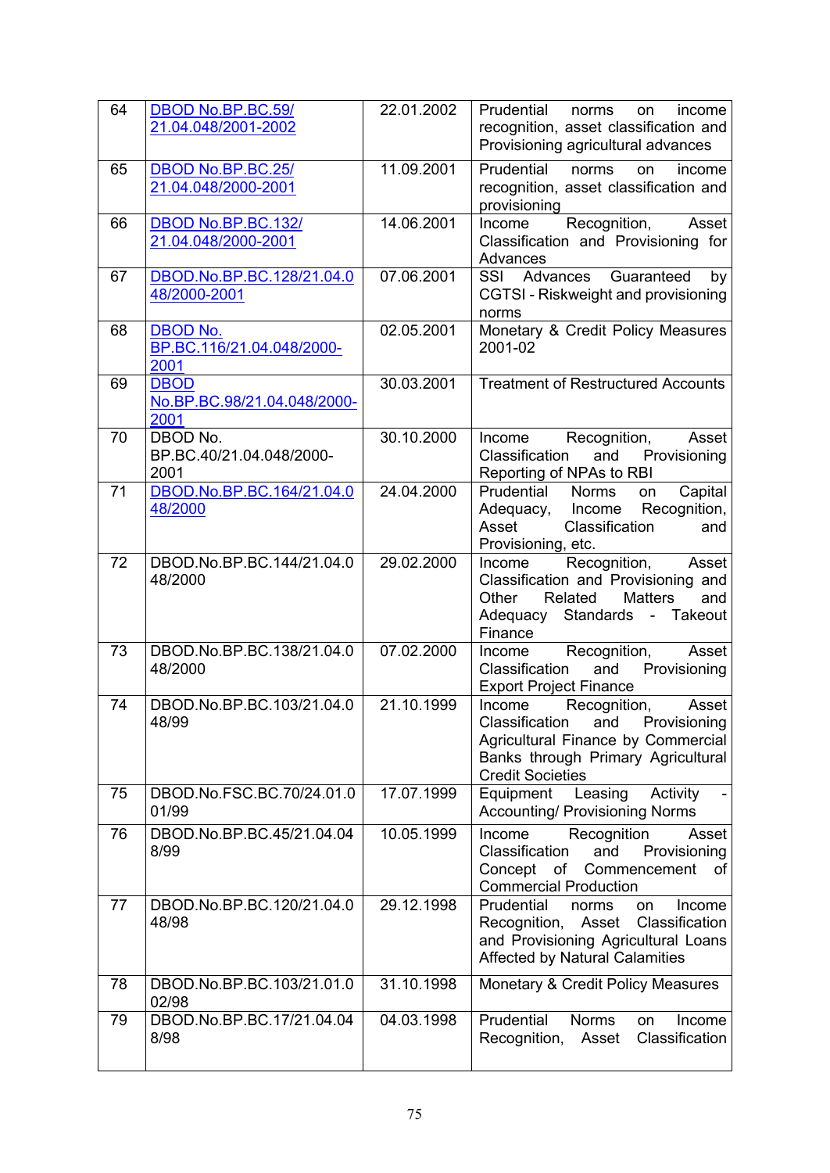| 64 | DBOD No.BP.BC.59/                         | 22.01.2002 | Prudential<br>norms<br>income<br>on                                          |
|----|-------------------------------------------|------------|------------------------------------------------------------------------------|
|    | 21.04.048/2001-2002                       |            | recognition, asset classification and<br>Provisioning agricultural advances  |
| 65 | DBOD No.BP.BC.25/                         | 11.09.2001 | Prudential<br>norms<br>income<br>on                                          |
|    | 21.04.048/2000-2001                       |            | recognition, asset classification and<br>provisioning                        |
| 66 | DBOD No.BP.BC.132/                        | 14.06.2001 | Recognition,<br>Asset<br>Income                                              |
|    | 21.04.048/2000-2001                       |            | Classification and Provisioning for<br>Advances                              |
| 67 | DBOD.No.BP.BC.128/21.04.0<br>48/2000-2001 | 07.06.2001 | SSI Advances<br>Guaranteed<br>by<br><b>CGTSI-Riskweight and provisioning</b> |
|    |                                           |            | norms                                                                        |
| 68 | <b>DBOD No.</b>                           | 02.05.2001 | Monetary & Credit Policy Measures                                            |
|    | BP.BC.116/21.04.048/2000-                 |            | 2001-02                                                                      |
|    | 2001                                      |            |                                                                              |
| 69 | <b>DBOD</b>                               | 30.03.2001 | <b>Treatment of Restructured Accounts</b>                                    |
|    | No.BP.BC.98/21.04.048/2000-<br>2001       |            |                                                                              |
| 70 | DBOD No.                                  | 30.10.2000 | Asset<br>Recognition,<br>Income                                              |
|    | BP.BC.40/21.04.048/2000-                  |            | Classification<br>and<br>Provisioning                                        |
|    | 2001                                      |            | Reporting of NPAs to RBI                                                     |
| 71 | DBOD.No.BP.BC.164/21.04.0                 | 24.04.2000 | Prudential<br>Capital<br><b>Norms</b><br>on                                  |
|    | 48/2000                                   |            | Recognition,<br>Adequacy,<br>Income                                          |
|    |                                           |            | Asset<br>Classification<br>and<br>Provisioning, etc.                         |
| 72 | DBOD.No.BP.BC.144/21.04.0                 | 29.02.2000 | Recognition,<br>Income<br>Asset                                              |
|    | 48/2000                                   |            | Classification and Provisioning and                                          |
|    |                                           |            | Other<br>Related<br><b>Matters</b><br>and                                    |
|    |                                           |            | Adequacy<br>Standards - Takeout                                              |
|    |                                           |            | Finance                                                                      |
| 73 | DBOD.No.BP.BC.138/21.04.0<br>48/2000      | 07.02.2000 | Recognition,<br>Asset<br>Income<br>and<br>Classification<br>Provisioning     |
|    |                                           |            | <b>Export Project Finance</b>                                                |
| 74 | DBOD.No.BP.BC.103/21.04.0                 | 21.10.1999 | Income<br>Recognition,<br>Asset                                              |
|    | 48/99                                     |            | Classification and Provisioning                                              |
|    |                                           |            | Agricultural Finance by Commercial                                           |
|    |                                           |            | Banks through Primary Agricultural                                           |
|    | DBOD.No.FSC.BC.70/24.01.0                 |            | <b>Credit Societies</b>                                                      |
| 75 | 01/99                                     | 17.07.1999 | Equipment Leasing<br>Activity<br><b>Accounting/ Provisioning Norms</b>       |
| 76 | DBOD.No.BP.BC.45/21.04.04                 | 10.05.1999 | Recognition<br>Income<br>Asset                                               |
|    | 8/99                                      |            | Classification<br>and<br>Provisioning                                        |
|    |                                           |            | Concept of Commencement<br>of                                                |
| 77 | DBOD.No.BP.BC.120/21.04.0                 | 29.12.1998 | <b>Commercial Production</b><br>Prudential<br>Income<br>norms<br>on          |
|    | 48/98                                     |            | Classification<br>Recognition, Asset                                         |
|    |                                           |            | and Provisioning Agricultural Loans                                          |
|    |                                           |            | <b>Affected by Natural Calamities</b>                                        |
| 78 | DBOD.No.BP.BC.103/21.01.0                 | 31.10.1998 | Monetary & Credit Policy Measures                                            |
|    | 02/98                                     |            |                                                                              |
| 79 | DBOD.No.BP.BC.17/21.04.04                 | 04.03.1998 | Prudential<br><b>Norms</b><br>Income<br>on                                   |
|    | 8/98                                      |            | Recognition,<br>Classification<br>Asset                                      |
|    |                                           |            |                                                                              |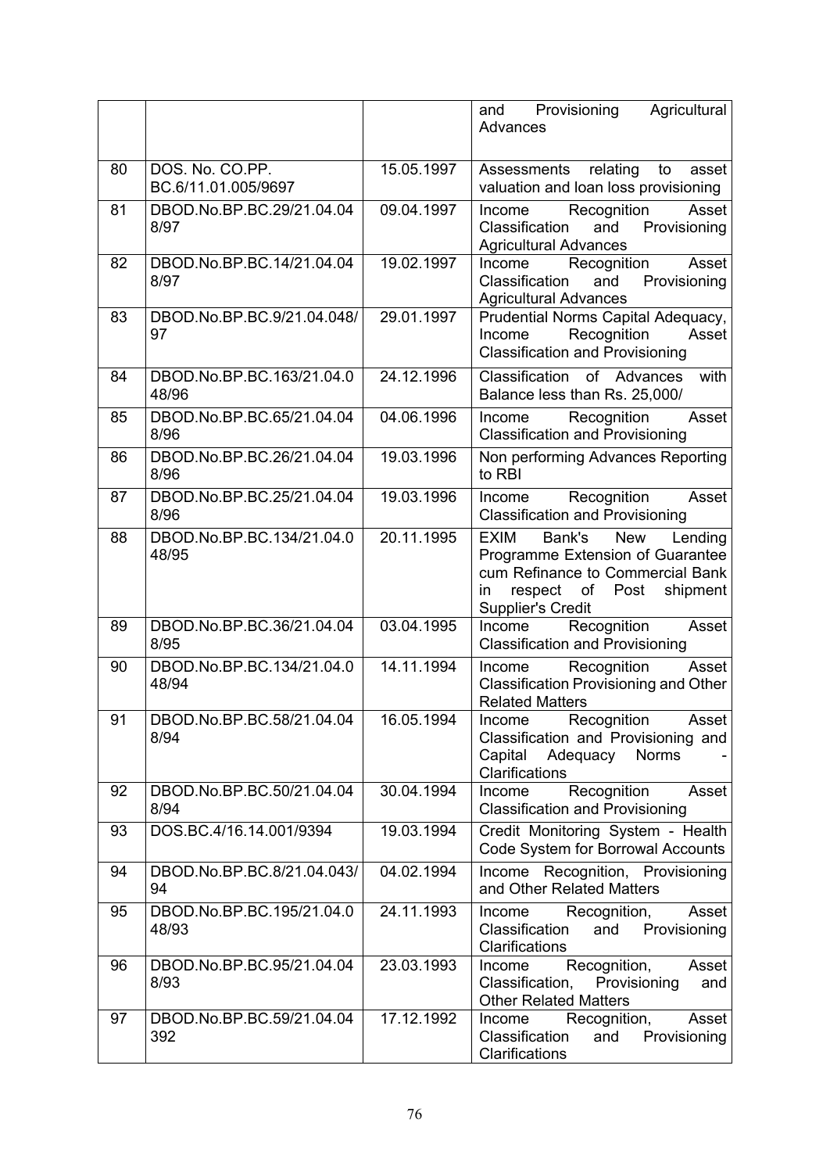|    |                                    |            | Agricultural<br>Provisioning<br>and<br>Advances                                                                                                                                         |
|----|------------------------------------|------------|-----------------------------------------------------------------------------------------------------------------------------------------------------------------------------------------|
|    |                                    |            |                                                                                                                                                                                         |
| 80 | DOS. No. CO.PP.                    | 15.05.1997 | relating<br>Assessments<br>asset<br>to                                                                                                                                                  |
|    | BC.6/11.01.005/9697                |            | valuation and loan loss provisioning                                                                                                                                                    |
| 81 | DBOD.No.BP.BC.29/21.04.04<br>8/97  | 09.04.1997 | Recognition<br>Asset<br>Income<br>Classification<br>and<br>Provisioning<br><b>Agricultural Advances</b>                                                                                 |
| 82 | DBOD.No.BP.BC.14/21.04.04<br>8/97  | 19.02.1997 | Recognition<br>Income<br>Asset<br>Classification<br>and<br>Provisioning<br><b>Agricultural Advances</b>                                                                                 |
| 83 | DBOD.No.BP.BC.9/21.04.048/<br>97   | 29.01.1997 | Prudential Norms Capital Adequacy,<br>Recognition<br>Asset<br>Income<br><b>Classification and Provisioning</b>                                                                          |
| 84 | DBOD.No.BP.BC.163/21.04.0<br>48/96 | 24.12.1996 | Classification of Advances<br>with<br>Balance less than Rs. 25,000/                                                                                                                     |
| 85 | DBOD.No.BP.BC.65/21.04.04<br>8/96  | 04.06.1996 | Income Recognition<br>Asset<br><b>Classification and Provisioning</b>                                                                                                                   |
| 86 | DBOD.No.BP.BC.26/21.04.04<br>8/96  | 19.03.1996 | Non performing Advances Reporting<br>to RBI                                                                                                                                             |
| 87 | DBOD.No.BP.BC.25/21.04.04<br>8/96  | 19.03.1996 | Recognition<br>Asset<br>Income<br><b>Classification and Provisioning</b>                                                                                                                |
| 88 | DBOD.No.BP.BC.134/21.04.0<br>48/95 | 20.11.1995 | Bank's<br><b>EXIM</b><br><b>New</b><br>Lending<br>Programme Extension of Guarantee<br>cum Refinance to Commercial Bank<br>respect of Post<br>shipment<br>in<br><b>Supplier's Credit</b> |
| 89 | DBOD.No.BP.BC.36/21.04.04<br>8/95  | 03.04.1995 | Recognition<br>Asset<br>Income<br><b>Classification and Provisioning</b>                                                                                                                |
| 90 | DBOD.No.BP.BC.134/21.04.0<br>48/94 | 14.11.1994 | Asset<br>Recognition<br>Income<br>Classification Provisioning and Other<br><b>Related Matters</b>                                                                                       |
| 91 | DBOD.No.BP.BC.58/21.04.04<br>8/94  | 16.05.1994 | Recognition<br>Asset<br>Income<br>Classification and Provisioning and<br>Capital<br>Adequacy<br><b>Norms</b><br>Clarifications                                                          |
| 92 | DBOD.No.BP.BC.50/21.04.04<br>8/94  | 30.04.1994 | Recognition<br>Asset<br>Income<br><b>Classification and Provisioning</b>                                                                                                                |
| 93 | DOS.BC.4/16.14.001/9394            | 19.03.1994 | Credit Monitoring System - Health<br>Code System for Borrowal Accounts                                                                                                                  |
| 94 | DBOD.No.BP.BC.8/21.04.043/<br>94   | 04.02.1994 | Income Recognition, Provisioning<br>and Other Related Matters                                                                                                                           |
| 95 | DBOD.No.BP.BC.195/21.04.0<br>48/93 | 24.11.1993 | Recognition,<br>Asset<br>Income<br>Classification<br>Provisioning<br>and<br>Clarifications                                                                                              |
| 96 | DBOD.No.BP.BC.95/21.04.04<br>8/93  | 23.03.1993 | Recognition,<br>Income<br>Asset<br>Classification,<br>Provisioning<br>and<br><b>Other Related Matters</b>                                                                               |
| 97 | DBOD.No.BP.BC.59/21.04.04<br>392   | 17.12.1992 | Asset<br>Recognition,<br>Income<br>Classification<br>Provisioning<br>and<br>Clarifications                                                                                              |